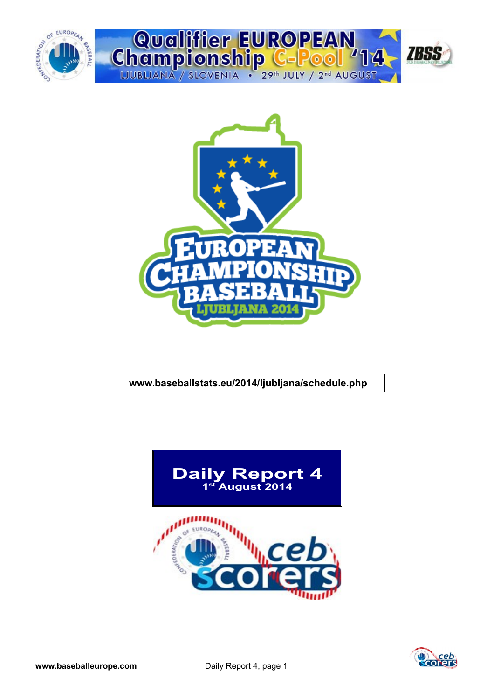



## **www.baseballstats.eu/2014/ljubljana/schedule.php**



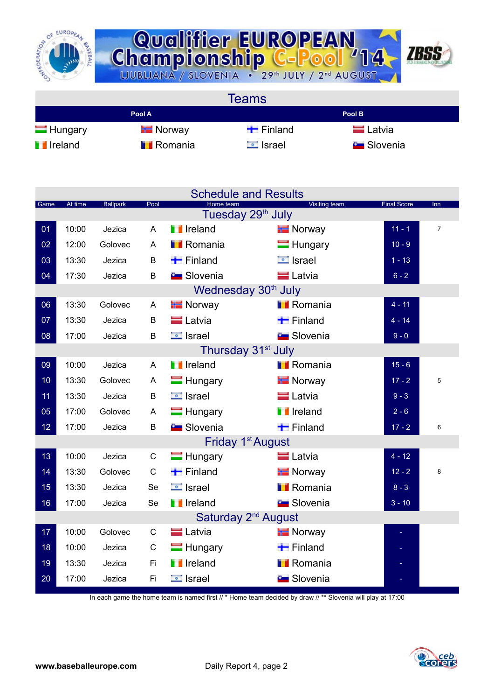



**Teams Pool A Pool B** Hungary Finland Finland Latvia **I** Ireland **I** Romania **I** Israel Slovenia

|                 |         |                 |              |                        | <b>Schedule and Results</b>                           |                    |                |
|-----------------|---------|-----------------|--------------|------------------------|-------------------------------------------------------|--------------------|----------------|
| Game            | At time | <b>Ballpark</b> | Pool         | Home team              | <b>Visiting team</b><br>Tuesday 29 <sup>th</sup> July | <b>Final Score</b> | Inn            |
| $\overline{01}$ | 10:00   | Jezica          | A            | <b>T</b> Ireland       | <b>E</b> Norway                                       | $11 - 1$           | $\overline{7}$ |
| 02              | 12:00   | Golovec         | A            | <b>TRomania</b>        | $\blacksquare$ Hungary                                | $10 - 9$           |                |
| 03              | 13:30   | Jezica          | B            | $\blacksquare$ Finland | $\Box$ Israel                                         | $1 - 13$           |                |
| 04              | 17:30   | Jezica          | B            | <b>E</b> Slovenia      | <b>E</b> Latvia                                       | $6 - 2$            |                |
|                 |         |                 |              |                        | Wednesday 30 <sup>th</sup> July                       |                    |                |
| 06              | 13:30   | Golovec         | A            | <b>T</b> Norway        | <b>I</b> Romania                                      | $4 - 11$           |                |
| 07              | 13:30   | Jezica          | B            | <b>E</b> Latvia        | $\blacksquare$ Finland                                | $4 - 14$           |                |
| 08              | 17:00   | Jezica          | B            | $\equiv$ Israel        | <b>Contract Slovenia</b>                              | $9 - 0$            |                |
|                 |         |                 |              |                        | Thursday 31 <sup>st</sup> July                        |                    |                |
| 09              | 10:00   | Jezica          | A            | <b>T</b> Ireland       | <b>I</b> Romania                                      | $15 - 6$           |                |
| 10              | 13:30   | Golovec         | A            | $\blacksquare$ Hungary | <b>H</b> Norway                                       | $17 - 2$           | 5              |
| 11              | 13:30   | Jezica          | B            | $\blacksquare$ Israel  | <b>E</b> Latvia                                       | $9 - 3$            |                |
| 05              | 17:00   | Golovec         | A            | $\blacksquare$ Hungary | <b>T</b> Ireland                                      | $2 - 6$            |                |
| 12              | 17:00   | Jezica          | B            | <b>B</b> Slovenia      | $\blacksquare$ Finland                                | $17 - 2$           | 6              |
|                 |         |                 |              |                        | Friday 1 <sup>st</sup> August                         |                    |                |
| 13              | 10:00   | Jezica          | $\mathsf{C}$ | $\blacksquare$ Hungary | $\blacksquare$ Latvia                                 | $4 - 12$           |                |
| 14              | 13:30   | Golovec         | $\mathsf C$  | $\blacksquare$ Finland | <b>E</b> Norway                                       | $12 - 2$           | 8              |
| 15              | 13:30   | Jezica          | Se           | $\Box$ Israel          | <b>I</b> Romania                                      | $8 - 3$            |                |
| 16              | 17:00   | Jezica          | Se           | <b>T</b> Ireland       | <b>Excession</b> Slovenia                             | $3 - 10$           |                |
|                 |         |                 |              |                        | Saturday 2 <sup>nd</sup> August                       |                    |                |
| 17              | 10:00   | Golovec         | C            | <b>E</b> Latvia        | <b>Norway</b>                                         |                    |                |
| 18              | 10:00   | Jezica          | $\mathsf C$  | $\blacksquare$ Hungary | $\blacksquare$ Finland                                |                    |                |
| 19              | 13:30   | Jezica          | Fi.          | <b>T</b> Ireland       | <b>TRomania</b>                                       |                    |                |
| 20              | 17:00   | Jezica          | Fi           | <b>E</b> Israel        | <b>Contract Slovenia</b>                              |                    |                |

In each game the home team is named first // \* Home team decided by draw // \*\* Slovenia will play at 17:00

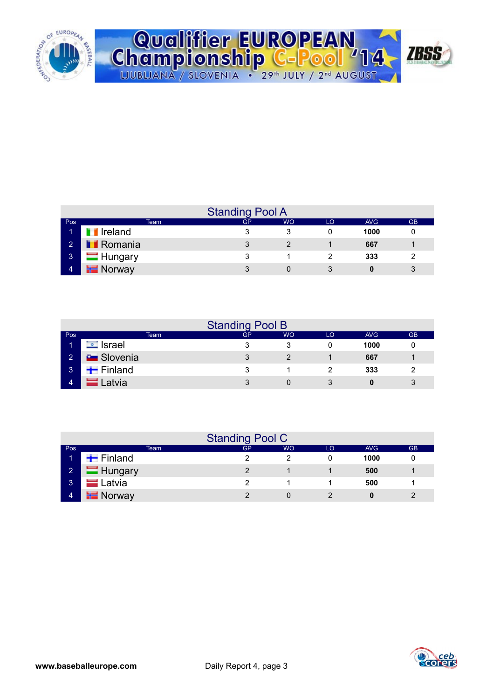

| Qualifier EUROPEAN<br>Championship C-Pool '14 / 1555 |                                                                         |  |
|------------------------------------------------------|-------------------------------------------------------------------------|--|
|                                                      |                                                                         |  |
|                                                      | LJUBLJANA / SLOVENIA · 29 <sup>th</sup> JULY / 2 <sup>nd</sup> AUGUST / |  |

|                |                        | <b>Standing Pool A</b> |           |    |            |           |
|----------------|------------------------|------------------------|-----------|----|------------|-----------|
| Pos            | Team                   | GP                     | <b>WO</b> | LO | <b>AVG</b> | <b>GB</b> |
| Т              | <b>T</b> Ireland       |                        |           |    | 1000       |           |
| $\sim$ 2       | <b>Romania</b>         |                        |           |    | 667        |           |
| 3 <sub>1</sub> | $\blacksquare$ Hungary |                        |           |    | 333        |           |
| $\overline{4}$ | $\mathbf{F}$ Norway    |                        |           |    |            |           |

|                |                            |      | <b>Standing Pool B</b> |           |    |      |           |
|----------------|----------------------------|------|------------------------|-----------|----|------|-----------|
| Pos            |                            | Team | GP.                    | <b>WO</b> | LO | AVG  | <b>GB</b> |
| и              | <b><del>⊡</del></b> Israel |      |                        |           |    | 1000 |           |
| $\overline{2}$ | <b>C</b> Slovenia          |      |                        |           |    | 667  |           |
| 3 <sup>1</sup> | $\blacksquare$ Finland     |      |                        |           |    | 333  | 2         |
| 4              | Latvia                     |      | 2                      |           |    |      | 3         |

|             |                        | <b>Standing Pool C</b> |           |    |            |           |
|-------------|------------------------|------------------------|-----------|----|------------|-----------|
| Pos         | Team                   | GP                     | <b>WO</b> | LO | <b>AVG</b> | <b>GB</b> |
|             | $\blacksquare$ Finland |                        |           |    | 1000       |           |
| $2^{\circ}$ | Hungary                |                        |           |    | 500        |           |
| 3           | $=$ Latvia             | າ                      |           |    | 500        |           |
| 4           | $\blacksquare$ Norway  |                        |           |    | 0          |           |

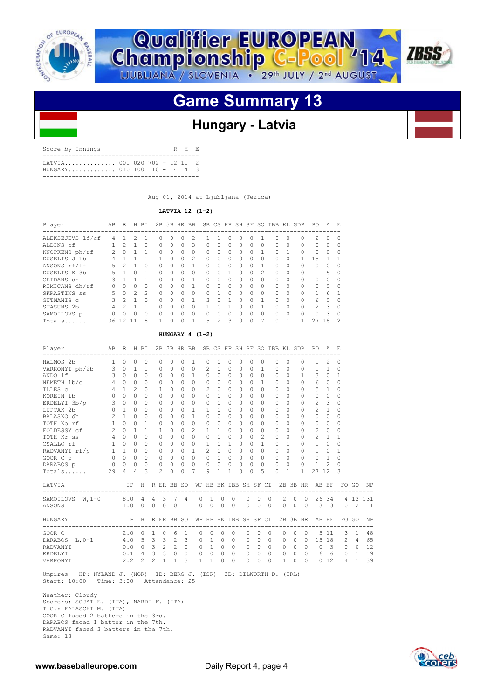



# **Game Summary 13**

## **Hungary - Latvia**

Score by Innings R H E ------------------------------------------- LATVIA.............. 001 020 702 - 12 11 2 HUNGARY............. 010 100 110 - 4 4 3 -------------------------------------------

Aug 01, 2014 at Liubliana (Jezica)

 **LATVIA 12 (1-2)**

| Player           | AВ            | R             |               | H BI          |              |              | 2B 3B HR BB  |               |   |              |              |    |          |               |              |          | SB CS HP SH SF SO IBB KL GDP | PO.            | A             | - F           |
|------------------|---------------|---------------|---------------|---------------|--------------|--------------|--------------|---------------|---|--------------|--------------|----|----------|---------------|--------------|----------|------------------------------|----------------|---------------|---------------|
| ALEKSEJEVS lf/cf | 4             |               | 2             |               | O            | U            |              | 2             |   |              | n            | 0  | $^{()}$  |               | $^{(1)}$     | 0        | 0                            | 2              | $\Omega$      | - 0           |
| ALDINS cf        |               | $\mathcal{P}$ |               | U             | <sup>n</sup> | <sup>n</sup> | $\Omega$     | 3             | 0 | $\Omega$     | $\Omega$     | 0  | $\Omega$ | $\bigcap$     | $\Omega$     | $\Omega$ | 0                            | $\Omega$       | $\Omega$      | $\Omega$      |
| KNOPKENS ph/rf   | $\mathcal{L}$ | $\Omega$      |               |               | 0            | 0            | $\Omega$     | $\Omega$      | 0 | 0            | $\Omega$     | 0  | $\Omega$ |               | <sup>0</sup> |          | 0                            | $\Omega$       | $\Omega$      | $\Omega$      |
| DUSELIS J 1b     | 4             |               |               |               |              | <sup>n</sup> | $\Omega$     | $\mathcal{L}$ | 0 | $\Omega$     | $\Omega$     | O  | $\Omega$ | $\bigcap$     | $\Omega$     | 0        |                              | 1.5            |               |               |
| ANSONS rf/lf     | 5             |               |               | 0             | O.           | Ω            |              |               | 0 | 0            | 0            | 0  | $\Omega$ |               | <sup>0</sup> | 0        | 0                            | $\Omega$       | $\Omega$      | $\Omega$      |
| DUSELIS K 3b     | 5             |               | <sup>n</sup>  |               | <sup>n</sup> | <sup>n</sup> | $\bigcap$    | $\cap$        | 0 | <sup>n</sup> |              | U  | $\Omega$ | $\mathcal{P}$ | $\Omega$     | $\Omega$ | 0                            |                | 5             | - 0           |
| GEIDANS dh       | २             |               |               |               | <sup>n</sup> | $\cap$       | $\cap$       | 1             | O | <sup>n</sup> | <sup>0</sup> | O  | $\cap$   | $\cap$        | $\bigcap$    | $\Omega$ | 0                            | $\Omega$       | $\Omega$      | $\Omega$      |
| RIMICANS dh/rf   | n.            | $\Omega$      | 0             | O.            | O.           | <sup>n</sup> | $\bigcap$    |               | O | $\Omega$     | $\Omega$     | O. | $\Omega$ | $\bigcap$     | $\Omega$     | $\Omega$ | 0                            | $\Omega$       | $\Omega$      | $\Omega$      |
| SKRASTINS ss     | 5             | $\Omega$      | $\mathcal{P}$ | $\mathcal{P}$ | <sup>n</sup> | U            | $\bigcap$    | $\cap$        | 0 |              | $\cap$       | O  | $\cap$   | $\bigcap$     | $\cap$       | $\Omega$ | 0                            | 1              | 6             |               |
| GUTMANIS c       |               | $\mathcal{P}$ |               | $\cap$        | O.           | Ω            | <sup>n</sup> |               | ς | O            |              | O  | O        |               | <sup>0</sup> | $\Omega$ | 0                            | 6              | $\Omega$      | $\Omega$      |
| STASUNS 2b       | 4             | $\mathcal{P}$ |               |               | U            | Λ            | $\cap$       | O             |   | U            |              | U  | $\Omega$ |               | $\cap$       | $\Omega$ | 0                            | $\overline{2}$ | $\mathcal{R}$ | $\cap$        |
| SAMOILOVS p      |               | 0             | $\cap$        | 0             | <sup>n</sup> | $\cap$       | $\bigcap$    | $\cap$        | O | $\cap$       | <sup>0</sup> | O  | $\cap$   | $\bigcap$     | <sup>0</sup> | $\Omega$ | 0                            | <sup>n</sup>   | २             | $\Omega$      |
| Totals           |               | 36 12         |               | 8             |              | Λ            |              | 11            | 5 | 2            | २            | Λ  | O        |               |              |          |                              | 27             | 18            | $\mathcal{P}$ |

## **HUNGARY 4 (1-2)**

| Player                                           | AB R H BI       |              |               |                |                           |                |              |                | 2B 3B HR BB SB CS HP SH SF SO IBB KL GDP |                       |           |                |           |          |          |                |              |                |          |                | PO.                                               | AE                       |              |               |     |
|--------------------------------------------------|-----------------|--------------|---------------|----------------|---------------------------|----------------|--------------|----------------|------------------------------------------|-----------------------|-----------|----------------|-----------|----------|----------|----------------|--------------|----------------|----------|----------------|---------------------------------------------------|--------------------------|--------------|---------------|-----|
| HALMOS 2b                                        | $\mathbf{1}$    | $\Omega$     | $\Omega$      | $\circ$        |                           | $\Omega$       | 0            | 0              | 1                                        | 0                     | $\Omega$  | 0              | $\Omega$  | $\Omega$ |          | 0              | 0            | $\Omega$       |          | 0              | 1                                                 | $\mathfrak{D}$           | 0            |               |     |
| VARKONYI ph/2b 3 0                               |                 |              | 1.            | 1.             |                           | $\Omega$       | $\Omega$     | $\Omega$       | $\Omega$                                 | $\mathcal{D}$         | $\Omega$  | 0              | $\Box$    | $\Omega$ |          | 1              | 0            | $\Omega$       |          | $\Omega$       | 1                                                 | 1                        | $\Omega$     |               |     |
| ANDO 1f                                          | $\mathbf{3}$    | $\Omega$     | $\Omega$      | $\Omega$       |                           | $\Omega$       | $\Omega$     | $\Omega$       | $\overline{1}$                           | $\circ$               | $\Omega$  | $\Omega$       | $\Omega$  | $\Omega$ |          | $\Omega$       | $\Omega$     | $\Omega$       |          | 1              | 3                                                 | 0                        | 1            |               |     |
| NEMETH 1b/c                                      | $4\overline{ }$ | $\bigcap$    | 0             | $\Omega$       |                           | $\bigcap$      | <sup>n</sup> | $\bigcap$      | $\Omega$                                 | 0                     | $\bigcap$ | <sup>0</sup>   | $\bigcap$ |          | $\cap$   | 1              | <sup>0</sup> | $\cap$         |          | 0              | 6                                                 | $\Omega$                 | <sup>n</sup> |               |     |
| ILLES c                                          | $4\overline{ }$ | $\mathbf{1}$ | $\mathcal{L}$ | $\cap$         |                           | -1.            | $\bigcap$    | $\bigcap$      | $\bigcap$                                | $\mathcal{L}$         | $\bigcap$ | $\Omega$       | $\bigcap$ |          | $\cap$   | <sup>n</sup>   | $\cap$       | $\cap$         |          | $\cap$         | .5                                                | 1                        | $\Omega$     |               |     |
| KOREIN 1b                                        | $\circ$         | $\Omega$     | $\Omega$      | 0              |                           | $\Omega$       | $\Omega$     | <sup>n</sup>   | $\Omega$                                 | 0                     | $\Omega$  | $\Omega$       | $\Omega$  | $\Omega$ |          | $\Omega$       | $\Omega$     | $\Omega$       |          | $\Omega$       | $\Omega$                                          | $\Omega$                 | $\Omega$     |               |     |
| ERDELYI 3b/p                                     | $3 -$           | $\Omega$     | 0             | 0              |                           | $\Omega$       | $\Omega$     | <sup>n</sup>   | $\Omega$                                 | 0                     | $\Omega$  | 0              | $\bigcap$ | $\Omega$ |          | 0              | O            | $\cap$         |          | $\Omega$       | 2                                                 | 3                        | $\Omega$     |               |     |
| LUPTAK 2b                                        | $\Omega$        | $\mathbf{1}$ | $\Omega$      | 0              |                           | $\Omega$       | $\Omega$     | <sup>n</sup>   | 1                                        | 1                     | $\Omega$  | $\Omega$       | $\bigcap$ |          | $\Omega$ | $\Omega$       | $\Omega$     | $\Omega$       |          | $\Omega$       | $\mathfrak{D}$                                    | 1                        | 0            |               |     |
| BALASKO dh                                       | 2               | $\mathbf{1}$ | $\Omega$      | 0              |                           | $\Omega$       | $\Omega$     | $\Omega$       | $\mathbf{1}$                             | 0                     | $\Omega$  | $\Omega$       | $\Omega$  | $\Omega$ |          | $\Omega$       | $\Omega$     | $\Omega$       |          | $\Omega$       | $\Omega$                                          | 0                        | $\Omega$     |               |     |
| TOTH Ko rf                                       | 1               | $\Omega$     | $\Omega$      | 1              |                           | $\Omega$       | $\Omega$     | $\Omega$       | $\Omega$                                 | 0                     | $\Omega$  | 0              | $\bigcap$ | $\Omega$ |          | $\Omega$       | <sup>0</sup> | $\cap$         |          | $\Omega$       | $\Omega$                                          | 0                        | $\Omega$     |               |     |
| FOLDESSY cf 2                                    |                 | $\bigcap$    | 1.            | 1.             |                           | -1.            | <sup>n</sup> | $\bigcap$      | 2                                        | 1                     | -1.       | $\cap$         | $\bigcap$ | $\Omega$ |          | $\Omega$       | O            | $\cap$         |          | $\cap$         | 2                                                 | $\Omega$                 | $\Omega$     |               |     |
| TOTH Kr ss                                       |                 | $\bigcap$    | $\Omega$      | $\Omega$       |                           | $\Omega$       | $\Omega$     | <sup>n</sup>   | $\Omega$                                 | 0                     | $\bigcap$ | $\circ$        | $\bigcap$ | $\Omega$ |          | $\mathfrak{D}$ | $\Omega$     | $\Omega$       |          | $\Omega$       | 2                                                 | -1.                      | 1            |               |     |
| CSALLO rf                                        | 1               | $\Omega$     | $\Omega$      | $\Omega$       |                           | 0              | $\Omega$     | $\Omega$       | $\circ$                                  | $\mathbf{1}$          | $\Omega$  | $\mathbf{1}$   | $\Omega$  |          | $\Omega$ | 1              | $\Omega$     | 1              |          | $\Omega$       | 1                                                 | 0                        | $\Omega$     |               |     |
| RADVANYI rf/p                                    |                 | $1\quad1$    | $\Omega$      | $\Omega$       |                           | $\Omega$       | $\Omega$     | $\Omega$       | 1                                        | $\mathcal{L}$         | $\Omega$  | $\Omega$       | $\bigcap$ |          | $\Omega$ | <sup>n</sup>   | $\Omega$     | $\Omega$       |          | $\cap$         | 1                                                 | $\Omega$                 | 1            |               |     |
| $\begin{array}{c} 0 & 0 \end{array}$<br>GOOR C p |                 |              | $\Omega$      | $\Omega$       | $\overline{\phantom{0}}$  |                | $\Omega$     | $\bigcirc$     | $\Omega$                                 | $\Omega$              | $\Omega$  | $\Omega$       | $\Omega$  | $\Omega$ |          | $\Omega$       | $\Omega$     | $\Omega$       |          | $\cap$         | $\Omega$                                          | $\overline{1}$           | 0            |               |     |
| DARABOS p 0 0                                    |                 |              | $\circ$       |                | $\overline{0}$            | $\circ$        | $\bigcirc$   | $0\quad 0$     |                                          | $\circ$               | $\Omega$  | $\circ$        | $\Omega$  |          | $\Omega$ | $\Omega$       | $\Omega$     | $\Omega$       |          | $\Omega$       | 1                                                 | 2                        | $\Omega$     |               |     |
| Totals                                           | 29              | 4            | 4             | 3              |                           | $\overline{2}$ | $\Omega$     | $\Omega$       | 7                                        | 9                     | 1         | $\mathbf{1}$   | $\Omega$  |          | $\Omega$ | 5              | $\Omega$     | $\overline{1}$ |          | 1              | 27 12                                             |                          | 3            |               |     |
| LATVIA                                           |                 |              | IP            |                |                           |                |              |                |                                          |                       |           |                |           |          |          |                |              |                |          |                | H R ER BB SO WP HB BK IBB SH SF CI 2B 3B HR AB BF |                          |              | FO GO         | NP  |
| SAMOILOVS $W, 1-0$ 8.0 4                         |                 |              |               |                | 4                         | 3              | - 7          | 4              | 0                                        | 1                     | 0         |                | 0         | 0        | $\Omega$ | 0              |              | 2              | 0        | $\circ$        | ----------------------------<br>26                | 34                       |              | 4 1 3         | 131 |
| ANSONS                                           |                 | 1.0          |               | $\Omega$       | $\Omega$                  | $\Omega$       | $\bigcirc$   | $\overline{1}$ |                                          | $\Omega$<br>$\Omega$  | $\Omega$  |                | $\Omega$  | $\Omega$ | $\Omega$ | $\bigcirc$     |              | $\Omega$       | $\Omega$ | $\bigcirc$     | $\overline{\mathbf{3}}$                           | $\overline{\phantom{a}}$ | $\Omega$     | $\mathcal{D}$ | 11  |
| HUNGARY                                          |                 |              |               |                | IP H R ER BB SO           |                |              |                |                                          | WP HB BK IBB SH SF CI |           |                |           |          |          |                |              |                |          |                | 2B 3B HR AB BF<br>---------------                 |                          |              | FO GO         | ΝP  |
| GOOR C                                           |                 | 2.0          |               | $\mathbf{0}$   | $\mathbf{1}$              | $\circ$        | 6            | 1              | 0                                        | 0                     | $\circ$   |                | $\circ$   | 0        | $\Omega$ | $\mathbf{0}$   | ---------    | 0              | $\Omega$ | $\Omega$       | 5                                                 | 11                       | 3            | 1             | 48  |
| DARABOS L, 0-1                                   | 4.0 5           |              |               |                | 3                         |                | $3 \quad 2$  | 3              | $\Omega$                                 | $\mathbf{1}$          | $\Omega$  |                | $\Omega$  | 0        | $\Omega$ | $\Omega$       |              | $\Omega$       | $\Omega$ | $\Omega$       | 15                                                | 18                       | 2            | 4             | 65  |
| RADVANYI                                         |                 |              |               |                | $0.0 \t 0 \t 3 \t 2 \t 2$ |                |              | $\circ$        | $\circ$                                  | <sup>1</sup>          | $\circ$   | $\overline{0}$ |           | 0        | $\Omega$ | $\Omega$       |              | $\mathbf{0}$   | 0        | $\overline{0}$ | $\circ$                                           | 3                        | $\circ$      | $\circ$       | 12  |
| ERDELYI                                          |                 |              |               | $0.1 \quad 4$  | 3                         | $\mathbf{3}$   | $\Omega$     | $\Omega$       |                                          | $\Omega$<br>$\Omega$  | $\Omega$  |                | $\Omega$  | $\Omega$ | $\Omega$ | $\Omega$       |              | $\Omega$       | $\Omega$ | $\Omega$       | 6                                                 | 6                        | $\Omega$     | 1             | 19  |
| VARKONYI                                         |                 | 2.2          |               | $\overline{2}$ | $\overline{c}$            | 1              | $\mathbf{1}$ | 3              | 1                                        | $\mathbf{1}$          | $\Omega$  |                | $\Omega$  | 0        | 0        | $\Omega$       |              | 1              | 0        | $\Omega$       | 10                                                | 12                       | 4            | 1             | 39  |

 Umpires - HP: NYLAND J. (NOR) 1B: BERG J. (ISR) 3B: DILWORTH D. (IRL) Start: 10:00 Time: 3:00 Attendance: 25

 Weather: Cloudy Scorers: SOJAT E. (ITA), NARDI F. (ITA) T.C.: FALASCHI M. (ITA) GOOR C faced 2 batters in the 3rd. DARABOS faced 1 batter in the 7th. RADVANYI faced 3 batters in the 7th. Game: 13

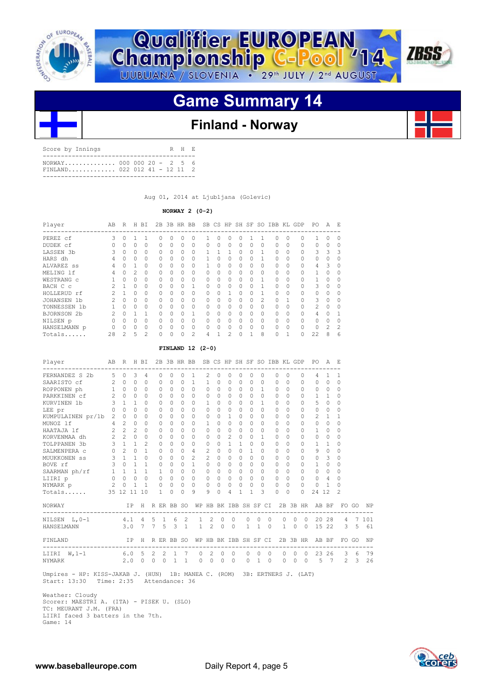



# **Game Summary 14**

## **Finland - Norway**

| NORWAY 000 000 20 - 2 5 6<br>FINLAND 022 012 41 - 12 11 2 | Score by Innings |  |  | R H F. |  |
|-----------------------------------------------------------|------------------|--|--|--------|--|
|                                                           |                  |  |  |        |  |

Aug 01, 2014 at Ljubljana (Golevic)

## **NORWAY 2 (0-2)**

| Player                | AΒ | R            | H  | ВI       | 2B           |              | 3B HR BB     |               |              | SB CS HP     |                | SH SF SO  |              |   | IBB          | KL       | GDP      | PO            | Α              | E.           |
|-----------------------|----|--------------|----|----------|--------------|--------------|--------------|---------------|--------------|--------------|----------------|-----------|--------------|---|--------------|----------|----------|---------------|----------------|--------------|
| PEREZ cf              | 3  | O            |    |          | O            | Ω            | Ω            | 0             |              | U            | 0              | 0         |              |   | $\cap$       | $\Omega$ | $\Omega$ |               | U              | $\cap$       |
| DUDEK cf              |    | 0            | 0  | 0        | $\Omega$     | 0            | $\Omega$     | 0             | $\Omega$     | 0            | 0              | $\Omega$  | $\Omega$     | 0 | 0            | 0        | 0        | $\Omega$      | 0              | 0            |
| LASSEN 3b             | 3  | 0            | 0  | 0        | $\Omega$     | 0            | $\Omega$     | $\Omega$      |              |              |                | 0         | 0            |   | 0            | 0        | 0        | 3             | 3              | 3            |
| HARS dh               | 4  | <sup>n</sup> | O. | $\Omega$ | $\bigcap$    | <sup>n</sup> | $\cap$       | $\Omega$      |              | O            | 0              | $\Omega$  | 0            |   | 0            | 0        | 0        | $\Omega$      | Ω              | $\Omega$     |
| ALVAREZ SS            | 4  | U            |    | 0        | $\Omega$     | <sup>n</sup> | $\cap$       | 0             |              | <sup>n</sup> | 0              | $\Omega$  | 0            | O | 0            | $\Omega$ | 0        | 4             | 3              | <sup>n</sup> |
| MELING 1f             |    |              | 2. | 0        | <sup>n</sup> | Ω            | <sup>n</sup> | 0             | O            | O            | 0              | 0         | $\Omega$     | O | 0            | O        | 0        |               | U              | <sup>n</sup> |
| WESTRANG C            |    |              | 0  | 0        | <sup>n</sup> | <sup>n</sup> | <sup>n</sup> | 0             | O            | O            | O              | 0         | O            |   | 0            | O        | 0        |               | U              | <sup>n</sup> |
| BACH C c              |    |              | 0  | 0        | $\Omega$     | <sup>n</sup> | <sup>n</sup> |               | $\Omega$     | n            | 0              | 0         | 0            |   | $\Omega$     | 0        | 0        | 3             | U              | $\Omega$     |
| HOLLERUD rf           |    |              | 0  | $\Omega$ | $\Omega$     | 0            | $\Omega$     | $\Omega$      | 0            | O            |                | $\Omega$  | 0            |   | 0            | 0        | 0        | $\Omega$      | 0              | $\Omega$     |
| <b>JOHANSEN</b><br>1b | 2  | <sup>n</sup> | O. | $\Omega$ | $\bigcap$    | <sup>n</sup> | $\bigcap$    | $\Omega$      | $\bigcap$    | <sup>n</sup> | <sup>0</sup>   | $\bigcap$ | <sup>0</sup> | 2 | $\cap$       |          | O        | 3             | O              | <sup>n</sup> |
| TONNESSEN 1b          |    | ∩            | O  | $\Omega$ | O.           | <sup>n</sup> | $\bigcap$    | 0             | <sup>0</sup> | U            | O              | O         | 0            | O | <sup>0</sup> | O        | 0        | $\mathcal{P}$ | U              | <sup>n</sup> |
| BJORNSON 2b           |    |              |    |          | O            | Ω            | <sup>n</sup> |               | O            | Λ            | O              | 0         | O            | U | 0            | O        | 0        | 4             | Λ              |              |
| NILSEN p              |    |              | 0  | 0        | <sup>n</sup> | <sup>n</sup> | <sup>n</sup> | 0             | O            | U            | O              | 0         | O            | 0 | 0            | 0        | 0        | $\Omega$      | U              |              |
| HANSELMANN p          | 0  | <sup>n</sup> | 0  | $\Omega$ | $\Omega$     | <sup>n</sup> | $\Omega$     | $\Omega$      | $\Omega$     | O            | 0              | $\Omega$  | <sup>0</sup> | 0 | 0            | $\Omega$ | 0        | $\Omega$      | $\mathfrak{D}$ | 2            |
| Totals                | 28 | 2            | 5  | 2        | 0            |              | Ω            | $\mathcal{D}$ | 4            |              | $\mathfrak{D}$ | 0         |              | 8 | 0            |          | 0        | 22            | 8              | 6            |

## **FINLAND 12 (2-0)**

| FERNANDEZ S 2b<br>SAARISTO cf 2<br>ROPPONEN ph | $5 -$         | $\Omega$          |               |                                             |             |                |                   |                |                                        |                |           |                |              |                |                  |            |                        |          |           |                                                      |                |                |             |     |
|------------------------------------------------|---------------|-------------------|---------------|---------------------------------------------|-------------|----------------|-------------------|----------------|----------------------------------------|----------------|-----------|----------------|--------------|----------------|------------------|------------|------------------------|----------|-----------|------------------------------------------------------|----------------|----------------|-------------|-----|
|                                                |               |                   | 3             | 4                                           |             | $\Omega$       | $\Omega$          | $\Omega$       | 1                                      | 2              | $\Omega$  | 0              | $\Omega$     | $\Omega$       | $\Omega$         |            | $\Omega$<br>$\Omega$   |          | $\Omega$  | 4                                                    |                | 1              |             |     |
|                                                |               | $\Omega$          | $\Omega$      | $\Omega$                                    |             | $\Omega$       | $\Omega$          | $\Omega$       | $\overline{1}$                         | $\mathbf{1}$   | $\Omega$  | $\Omega$       | $\Omega$     | $\Omega$       | $\Omega$         |            | $\Omega$<br>$\Omega$   |          | $\Omega$  | $\Omega$                                             | $\Omega$       | $\Omega$       |             |     |
|                                                |               | $1 \quad 0$       | $\Omega$      | $\Omega$                                    |             | $\circ$        | $\Omega$          | $0 \quad 0$    |                                        | $\Omega$       | $\Omega$  | $\bigcirc$     | $\Omega$     |                | $0 \quad 1$      |            | $\Omega$<br>$\Omega$   |          | $\Omega$  | $\circ$                                              | $\overline{0}$ | $\Omega$       |             |     |
| PARKKINEN cf                                   | $2^{\circ}$   | $\cap$            | $\Omega$      | $\Omega$                                    |             | $\cap$         | $\cap$            | $\cap$         | $\cap$                                 | $\Omega$       | $\bigcap$ | $\Omega$       | $\Omega$     |                | $\cap$<br>$\cap$ |            | $\Omega$<br>$\Omega$   |          | $\Omega$  | $\mathbf{1}$                                         | $\overline{1}$ | $\Omega$       |             |     |
| KURVINEN 1b                                    |               | $3 \quad 1$       | $\mathbf{1}$  | $\cap$                                      |             | $\Omega$       | $\bigcap$         | $\bigcap$      | $\Omega$                               | 1              | $\bigcap$ | $\bigcirc$     | $\Omega$     | $\Omega$       | $\mathbf{1}$     |            | $\Omega$<br>$\Omega$   |          | $\Omega$  | 5.                                                   | $\bigcirc$     | $\Omega$       |             |     |
| LEE pr                                         |               | $0\quad 0$        | $\Omega$      | $\Omega$                                    |             | $\Omega$       | $\Omega$          | $\Omega$       | $\Omega$                               | 0              | $\Omega$  | $\Omega$       | $\Omega$     | $\Omega$       | $\Omega$         |            | $\Omega$<br>$\Omega$   |          | $\Omega$  | $\Omega$                                             | $\circ$        | $\Omega$       |             |     |
| KUMPULAINEN pr/1b 2                            |               | $\Omega$          | $\Omega$      | $\Omega$                                    |             | $\Omega$       | $\Omega$          | $\Omega$       | $\Omega$                               | $\Omega$       | $\Omega$  | $\mathbf{1}$   | $\Omega$     | $\Omega$       | $\Omega$         |            | <sup>0</sup>           | $\Omega$ | $\Omega$  | 2                                                    | 1              | 1              |             |     |
| $4\quad 2$<br>MUNOZ lf                         |               |                   | $\Omega$      | $\Omega$                                    |             | $\Omega$       | $\Omega$          | $\bigcap$      | $\Omega$                               | 1              | $\Omega$  | $\Omega$       | $\Omega$     | $\Omega$       | $\Omega$         |            | $\bigcap$<br>$\Omega$  |          | $\cap$    | $\Omega$                                             | $\Omega$       | $\cap$         |             |     |
| HAATAJA 1f                                     |               | $2 \quad 2$       | $\mathcal{L}$ | $\Omega$                                    |             | $\bigcap$      | $\bigcap$         | 0              | $\bigcap$                              | 0              | $\cap$    | $\cap$         | $\Omega$     | $\Omega$       | <sup>n</sup>     |            | <sup>0</sup>           | $\cap$   | $\cap$    | $\mathbf{1}$                                         | $\Omega$       | $\Omega$       |             |     |
| KORVENMAA dh                                   |               | $2\quad 2\quad 0$ |               | $\Omega$                                    |             | $\Omega$       | $\Omega$          | $\cap$         | $\Omega$                               | $\Omega$       | $\bigcap$ | $\mathcal{L}$  | $\bigcap$    | $\Omega$       | 1.               |            | $\Omega$<br>$\Omega$   |          | $\Omega$  | $\Omega$                                             | $\Omega$       | $\Omega$       |             |     |
| TOLPPANEN 3b                                   |               | $3 \quad 1$       | $\mathbf{1}$  | $\mathcal{L}$                               |             | $\circ$        | $\Omega$          | $\Omega$       | $\Omega$                               | 0              | $\Omega$  | $\mathbf{1}$   | $\mathbf{1}$ | $\Omega$       | $\Omega$         |            | $\Omega$<br>$\Omega$   |          | $\Omega$  | 1                                                    | 1              | $\Omega$       |             |     |
| SALMENPERA C                                   | $\Omega$      | $\overline{2}$    | $\Omega$      | $\mathbf{1}$                                |             | $\Omega$       | $\Omega$          | $\Omega$       | 4                                      | 2              | $\Omega$  | $\Omega$       | $\Omega$     | 1              | 0                |            | <sup>0</sup>           | $\cap$   | $\cap$    | 9                                                    | $\Omega$       | $\Omega$       |             |     |
| MUUKKONEN SS                                   | $\mathbf{3}$  | $\overline{1}$    | $\mathbf{1}$  | $\Omega$                                    |             | $\overline{0}$ | $\Omega$          | $\cap$         | $\mathfrak{D}$                         | $\mathcal{L}$  | $\bigcap$ | $\Omega$       | $\bigcap$    | $\Omega$       | $\bigcap$        |            | $\Omega$<br>$\cap$     |          | $\cap$    | $\Omega$                                             | 3              | $\Omega$       |             |     |
| BOVE rf                                        | $\mathcal{B}$ |                   |               | $\begin{matrix} 0 & 1 & 1 & 0 \end{matrix}$ |             |                | $\Omega$          | $0 \quad 1$    |                                        | $\Omega$       | $\Box$    | $\Omega$       | $\Omega$     | $\Omega$       | <sup>n</sup>     |            | $\Omega$<br>$\Omega$   |          | $\Omega$  | $\mathbf{1}$                                         | $\Omega$       | $\Omega$       |             |     |
| SAARMAN $ph/rf$ 1 1 1                          |               |                   |               |                                             | $1 \quad 1$ |                | $\Omega$          | 0 <sub>0</sub> |                                        | $\Omega$       | $\bigcap$ | $\Omega$       | $\Omega$     | $\Omega$       | $\cap$           |            | $\Omega$<br>$\Omega$   |          | $\Omega$  | $\Omega$                                             | $\bigcirc$     | $\Omega$       |             |     |
| LIIRI p                                        |               | $0\quad 0$        | $\circ$       | $\begin{matrix} 0 & 0 & 0 \end{matrix}$     |             |                |                   | $0\quad 0$     |                                        | $\circ$        | $\Omega$  | $\bigcirc$     | $\Omega$     | $\Omega$       | $\Omega$         |            | $\Omega$<br>$\bigcirc$ |          | $\Omega$  | $\Omega$                                             | $\overline{4}$ | $\Omega$       |             |     |
| NYMARK p                                       | 2             | $\mathbf{0}$      | $\mathbf{1}$  | $\overline{1}$                              | $\bigcirc$  |                | $\Omega$          | $\Omega$       | $\Omega$                               | 0              | $\Omega$  | $\Omega$       | $\Omega$     | $\Omega$       | $\Omega$         |            | $\Omega$<br>$\Omega$   |          | $\Omega$  | 0                                                    | -1.            | 0              |             |     |
| Totals 35 12 11 10                             |               |                   |               |                                             |             | $\mathbf{1}$   | $\cap$            | $\cap$         | 9                                      | 9              | $\bigcap$ | 4              | 1            | $\mathbf{1}$   | 3                |            | $\cap$<br>$\Omega$     |          | $\cap$    | 24 12                                                |                | $\mathcal{L}$  |             |     |
| NORWAY NORWAY                                  |               |                   |               |                                             |             |                |                   |                |                                        |                |           |                |              |                |                  |            |                        |          |           | IP H R ER BB SO WP HB BK IBB SH SF CI 2B 3B HR AB BF |                |                | FO GO       | NP  |
| NILSEN L, 0-1 4.1 4                            |               |                   |               |                                             | 5           |                | $1\quad 6\quad 2$ |                | $\mathbf{1}$                           | $\overline{2}$ | $\circ$   | $\overline{0}$ |              | 0              | 0                | $\Omega$   | $\circ$                | $\Omega$ | $\Omega$  | ------------------------------<br>20                 | 28             | $4 \quad$      | 7           | 101 |
| HANSELMANN                                     |               | 3.0 7             |               |                                             |             |                | 7 5 3 1           |                |                                        | $1 \t2 \t0$    |           | $\bigcirc$     |              | $\overline{1}$ | $1 \quad 0$      |            | $\mathbf{1}$           | $\Omega$ | $\bigcap$ | 15                                                   |                | $22 \t 3 \t 5$ |             | 61  |
| FINLAND                                        |               |                   |               |                                             |             |                |                   |                |                                        |                |           |                |              |                |                  |            |                        |          |           | IP H R ER BB SO WP HB BK IBB SH SF CI 2B 3B HR AB BF |                |                | FO GO       | NP  |
| -----------------<br>6.05<br>LIIRI W, 1-1      |               |                   |               |                                             |             |                | $2 \t2 \t1 \t7$   |                | ---------------------------------<br>0 | 2              | 0         |                | $\circ$      | 0              | 0                | $\circ$    | $\circ$                | 0        | $\Omega$  | -----------------------------------<br>23            | 26             | $\mathbf{3}$   | 6           | 79  |
| NYMARK                                         |               |                   |               | 2.0 0 0 0 1                                 |             |                |                   | $\mathbf{1}$   | $\Omega$                               | $\Omega$       | $\Omega$  | $\bigcirc$     |              | $\Omega$       | $\mathbf{1}$     | $\bigcirc$ | $\Omega$               | $\Omega$ | $\bigcap$ | -5                                                   | 7              |                | $2 \quad 3$ | 26  |

 Umpires - HP: KISS-JAKAB J. (HUN) 1B: MANEA C. (ROM) 3B: ERTNERS J. (LAT) Start: 13:30 Time: 2:35 Attendance: 36

 Weather: Cloudy Scorer: MAESTRI A. (ITA) - PISEK U. (SLO) TC: MEURANT J.M. (FRA) LIIRI faced 3 batters in the 7th. Game: 14

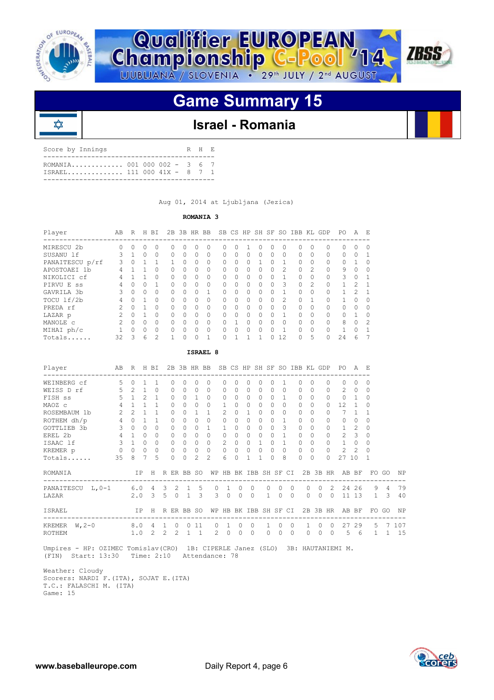

⋩



# **Game Summary 15**



| Score by Innings                                          | R H E |  |
|-----------------------------------------------------------|-------|--|
| ROMANIA 001 000 002 - 3 6 7<br>TSRAEL 111 000 41X - 8 7 1 |       |  |
|                                                           |       |  |

Aug 01, 2014 at Ljubljana (Jezica)

## **ROMANIA 3**

| Player          | AВ            | R        | H         | ВI       | 2B       |              | 3B HR BB |           |           |          | SB CS HP SH SF |              |              | SO.            | IBB                                    |                | KL GDP | PO.       | A             | E.       |
|-----------------|---------------|----------|-----------|----------|----------|--------------|----------|-----------|-----------|----------|----------------|--------------|--------------|----------------|----------------------------------------|----------------|--------|-----------|---------------|----------|
| MIRESCU 2b      | O             | 0        |           | 0        | Ω        | <sup>0</sup> | 0        |           |           | Ω        |                | 0            |              | $\Omega$       | ---------------------------------<br>0 | 0              | 0      | $\Omega$  | $\Omega$      |          |
| SUSANU 1f       | 3             |          | $\Omega$  | 0        | 0        | $\Omega$     | 0        | $\Omega$  | $\bigcap$ | 0        | $\Omega$       | $\Omega$     | $\Omega$     | $\Omega$       | $\Omega$                               | $\Omega$       | 0      | $\Omega$  | $\Omega$      |          |
| PANAITESCU p/rf | 3             | $\Omega$ |           |          |          | $\bigcap$    | $\Omega$ | $\Omega$  | $\cap$    | $\Omega$ | $\bigcap$      |              |              |                | <sup>0</sup>                           | $\Omega$       | 0      | $\bigcap$ |               |          |
| APOSTOAEI 1b    | 4             |          |           | 0        | 0        | $\bigcap$    | 0        | $\Omega$  | $\cap$    | 0        | $\bigcap$      | $\Omega$     | <sup>0</sup> | $\mathcal{L}$  | $\Omega$                               | $\mathfrak{D}$ | 0      | 9         | $\Omega$      | $\Omega$ |
| NIKOLICI cf     | 4             |          |           | $\Omega$ | O        | $\bigcap$    | $\Omega$ | $\Omega$  | $\cap$    | $\Omega$ | $\bigcap$      | $\cap$       | <sup>0</sup> |                | <sup>0</sup>                           | <sup>0</sup>   | 0      | 3         | $\Omega$      |          |
| PIRVU E<br>SS   | 4             | $\Omega$ | $\bigcap$ |          | Ω        | $\bigcap$    | $\Omega$ | $\Omega$  | $\bigcap$ | 0        | $\bigcap$      | $\Omega$     | $\Omega$     | 3              | $\Omega$                               | $\mathcal{D}$  | 0      |           | $\mathcal{P}$ |          |
| GAVRILA 3b      | 3             | $\Omega$ | $\Omega$  | 0        | Ω        | $\bigcap$    | $\Omega$ |           | $\cap$    | $\Omega$ | 0              | $\cap$       | $\Omega$     |                | $\cap$                                 | <sup>0</sup>   | 0      |           | $\mathcal{P}$ |          |
| TOCU 1f/2b      | 4             | $\Omega$ |           | 0        | 0        | 0            | 0        | $\Omega$  | $\bigcap$ | 0        | 0              | $\Omega$     | $\Omega$     | $\mathfrak{D}$ | 0                                      |                | 0      |           | $\Omega$      |          |
| PREDA rf        | $\mathcal{P}$ | O        |           | $\Omega$ | O.       | $\bigcap$    | O        | $\Omega$  | $\cap$    | $\Omega$ | $\bigcap$      | <sup>0</sup> | $\Omega$     | $\bigcap$      | $\cap$                                 | <sup>0</sup>   | 0      | $\cap$    | <sup>0</sup>  |          |
| LAZAR p         |               | $\Omega$ |           | 0        | $\Omega$ | $\bigcap$    | 0        | $\bigcap$ |           | 0        | 0              | $\Omega$     |              |                | 0                                      | 0              | 0      | $\bigcap$ |               |          |
| MANOLE C        | $\mathcal{P}$ | O        | $\bigcap$ | 0        | 0        | $\bigcap$    | O        | $\Omega$  | $\cap$    |          | $\Omega$       | <sup>0</sup> | O            | $\bigcap$      | <sup>0</sup>                           | <sup>0</sup>   | 0      | 8         | $\Omega$      | 2        |
| MIHAI ph/c      |               | O        | $\bigcap$ | $\Omega$ | O        | $\bigcap$    | $\Omega$ | $\bigcap$ |           | O        | $\Omega$       | $\Omega$     |              |                | $\Omega$                               | 0              | 0      |           | $\Omega$      |          |
| Totals          | 32            | २        | 6         | 2        |          | O            | $\cap$   |           |           |          |                |              |              | 12             | $\Omega$                               | 5              | O      | 24        | 6             |          |

| AB R H BI<br>2B 3B HR BB SB CS HP SH SF SO IBB KL GDP PO A E<br>Player<br>.5<br>WEINBERG cf<br>$\Omega$<br>$\mathbf{1}$<br>0<br>$\bigcap$<br>$\bigcap$<br>1<br>$\bigcap$<br>$\bigcap$<br>$\Omega$<br>$\Omega$<br>0<br>$\bigcap$<br>$\bigcap$<br>$\Omega$<br>0<br>$\bigcap$<br>0<br>0<br>$5 \t2 \t1$<br>WEISS D rf<br>$\Omega$<br>$\Omega$<br>$\mathcal{L}$<br>$\Omega$<br>$\Omega$<br>$\Omega$<br>$\Omega$<br>$\Omega$<br>$\Omega$<br>$\bigcap$<br>$\bigcap$<br>$\bigcap$<br>$\Omega$<br>$\Omega$<br>$\circ$<br>$\Omega$<br>0<br>.5<br>$\mathcal{P}$<br>$\mathbf{1}$<br>$\mathbf{1}$<br>$\Omega$<br>$\Omega$<br>$\Omega$<br>$\Omega$<br>$\Omega$<br>$\Omega$<br>$\Omega$<br>$\mathbf{1}$<br>$\Omega$<br>$\Omega$<br>$\Omega$<br>$\bigcap$<br>0<br>$\mathbf{1}$<br>FISH SS<br>0<br>$\overline{4}$<br>$\Omega$<br>$\Omega$<br>$\Omega$<br>12.<br>$\mathbf{1}$<br>$\mathbf{1}$<br>$\Omega$<br>$\cap$<br>$\mathbf{1}$<br>$\Omega$<br>MAOZ c<br>$\Omega$<br>$\bigcap$<br>$\bigcap$<br>$\bigcap$<br>$\Omega$<br>$\Omega$<br>0<br>$2^{\circ}$<br>$\mathcal{L}$<br>2<br>$\mathbf{1}$<br>$\mathbf{1}$<br>$\mathbf{1}$<br>$\mathbf{1}$<br>7<br>ROSEMBAUM 1b<br>$\Omega$<br>0<br>$\cap$<br>$\cap$<br>$\Omega$<br>1<br>$\mathbf{1}$<br>$\cap$<br>$\bigcap$<br>$\Omega$<br>$\mathbf{1}$<br>0<br>$4\quad 0$<br>ROTHEM dh/p<br>$\Omega$<br>$\mathbf{1}$<br>$\mathbf{1}$<br>$\Omega$<br>$\Omega$<br>$\Omega$<br>$\Omega$<br>$\Omega$<br>1<br>$\cap$<br>$\Omega$<br>$\Omega$<br>$\cap$<br>$\Omega$<br>$\Omega$<br>$\bigcap$<br>$\Omega$<br>$\Omega$<br>$3 -$<br>3<br>$\Omega$<br>$\Omega$<br>$\mathbf{1}$<br>GOTTLIEB 3b<br>$\Omega$<br>$\Omega$<br>$\Omega$<br>0<br>$\mathbf{1}$<br>1<br>$\Omega$<br>$\cap$<br>$\Omega$<br>$\Omega$<br>0<br>$\mathcal{L}$<br>$\Omega$<br>$\bigcap$<br>0<br>$4\phantom{0}$<br>$\mathcal{L}$<br>$\overline{\mathbf{3}}$<br>EREL 2b<br>$\Omega$<br>$\Omega$<br>$\Omega$<br>$\Omega$<br>$\Omega$<br>$\Omega$<br>$\mathbf{1}$<br>$\Omega$<br>$\mathbf{1}$<br>$\Omega$<br>$\cap$<br>$\Omega$<br>$\bigcap$<br>$\Omega$<br>$\Omega$<br>$\Omega$<br>$\Omega$ |                      |  |  |  |  |  |  | ISRAEL 8 |  |  |  |  |  |  |
|---------------------------------------------------------------------------------------------------------------------------------------------------------------------------------------------------------------------------------------------------------------------------------------------------------------------------------------------------------------------------------------------------------------------------------------------------------------------------------------------------------------------------------------------------------------------------------------------------------------------------------------------------------------------------------------------------------------------------------------------------------------------------------------------------------------------------------------------------------------------------------------------------------------------------------------------------------------------------------------------------------------------------------------------------------------------------------------------------------------------------------------------------------------------------------------------------------------------------------------------------------------------------------------------------------------------------------------------------------------------------------------------------------------------------------------------------------------------------------------------------------------------------------------------------------------------------------------------------------------------------------------------------------------------------------------------------------------------------------------------------------------------------------------------------------------------------------------------------------------------------------------------------------------------------------------------------------------------------------------------------------------------------------------------------------------------|----------------------|--|--|--|--|--|--|----------|--|--|--|--|--|--|
|                                                                                                                                                                                                                                                                                                                                                                                                                                                                                                                                                                                                                                                                                                                                                                                                                                                                                                                                                                                                                                                                                                                                                                                                                                                                                                                                                                                                                                                                                                                                                                                                                                                                                                                                                                                                                                                                                                                                                                                                                                                                     |                      |  |  |  |  |  |  |          |  |  |  |  |  |  |
|                                                                                                                                                                                                                                                                                                                                                                                                                                                                                                                                                                                                                                                                                                                                                                                                                                                                                                                                                                                                                                                                                                                                                                                                                                                                                                                                                                                                                                                                                                                                                                                                                                                                                                                                                                                                                                                                                                                                                                                                                                                                     |                      |  |  |  |  |  |  |          |  |  |  |  |  |  |
|                                                                                                                                                                                                                                                                                                                                                                                                                                                                                                                                                                                                                                                                                                                                                                                                                                                                                                                                                                                                                                                                                                                                                                                                                                                                                                                                                                                                                                                                                                                                                                                                                                                                                                                                                                                                                                                                                                                                                                                                                                                                     |                      |  |  |  |  |  |  |          |  |  |  |  |  |  |
|                                                                                                                                                                                                                                                                                                                                                                                                                                                                                                                                                                                                                                                                                                                                                                                                                                                                                                                                                                                                                                                                                                                                                                                                                                                                                                                                                                                                                                                                                                                                                                                                                                                                                                                                                                                                                                                                                                                                                                                                                                                                     |                      |  |  |  |  |  |  |          |  |  |  |  |  |  |
|                                                                                                                                                                                                                                                                                                                                                                                                                                                                                                                                                                                                                                                                                                                                                                                                                                                                                                                                                                                                                                                                                                                                                                                                                                                                                                                                                                                                                                                                                                                                                                                                                                                                                                                                                                                                                                                                                                                                                                                                                                                                     |                      |  |  |  |  |  |  |          |  |  |  |  |  |  |
|                                                                                                                                                                                                                                                                                                                                                                                                                                                                                                                                                                                                                                                                                                                                                                                                                                                                                                                                                                                                                                                                                                                                                                                                                                                                                                                                                                                                                                                                                                                                                                                                                                                                                                                                                                                                                                                                                                                                                                                                                                                                     |                      |  |  |  |  |  |  |          |  |  |  |  |  |  |
|                                                                                                                                                                                                                                                                                                                                                                                                                                                                                                                                                                                                                                                                                                                                                                                                                                                                                                                                                                                                                                                                                                                                                                                                                                                                                                                                                                                                                                                                                                                                                                                                                                                                                                                                                                                                                                                                                                                                                                                                                                                                     |                      |  |  |  |  |  |  |          |  |  |  |  |  |  |
|                                                                                                                                                                                                                                                                                                                                                                                                                                                                                                                                                                                                                                                                                                                                                                                                                                                                                                                                                                                                                                                                                                                                                                                                                                                                                                                                                                                                                                                                                                                                                                                                                                                                                                                                                                                                                                                                                                                                                                                                                                                                     |                      |  |  |  |  |  |  |          |  |  |  |  |  |  |
| $3 \quad 1$<br>2<br>$\mathbf{1}$<br>ISAAC lf<br>$\Omega$<br>$\Omega$<br>$\Omega$<br>$\Omega$<br>$\Omega$<br>$\mathbf{1}$<br>$\Omega$<br>$\mathbf{1}$<br>$\Omega$<br>$\Omega$<br>$\Omega$<br>$\circ$<br>$\Omega$<br>$\Omega$<br>$\Omega$<br>0                                                                                                                                                                                                                                                                                                                                                                                                                                                                                                                                                                                                                                                                                                                                                                                                                                                                                                                                                                                                                                                                                                                                                                                                                                                                                                                                                                                                                                                                                                                                                                                                                                                                                                                                                                                                                        |                      |  |  |  |  |  |  |          |  |  |  |  |  |  |
| $0\quad 0\quad 0$<br>$0\quad 0\quad 0$<br>$\circ$<br>$0\quad 0$<br>$2^{1}$<br>$\overline{2}$<br>$\circ$<br>$\Omega$<br>$\Omega$<br>$\Omega$<br>$\Omega$<br>$\Omega$<br>$\Omega$<br>$\Omega$<br>$\Omega$<br>KREMER p                                                                                                                                                                                                                                                                                                                                                                                                                                                                                                                                                                                                                                                                                                                                                                                                                                                                                                                                                                                                                                                                                                                                                                                                                                                                                                                                                                                                                                                                                                                                                                                                                                                                                                                                                                                                                                                 |                      |  |  |  |  |  |  |          |  |  |  |  |  |  |
| $\overline{7}$<br>$\mathfrak{D}$<br>6<br>35<br>.5<br>$\Omega$<br>$\mathcal{L}$<br>$\mathbf{1}$<br>8<br>27 10<br>Totals<br>8<br>$\Omega$<br>$\Omega$<br>$\mathbf{1}$<br>$\bigcap$<br>$\Omega$<br>$\bigcap$<br>$\Omega$<br>-1                                                                                                                                                                                                                                                                                                                                                                                                                                                                                                                                                                                                                                                                                                                                                                                                                                                                                                                                                                                                                                                                                                                                                                                                                                                                                                                                                                                                                                                                                                                                                                                                                                                                                                                                                                                                                                         |                      |  |  |  |  |  |  |          |  |  |  |  |  |  |
| IP H R ER BB SO WP HB BK IBB SH SF CI<br>2B 3B HR AB BF<br>ROMANIA                                                                                                                                                                                                                                                                                                                                                                                                                                                                                                                                                                                                                                                                                                                                                                                                                                                                                                                                                                                                                                                                                                                                                                                                                                                                                                                                                                                                                                                                                                                                                                                                                                                                                                                                                                                                                                                                                                                                                                                                  | FO GO NP             |  |  |  |  |  |  |          |  |  |  |  |  |  |
| 9<br>PANAITESCU L, 0-1 6.0 4 3 2 1 5<br>$\Omega$<br>$\Omega$<br>2<br>24 26<br>$\Omega$<br>1<br>$\Omega$<br>$\Omega$<br>$\cap$<br>$\bigcap$<br>$\cap$                                                                                                                                                                                                                                                                                                                                                                                                                                                                                                                                                                                                                                                                                                                                                                                                                                                                                                                                                                                                                                                                                                                                                                                                                                                                                                                                                                                                                                                                                                                                                                                                                                                                                                                                                                                                                                                                                                                | 79<br>$\overline{4}$ |  |  |  |  |  |  |          |  |  |  |  |  |  |
| 3<br>$2.0 \quad 3$<br>$\mathbf{1}$<br>$\Omega$<br>$5^{\circ}$<br>$\Omega$<br>$\overline{1}$<br>$\mathcal{R}$<br>$\Omega$<br>$\Omega$<br>$\Omega$<br>$\Omega$<br>$11\;13\;1$<br>$\Omega$<br>$\Omega$<br>$\Omega$<br>LAZAR                                                                                                                                                                                                                                                                                                                                                                                                                                                                                                                                                                                                                                                                                                                                                                                                                                                                                                                                                                                                                                                                                                                                                                                                                                                                                                                                                                                                                                                                                                                                                                                                                                                                                                                                                                                                                                            | 40<br>3              |  |  |  |  |  |  |          |  |  |  |  |  |  |
| 2B 3B HR<br>WP HB BK IBB SH SF CI<br>AB BF<br>ISRAEL<br>IP.<br>R ER BB SO<br>FO GO<br>H                                                                                                                                                                                                                                                                                                                                                                                                                                                                                                                                                                                                                                                                                                                                                                                                                                                                                                                                                                                                                                                                                                                                                                                                                                                                                                                                                                                                                                                                                                                                                                                                                                                                                                                                                                                                                                                                                                                                                                             | ΝP                   |  |  |  |  |  |  |          |  |  |  |  |  |  |
| 8.0 4 1<br>KREMER $W, 2-0$<br>$0 \t 0 \t 11$<br>$\Omega$<br>$\Omega$<br>$\mathbf{1}$<br>$\Omega$<br>27<br>29<br>$\Omega$<br>$\overline{1}$<br>$\Omega$<br>$\mathbf{1}$<br>$\bigcirc$<br>$\bigcirc$                                                                                                                                                                                                                                                                                                                                                                                                                                                                                                                                                                                                                                                                                                                                                                                                                                                                                                                                                                                                                                                                                                                                                                                                                                                                                                                                                                                                                                                                                                                                                                                                                                                                                                                                                                                                                                                                  | 5 7 107              |  |  |  |  |  |  |          |  |  |  |  |  |  |
| $2^{1}$<br>$1 \quad 1$<br>1.0<br>$\mathcal{L}$<br>$2^{\circ}$<br>$\Omega$<br>$\bigcap$<br>5<br>2<br>$\Omega$<br>$\Omega$<br>$\Omega$<br>$\Omega$<br>$\Omega$<br>$\Omega$<br>- 6<br>ROTHEM<br><sup>0</sup><br>$\mathbf{1}$                                                                                                                                                                                                                                                                                                                                                                                                                                                                                                                                                                                                                                                                                                                                                                                                                                                                                                                                                                                                                                                                                                                                                                                                                                                                                                                                                                                                                                                                                                                                                                                                                                                                                                                                                                                                                                           | 15<br>1              |  |  |  |  |  |  |          |  |  |  |  |  |  |

 Umpires - HP: OZIMEC Tomislav(CRO) 1B: CIPERLE Janez (SLO) 3B: HAUTANIEMI M. (FIN) Start: 13:30 Time: 2:10 Attendance: 78

 Weather: Cloudy Scorers: NARDI F.(ITA), SOJAT E.(ITA) T.C.: FALASCHI M. (ITA) Game: 15

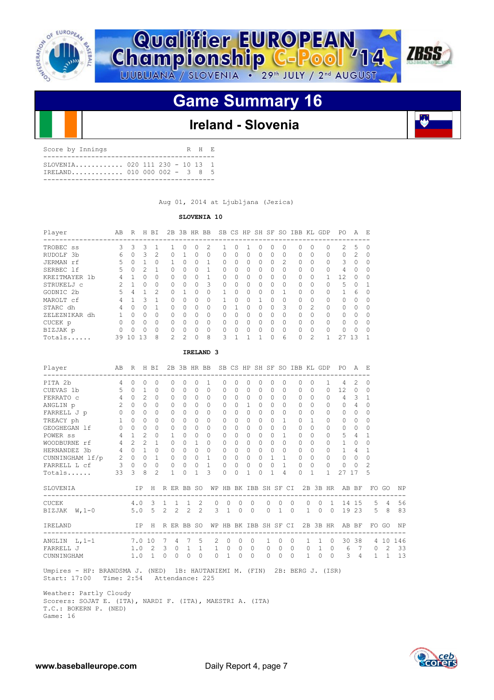



# **Game Summary 16**

## **Ireland - Slovenia**

| Score by Innings                                                | R H R |  |
|-----------------------------------------------------------------|-------|--|
| $SLOVENIA$ 020 111 230 - 10 13 1<br>TRELAND 010 000 002 - 3 8 5 |       |  |
|                                                                 |       |  |

Aug 01, 2014 at Ljubljana (Jezica)

## **SLOVENIA 10**

| Player               | AВ | R        | Η        | ВI             | 2В            | 3B           | HR       | BB           |   |   | SB CS HP SH  |          | SF       | SO            | IBB                                 | KL             | GDP      | PO.           | A             | E |
|----------------------|----|----------|----------|----------------|---------------|--------------|----------|--------------|---|---|--------------|----------|----------|---------------|-------------------------------------|----------------|----------|---------------|---------------|---|
| TROBEC <sub>ss</sub> | 3. | 3        | 3        |                |               | O            | O        | 2            |   | Ω |              | U        |          | 0             | ------------------------------<br>0 | 0              | 0        | $\mathcal{L}$ | 5             | 0 |
| RUDOLF<br>- 3b       | 6  | $\Omega$ | 3        | 2              | 0             |              | O        | 0            | 0 | 0 | $\Omega$     | $\Omega$ | $\cup$   | $\Omega$      | $\Omega$                            | 0              | $\Omega$ | $\Omega$      | $\mathcal{L}$ | O |
| JERMAN rf            | 5  | $\Omega$ |          | $\Omega$       |               | U            | O        |              |   | Ω | <sup>0</sup> | O        | U        | $\mathcal{L}$ | $\Omega$                            | 0              | $\Omega$ | 3             | O             |   |
| SERBEC 1f            | 5. | $\Omega$ | 2        |                | 0             | 0            | $\Omega$ |              | O | 0 | $\Omega$     | $\Omega$ | $^{(1)}$ | $\Omega$      | $\Omega$                            | 0              | $\Omega$ | 4             | $\Omega$      |   |
| KREITMAYER 1b        | 4  |          |          | 0              | 0             | U            | $\Omega$ |              |   | 0 | <sup>0</sup> | O        | ∩        | $\Omega$      | $\Omega$                            | O              |          | 12            | O             |   |
| STRUKELJ C           |    |          | 0        | $\Omega$       | 0             | 0            | $\Omega$ | 3            | O | 0 | 0            | 0        | 0        | $\Omega$      | $\Omega$                            | 0              | 0        | 5             | $\Omega$      |   |
| GODNIC <sub>2b</sub> | 5  | 4        |          | $\mathfrak{D}$ | $\Omega$      |              | O        | <sup>0</sup> |   | O | <sup>0</sup> | $\Omega$ | Λ        | 1             | $\cap$                              | O              | $\Omega$ |               | 6             |   |
| MAROLT cf            | 4  |          | ٦        |                | 0             | 0            | $\Omega$ | 0            |   | 0 | 0            |          | 0        | $\Omega$      | $\Omega$                            | 0              | 0        | $\Omega$      | $\Omega$      |   |
| STARC dh             | 4  | $\Omega$ |          |                | O.            | O            | O        | $\bigcap$    |   |   | <sup>0</sup> | $\Omega$ | ∩        | 3             | $\Omega$                            | $\mathfrak{D}$ | $\Omega$ | $\Omega$      | O             |   |
| ZELEZNIKAR<br>dh     |    | $\Omega$ |          | $\Omega$       | O.            | O            | O        | $\bigcap$    |   | Ω | 0            | O        | 0        | $\Omega$      | $\Omega$                            | 0              | $\Omega$ | $\Omega$      | $\Omega$      |   |
| CUCEK p              | 0  | $\Omega$ | 0        | $\Omega$       | $\Omega$      | <sup>0</sup> | $\Omega$ | $\bigcap$    | ∩ | O | <sup>0</sup> | $\Omega$ | O.       | $\Omega$      | $\cap$                              | O              | $\Omega$ | $\bigcap$     | O             | U |
| BIZJAK p             | 0  | $\Omega$ |          | $\Omega$       | 0             | 0            | O        | $\bigcap$    |   | Ω | <sup>0</sup> | O        | n        | $\Omega$      | $\Omega$                            | 0              | $\Omega$ | $\Omega$      | $\Omega$      |   |
| Totals               | 39 | $\Omega$ | $13^{-}$ | 8              | $\mathcal{P}$ | っ            | $\cap$   | 8            | २ |   |              |          |          | 6             | $\Omega$                            | 2              |          |               | 13            |   |

 **IRELAND 3**

| Player<br>---------------------- | AB              | $\,$ R         |                             | H BI         |                         |          | 2B 3B HR BB  |               |                |                       |           |                |           |              |                |            | SB CS HP SH SF SO IBB KL GDP |              |                | PO.<br>--------------- | A             | E        |       |     |
|----------------------------------|-----------------|----------------|-----------------------------|--------------|-------------------------|----------|--------------|---------------|----------------|-----------------------|-----------|----------------|-----------|--------------|----------------|------------|------------------------------|--------------|----------------|------------------------|---------------|----------|-------|-----|
| PITA 2b                          | $\overline{4}$  | $\Omega$       | 0                           | $\Omega$     |                         | $\Omega$ | 0            | $\Omega$      | $\mathbf{1}$   | $\Omega$              | $\Omega$  | $\Omega$       | $\Omega$  | $\Omega$     | $\Omega$       |            | $\bigcap$                    | $\Omega$     | $\mathbf{1}$   | 4                      | $\mathcal{L}$ | $\Omega$ |       |     |
| CUEVAS 1b                        | 5               | $\Omega$       | 1                           | $\Omega$     |                         | $\Omega$ | 0            | $\Omega$      | $\bigcap$      | $\Omega$              | 0         | 0              | $\Omega$  | O            | $\Omega$       |            | $\bigcap$                    | $\bigcap$    | 0              | 12                     | $\Omega$      | 0        |       |     |
| FERRATO C                        | $\overline{4}$  | $\Omega$       | $\mathfrak{D}$              | $\Omega$     |                         | 0        | $\Omega$     | $\cap$        | $\Omega$       | $\Omega$              | $\Omega$  | $\Omega$       | $\Omega$  | $\bigcap$    | $\Omega$       |            | <sup>0</sup>                 | $\Omega$     | 0              | 4                      | 3             | 1        |       |     |
| ANGLIN p                         | 2               | $\Omega$       | $\Omega$                    | $\bigcap$    |                         | $\Omega$ | O            | $\bigcap$     | $\Omega$       | $\Omega$              | $\bigcap$ | 1.             | $\bigcap$ | $\bigcap$    | $\bigcap$      |            | <sup>0</sup>                 | $\Omega$     | 0              | $\bigcap$              | 4             | 0        |       |     |
| FARRELL J p                      | $\circ$         | $\Omega$       | $\Omega$                    | $\Omega$     |                         | $\Omega$ | 0            | $\Omega$      | $\Omega$       | $\Omega$              | $\Omega$  | $\Omega$       | $\Omega$  | $\Omega$     | $\Omega$       |            | $\Omega$                     | $\Omega$     | 0              | $\Omega$               | $\Omega$      | 0        |       |     |
| TREACY ph                        | $\mathbf{1}$    | $\Omega$       | 0                           | 0            |                         | 0        | 0            | 0             | $\Omega$       | 0                     | $\bigcap$ | $\Omega$       | $\bigcap$ | $\bigcap$    | 1              |            | $\bigcap$                    | $\mathbf{1}$ | 0              | $\Omega$               | $\Omega$      | 0        |       |     |
| GEOGHEGAN 1f                     | $\Omega$        | $\Omega$       | $\Omega$                    | $\Omega$     |                         | $\Omega$ | O            | $\bigcap$     | $\Omega$       | $\Omega$              | $\Omega$  | $\Omega$       | $\bigcap$ | $\Omega$     | $\Omega$       |            | $\cap$                       | $\Omega$     | 0              | $\bigcap$              | $\Omega$      | 0        |       |     |
| POWER <sub>ss</sub>              | $\overline{4}$  | $\mathbf{1}$   | $\mathfrak{D}$              | $\bigcap$    |                         | 1.       | 0            | $\Omega$      | $\Omega$       | $\Omega$              | $\bigcap$ | $\Omega$       | $\bigcap$ | $\bigcap$    | 1              |            | $\bigcap$                    | $\Omega$     | 0              | 5.                     | 4             | 1        |       |     |
| WOODBURNE rf                     | $\overline{4}$  | $\mathfrak{D}$ | $\mathcal{D}_{\mathcal{L}}$ | 1            |                         | $\Omega$ | O            | 1.            | $\Omega$       | $\Omega$              | $\Omega$  | 0              | $\bigcap$ | $\cap$       | $\cap$         |            | $\bigcap$                    | $\bigcap$    | 0              | 1                      | $\Omega$      | $\Omega$ |       |     |
| HERNANDEZ 3b                     | $4\overline{ }$ | $\Omega$       | 1.                          | $\Omega$     |                         | $\Omega$ | $\Omega$     | $\Omega$      | $\Omega$       | $\Omega$              | $\bigcap$ | $\Omega$       | $\Omega$  | $\Omega$     | $\Omega$       |            | $\Omega$                     | $\Omega$     | 0              | $\mathbf{1}$           | 4             | 1        |       |     |
| CUNNINGHAM lf/p                  | 2               | $\circ$        | 0                           | $\mathbf{1}$ |                         | $\circ$  | 0            | $\Omega$      | $\mathbf{1}$   | 0                     | $\Omega$  | $\Omega$       | $\Omega$  | $\mathbf{1}$ | 1.             |            | $\Omega$                     | $\Omega$     | 0              | $\Omega$               | $\Omega$      | 0        |       |     |
| FARRELL L cf                     | 3               | $\Omega$       | $\mathbf 0$                 | $\Omega$     |                         | $\circ$  | $\Omega$     | $\Omega$      | $\overline{1}$ | $\circ$               | $\Omega$  | $\Omega$       | $\Omega$  | $\Omega$     | 1              |            | $\cap$                       | $\Omega$     | 0              | $\Omega$               | $\Omega$      | 2        |       |     |
| Totals                           | 33              | 3              | 8                           | 2            |                         | 1.       | 0            | 1.            | $\mathcal{L}$  | $\Omega$              | $\bigcap$ | $\mathbf{1}$   | $\cap$    | 1            | 4              |            | $\bigcap$                    | $\mathbf{1}$ | 1.             | 27                     | 17            | 5        |       |     |
| SLOVENIA                         |                 |                | IP.                         | H            |                         |          | R ER BB SO   |               |                | WP HB BK IBB SH SF CI |           |                |           |              |                |            |                              |              |                | 2B 3B HR AB BF         |               |          | FO GO | ΝP  |
| <b>CUCEK</b>                     |                 |                | $4.0$ 3                     |              | $\mathbf{1}$            |          | $1 \quad 1$  | 2             | $\Omega$       | $\Omega$              | $\Omega$  | $\Omega$       |           | $\Omega$     | $\Omega$       | $\Omega$   | $\Omega$                     | $\Omega$     | $\mathbf{1}$   | 14                     | 1.5           | -5       | 4     | 56  |
| BIZJAK W, 1-0                    |                 |                |                             |              |                         |          | 5.0 5 2 2 2  | $\mathcal{L}$ |                | $3 \quad 1$           | $\Omega$  | $\overline{0}$ |           | $\Omega$     | $\overline{1}$ | $\bigcirc$ | $\mathbf{1}$                 | $\circ$      | $\overline{0}$ |                        | 19 23         | .5       | -8    | 83  |
| IRELAND                          |                 |                | IP.                         | $-H$         |                         |          | R ER BB SO   |               |                | WP HB BK IBB SH SF CI |           |                |           |              |                |            |                              |              |                | 2B 3B HR AB BF         |               |          | FO GO | ΝP  |
| ANGLIN $L, 1-1$                  |                 | 7.0 10         |                             |              | 7                       | 4        | 7            | 5             | $\mathcal{L}$  | $\Omega$              | $\Omega$  | $\Omega$       |           | $\mathbf{1}$ | $\Omega$       | $\Omega$   | $\mathbf{1}$                 | $\mathbf{1}$ | $\circ$        | 30                     | 38            |          | 4 10  | 146 |
| FARRELL J                        |                 |                | 1.0 2                       |              | $\overline{\mathbf{3}}$ | $\circ$  | $\mathbf{1}$ | 1             | 1              | $\overline{0}$        | $\circ$   | $\circ$        |           | $\mathbf{0}$ | $\Omega$       | $\circ$    | $\mathbf{0}$                 | $\mathbf{1}$ | $\overline{0}$ | 6                      | 7             | $\circ$  | 2     | 33  |
| CUNNINGHAM                       |                 | 1.0            |                             | 1            | $\Omega$                | $\Omega$ | $\Omega$     | $\Omega$      | $\Omega$       | 1                     | $\Omega$  | $\Omega$       |           | $\Omega$     | $\Omega$       | $\Omega$   | 1                            | $\Omega$     | $\Omega$       | 3                      | 4             | 1.       | 1     | 13  |

 Umpires - HP: BRANDSMA J. (NED) 1B: HAUTANIEMI M. (FIN) 2B: BERG J. (ISR) Start: 17:00 Time: 2:54 Attendance: 225

 Weather: Partly Cloudy Scorers: SOJAT E. (ITA), NARDI F. (ITA), MAESTRI A. (ITA) T.C.: BOKERN P. (NED) Game: 16

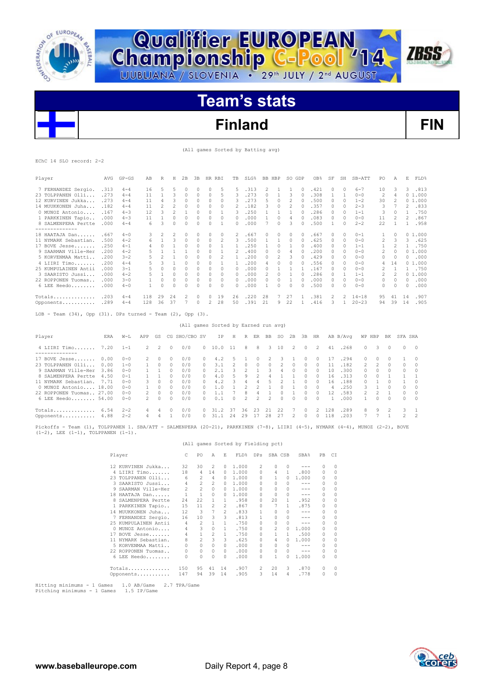



**Qualifier EUROPEAN<br>Championship C-Pool '14** 

# **Finland FIN**

**ZBSS** 

(All games Sorted by Batting avg)

|  | EChC 14 SLO record: 2-2 |  |
|--|-------------------------|--|
|  |                         |  |

| Player                                                                                                                                                                       | AVG        | $GP - GS$                                 | AB               | R              | H                       | 2B             | 3B                      |                | HR RBI         | TB                                   | $SLG$ <sup>8</sup> |                |              | BB HBP           | SO GDP                  |                                                                                                                                                                                                                                                                                                                                                                                                       | OB%           | SF                        | SH             | SB-ATT       | PO                | Α                 |               | E FLD%                         |
|------------------------------------------------------------------------------------------------------------------------------------------------------------------------------|------------|-------------------------------------------|------------------|----------------|-------------------------|----------------|-------------------------|----------------|----------------|--------------------------------------|--------------------|----------------|--------------|------------------|-------------------------|-------------------------------------------------------------------------------------------------------------------------------------------------------------------------------------------------------------------------------------------------------------------------------------------------------------------------------------------------------------------------------------------------------|---------------|---------------------------|----------------|--------------|-------------------|-------------------|---------------|--------------------------------|
| 7 FERNANDEZ Sergio. .313                                                                                                                                                     |            | $4 - 4$                                   | 16               | 5              | 5                       | $\circ$        | $\circ$                 | 0              | 5              | 5                                    | .313               |                | 2            | 1                | 1                       | $\circ$                                                                                                                                                                                                                                                                                                                                                                                               | .421          | $\circ$                   | $\circ$        | $6 - 7$      | 10                | 3                 | $\mathcal{R}$ | .813                           |
| 23 TOLPPANEN Olli                                                                                                                                                            | .273       | $4 - 4$                                   | 11               | 1              | 3                       | 0              | 0                       | 0              | 5              | 3                                    | .273               |                | 0            | 1                | 3                       | 0                                                                                                                                                                                                                                                                                                                                                                                                     | .308          | 1                         | 1              | $0 - 0$      | 2                 | 4                 |               | 01.000                         |
| 12 KURVINEN Jukka . 273                                                                                                                                                      |            | $4 - 4$                                   | 11               | $\overline{4}$ | 3                       | $\circ$        | $\circ$                 | $\circ$        | $\circ$        | 3                                    | .273               |                | 5            | $\circ$          | 2                       | $\circ$                                                                                                                                                                                                                                                                                                                                                                                               | .500          | $\circ$                   | $\circ$        | $1 - 2$      | 30                | 2                 |               | 01.000                         |
| 14 MUUKKONEN Juha . 182                                                                                                                                                      |            | $4 - 4$                                   | 11               | $\overline{c}$ | $\overline{2}$          | $\Omega$       | $\circ$                 | $\Omega$       | $\mathbb O$    | $\overline{c}$                       | .182               |                | 3            | $\Omega$         | $\overline{c}$          | $\circ$                                                                                                                                                                                                                                                                                                                                                                                               | .357          | $\Omega$                  | $\circ$        | $2 - 3$      | 3                 | 7                 |               | 2 .833                         |
| 0 MUNOZ Antonio . 167                                                                                                                                                        |            | $4 - 3$                                   | 12               | 3              | $\overline{2}$          | 1              | 0                       | 0              | $\mathbf{1}$   | 3                                    | .250               |                | $\mathbf{1}$ | $\mathbf{1}$     | $\mathbf{1}$            | $\circ$                                                                                                                                                                                                                                                                                                                                                                                               | .286          | 0                         | $\circ$        | $1 - 1$      | 3                 | 0                 | $\mathbf{1}$  | .750                           |
| 1 PARKKINEN Tapio . 000                                                                                                                                                      |            | $4 - 3$                                   | 11               | $\mathbf{1}$   | $\Omega$                | $\circ$        | $\circ$                 | $\circ$        | $\circ$        | 0                                    | .000               |                | $\mathbf{1}$ | 0                | $\overline{4}$          | $\circ$                                                                                                                                                                                                                                                                                                                                                                                               | .083          | $\bigcap$                 | $\circ$        | $0 - 0$      | 11                | 2                 |               | 2.867                          |
| 8 SALMENPERA Pertte .000                                                                                                                                                     |            | $4 - 4$                                   | 6                | 3              | 0                       | 0              | 0                       | $\Omega$       | 1              | $\Omega$                             | .000               |                | $\tau$       | 0                | 3                       | $\circ$                                                                                                                                                                                                                                                                                                                                                                                               | .500          | 1                         | 0              | $2 - 2$      | 22                | 1                 | 1             | .958                           |
| --------------<br>18 HAATAJA Dan . 667                                                                                                                                       |            | $4 - 0$                                   | 3                | 2              | $\overline{2}$          | $\circ$        | 0                       | $\circ$        | $\circ$        | 2                                    | .667               |                | 0            | $\circ$          | $\circ$                 | $\circ$                                                                                                                                                                                                                                                                                                                                                                                               | .667          | $\circ$                   | $\circ$        | $0 - 1$      | 1                 | 0                 |               | 01.000                         |
| 11 NYMARK Sebastian. .500                                                                                                                                                    |            | $4 - 2$                                   | 6                | $\mathbf{1}$   | 3                       | $\Omega$       | $\circ$                 | $\Omega$       | $\overline{c}$ | 3                                    | .500               |                | $\mathbf{1}$ | $\overline{1}$   | $\Omega$                | $\Omega$                                                                                                                                                                                                                                                                                                                                                                                              | .625          | $\cap$                    | $\Omega$       | $0 - 0$      | 2                 | 3                 | 3             | .625                           |
| 17 BOVE Jesse .250                                                                                                                                                           |            | $4 - 1$                                   | 4                | $\Omega$       | $\mathbf{1}$            | $\circ$        | $\circ$                 | $\Omega$       | 1              | 1                                    | .250               |                | 1            | $\Omega$         | 1                       | $\circ$                                                                                                                                                                                                                                                                                                                                                                                               | .400          | $\Omega$                  | $\circ$        | $1 - 1$      | 1                 | 2                 | 1             | .750                           |
| 9 SAARMAN Ville-Her .200                                                                                                                                                     |            | $4 - 2$                                   | 5                | $\mathbf{1}$   | $\mathbf{1}$            | $\mathbf{1}$   | $\Omega$                | $\Omega$       | $\mathbf{1}$   | $\mathfrak{D}$                       | .400               |                | $\Omega$     | $\Omega$         | $\overline{4}$          | $\Omega$                                                                                                                                                                                                                                                                                                                                                                                              | .200          | $\bigcap$                 | $\Omega$       | $0 - 0$      | $\overline{c}$    | $\Omega$          |               | 01.000                         |
| 5 KORVENMAA Matti . 200                                                                                                                                                      |            | $3 - 2$                                   | 5                | 2              | $\mathbf{1}$            | $\circ$        | 0                       | 0              | 2              | 1                                    | .200               |                | 0            | 2                | 3                       | $\circ$                                                                                                                                                                                                                                                                                                                                                                                               | .429          | 0                         | $\circ$        | $0 - 0$      | 0                 | 0                 | $\mathcal{O}$ | .000                           |
| 4 LIIRI Timo                                                                                                                                                                 | .200       | $4 - 4$                                   | 5                | 3              | 1                       | $\circ$        | $\circ$                 | $\circ$        | 1              | 1                                    | .200               |                | 4            | $\circ$          | $\circ$                 | $\circ$                                                                                                                                                                                                                                                                                                                                                                                               | .556          | $\circ$                   | $\circ$        | $0 - 0$      | 4                 | 14                |               | 01.000                         |
| 25 KUMPULAINEN Antii .000                                                                                                                                                    |            | $3 - 1$                                   | 5                | $\circ$        | $\circ$                 | $\circ$        | $\circ$                 | $\circ$        | $\circ$        | $\circ$                              | .000               |                | 0            | $\mathbf{1}$     | $\mathbf{1}$            | <sup>1</sup>                                                                                                                                                                                                                                                                                                                                                                                          | .167          | $\circ$                   | $\circ$        | $0 - 0$      | 2                 | $\mathbf{1}$      | $\mathbf{1}$  | .750                           |
| 3 SAARISTO Jussi .000                                                                                                                                                        |            | $4 - 2$                                   | $\overline{n}_i$ | $\mathbf{1}$   | $\circ$                 | $\circ$        | $\circ$                 | $\circ$        | $\circ$        | $\Omega$                             | .000               |                | 2            | $\Omega$         | $\mathbf{1}$            | $\circ$                                                                                                                                                                                                                                                                                                                                                                                               | .286          | $\Omega$                  | $\overline{1}$ | $1 - 1$      | $\overline{2}$    | 2                 |               | 01.000                         |
| 22 ROPPONEN Tuomas . 000                                                                                                                                                     |            | $3 - 0$                                   | $\mathbf{1}$     | $\circ$        | $\circ$                 | $\circ$        | 0                       | 0              | 0              | 0                                    | .000               |                | 0            | 0                | $\mathbf{1}$            | $\circ$                                                                                                                                                                                                                                                                                                                                                                                               | .000          | 0                         | $\circ$        | $0 - 0$      | $\Omega$          | 0                 | $\circ$       | .000                           |
| 6 LEE Heedo .000                                                                                                                                                             |            | $4 - 0$                                   | $\mathbf{1}$     | $\circ$        | $\circ$                 | 0              | 0                       | $\cap$         | 0              | $\cap$                               | .000               |                | $\mathbf{1}$ | 0                | $\circ$                 | $\cap$                                                                                                                                                                                                                                                                                                                                                                                                | .500          | 0                         | $\circ$        | $0 - 0$      | 0                 | 0                 | 0             | .000                           |
|                                                                                                                                                                              |            |                                           |                  |                |                         |                |                         |                |                |                                      |                    |                |              |                  |                         |                                                                                                                                                                                                                                                                                                                                                                                                       |               |                           |                |              |                   |                   |               |                                |
| $Totals$ .203                                                                                                                                                                |            | $4 - 4$                                   | 118              | 29             | 24                      | 2              | $\circ$                 | $\circ$        | 19             | 26                                   | .220               |                | 28           | 7                | 27                      | $\mathbf{1}$                                                                                                                                                                                                                                                                                                                                                                                          | .381          | 2                         | 2              | $14 - 18$    | 95                |                   | 41 14         | .907                           |
| Opponents .289                                                                                                                                                               |            | $4 - 4$                                   | 128              | 36             | 37                      | 7              | $\circ$                 | 2              | 28             | 50                                   | .391               |                | 21           | 9                | 22                      | 1                                                                                                                                                                                                                                                                                                                                                                                                     | .416          | 3                         | 1              | $20 - 23$    |                   |                   | 94 39 14      | .905                           |
| LOB - Team $(34)$ , Opp $(31)$ . DPs turned - Team $(2)$ , Opp $(3)$ .                                                                                                       |            |                                           |                  |                |                         |                |                         |                |                |                                      |                    |                |              |                  |                         |                                                                                                                                                                                                                                                                                                                                                                                                       |               |                           |                |              |                   |                   |               |                                |
|                                                                                                                                                                              |            |                                           |                  |                |                         |                |                         |                |                | (All games Sorted by Earned run avg) |                    |                |              |                  |                         |                                                                                                                                                                                                                                                                                                                                                                                                       |               |                           |                |              |                   |                   |               |                                |
|                                                                                                                                                                              |            |                                           |                  |                |                         |                |                         |                |                |                                      |                    |                |              |                  |                         |                                                                                                                                                                                                                                                                                                                                                                                                       |               |                           |                |              |                   |                   |               |                                |
| Player                                                                                                                                                                       | <b>ERA</b> | $W-T$                                     | APP              | GS             |                         | CG SHO/CBO SV  |                         |                | TP             | H                                    |                    | R ER BB        |              | SO <sub>3</sub>  | 2B                      | 3B                                                                                                                                                                                                                                                                                                                                                                                                    | HR            |                           | AB B/Avq       |              | WP HBP BK SFA SHA |                   |               |                                |
| 4 LIIRI Timo 7.20<br>--------------                                                                                                                                          |            | $1 - 1$                                   | $\mathfrak{D}$   | $\overline{c}$ | 0                       | 0/0            |                         | 0              | 10.0           | 11                                   | 8                  | 8              | 3            | 10               | 2                       | 0                                                                                                                                                                                                                                                                                                                                                                                                     | 2             | 41                        | .268           | $\Omega$     | 3                 | $\Omega$          | $\Omega$      | 0                              |
| 17 BOVE Jesse 0.00                                                                                                                                                           |            | $0 - 0$                                   | 2                | $\circ$        | $\Omega$                | 0/0            |                         | 0              | 4.2            | 5                                    | $\mathbf{1}$       | 0              | 2            | 3                | $\overline{1}$          | 0                                                                                                                                                                                                                                                                                                                                                                                                     | $\circ$       | 17                        | .294           | 0            | $\Box$            | $\Omega$          | 1             | $\Omega$                       |
| 23 TOLPPANEN Olli 0.00                                                                                                                                                       |            | $1 - 0$                                   | 1                | $\circ$        | 0                       | 0/0            |                         | 0              | 3.1            | 2                                    | $\circ$            | $\circ$        | $\circ$      | 2                | 0                       | $\circ$                                                                                                                                                                                                                                                                                                                                                                                               | $\circ$       | 11                        | .182           | 2            | 2                 | 0                 | 0             | $\circ$                        |
| 9 SAARMAN Ville-Her 3.86                                                                                                                                                     |            | $0 - 0$                                   | $\mathbf{1}$     | $\mathbf{1}$   | $\Omega$                | 0/0            |                         | 0              | 2.1            | 3                                    | 2                  | $\mathbf{1}$   | 3            | $\overline{4}$   | $\Omega$                | $\Omega$                                                                                                                                                                                                                                                                                                                                                                                              | $\circ$       | 10                        | .300           | $\Omega$     | $\cap$            | $\cap$            | $\Omega$      | $\Omega$                       |
| 8 SALMENPERA Pertte 4.50                                                                                                                                                     |            | $0 - 1$                                   | $\mathbf{1}$     | 1              | $\Omega$                | 0/0            |                         | $\Omega$       | 4.0            | 5                                    | 9                  | 2              | 4            | 1                | $\mathbf{1}$            | 0                                                                                                                                                                                                                                                                                                                                                                                                     | $\circ$       | 16                        | .313           | 0            | $\circ$           | $\mathbf{1}$      | $\mathbf{1}$  | 1                              |
| 11 NYMARK Sebastian. 7.71                                                                                                                                                    |            | $0 - 0$                                   | 3                | $\circ$        | $\cap$                  | 0/0            |                         | 0              | 4.2            | 3                                    | 4                  | 4              | 5            | 2                | $\mathbf{1}$            | 0                                                                                                                                                                                                                                                                                                                                                                                                     | $\circ$       | 16                        | .188           | 0            | 1                 | $\cap$            | $\mathbf{1}$  | $\Omega$                       |
| 0 MUNOZ Antonio 18.00                                                                                                                                                        |            | $0 - 0$                                   | -1               | $\circ$        | $\Omega$                | 0/0            |                         | 0              | 1.0            | $\overline{1}$                       | 2                  | 2              | $\mathbf{1}$ | $\Omega$         | $\overline{1}$          | $\Omega$                                                                                                                                                                                                                                                                                                                                                                                              | $\Box$        | $\overline{4}$            | .250           | 3            | $\overline{1}$    | $\Omega$          | $\Omega$      | $\Omega$                       |
| 22 ROPPONEN Tuomas 27.00                                                                                                                                                     |            | $0 - 0$                                   | 2                | 0              | 0                       | 0/0            |                         | 0              | 1.1            | 7                                    | 8                  | 4              | $\mathbf{1}$ | 0                | 1                       | 0                                                                                                                                                                                                                                                                                                                                                                                                     | 0             | 12                        | .583           | 2            | 2                 | 1                 | 0             | $\Omega$                       |
| 6 LEE Heedo 54.00                                                                                                                                                            |            | $0 - 0$                                   | $\overline{c}$   | $\circ$        | 0                       | 0/0            |                         | $\Omega$       | 0.1            | $\mathbb O$                          | $\overline{c}$     | $\overline{2}$ | 2            | $\Omega$         | $\circ$                 | $\Omega$                                                                                                                                                                                                                                                                                                                                                                                              | $\circ$       | $\overline{1}$            | .000           | $\mathbf{1}$ | 0                 | $\Omega$          | 0             | $\circ$                        |
|                                                                                                                                                                              |            |                                           |                  |                |                         |                |                         |                |                |                                      |                    |                |              |                  |                         |                                                                                                                                                                                                                                                                                                                                                                                                       |               |                           |                |              |                   |                   |               |                                |
| Totals $6.54$<br>Opponents 4.88                                                                                                                                              |            | $2 - 2$<br>$2 - 2$                        | 4<br>4           | 4<br>4         | $\circ$<br>$\mathbf{1}$ | 0/0<br>0/0     |                         | 0<br>0         | 31.2<br>31.1   | 37<br>24                             | 36<br>29           | 23<br>17       | 21<br>28     | 22<br>27         | 7<br>2                  | $\circ$<br>0                                                                                                                                                                                                                                                                                                                                                                                          | 2<br>$\circ$  | 128<br>118                | .289<br>.203   | 8<br>7       | 9<br>7            | 2<br>$\mathbf{1}$ | 3<br>2        | $\mathbf{1}$<br>$\overline{2}$ |
|                                                                                                                                                                              |            |                                           |                  |                |                         |                |                         |                |                |                                      |                    |                |              |                  |                         |                                                                                                                                                                                                                                                                                                                                                                                                       |               |                           |                |              |                   |                   |               |                                |
| Pickoffs - Team (1), TOLPPANEN 1. SBA/ATT - SALMENPERA (20-21), PARKKINEN (7-8), LIIRI (4-5), NYMARK (4-4), MUNOZ (2-2), BOVE<br>$(1-2)$ , LEE $(1-1)$ , TOLPPANEN $(1-1)$ . |            |                                           |                  |                |                         |                |                         |                |                |                                      |                    |                |              |                  |                         |                                                                                                                                                                                                                                                                                                                                                                                                       |               |                           |                |              |                   |                   |               |                                |
|                                                                                                                                                                              |            |                                           |                  |                |                         |                |                         |                |                | (All games Sorted by Fielding pct)   |                    |                |              |                  |                         |                                                                                                                                                                                                                                                                                                                                                                                                       |               |                           |                |              |                   |                   |               |                                |
|                                                                                                                                                                              |            |                                           |                  |                |                         |                |                         |                |                |                                      |                    |                |              |                  |                         |                                                                                                                                                                                                                                                                                                                                                                                                       |               |                           |                |              |                   |                   |               |                                |
|                                                                                                                                                                              |            | Player                                    |                  |                |                         | $\mathbb C$    | PO                      | Α              | Ε              |                                      |                    |                |              | FLD% DPs SBA CSB |                         | <b>SBA%</b>                                                                                                                                                                                                                                                                                                                                                                                           | PB            | -CT                       |                |              |                   |                   |               |                                |
|                                                                                                                                                                              |            | 12 KURVINEN Jukka                         |                  |                |                         | 32             | 30                      | $\overline{2}$ | $\circ$        | 1,000                                |                    | 2              |              | $\Omega$         | $\Omega$                | $\sim$ $\sim$ $\sim$                                                                                                                                                                                                                                                                                                                                                                                  | $\Omega$      | $\Omega$                  |                |              |                   |                   |               |                                |
|                                                                                                                                                                              |            | 4 LIIRI Timo                              |                  |                |                         | 18             | $\overline{4}$          | 14             | $\circ$        | 1.000                                |                    | $\Omega$       |              | $\overline{4}$   | $\mathbf{1}$            | .800                                                                                                                                                                                                                                                                                                                                                                                                  |               | 0<br>$\Omega$             |                |              |                   |                   |               |                                |
|                                                                                                                                                                              |            | 23 TOLPPANEN Olli                         |                  |                |                         | - 6            | $\overline{c}$          | 4              | 0              | 1.000                                |                    | 0              |              | 1                | $\circ$                 | 1.000                                                                                                                                                                                                                                                                                                                                                                                                 | 0             | $\Omega$                  |                |              |                   |                   |               |                                |
|                                                                                                                                                                              |            | 3 SAARISTO Jussi                          |                  |                |                         | $\overline{4}$ | 2                       | 2              | 0              |                                      | 1,000              | $\circ$        |              | $\Omega$         | $\circ$                 | $\frac{1}{2}$                                                                                                                                                                                                                                                                                                                                                                                         | $\Omega$      | $\Omega$                  |                |              |                   |                   |               |                                |
|                                                                                                                                                                              |            | 9 SAARMAN Ville-Her                       |                  |                |                         | 2              | 2                       | 0              | 0              |                                      | 1.000              | 0              |              | 0                | $\bigcap$               | $\sim$ $\sim$ $\sim$                                                                                                                                                                                                                                                                                                                                                                                  | 0             | $\Omega$                  |                |              |                   |                   |               |                                |
|                                                                                                                                                                              |            | 18 HAATAJA Dan                            |                  |                |                         | $\mathbf{1}$   | 1                       | $\circ$        | $\Omega$       |                                      | 1.000              | $\circ$        |              | $\circ$          | $\Omega$                | $\frac{1}{2} \frac{1}{2} \frac{1}{2} \frac{1}{2} \frac{1}{2} \frac{1}{2} \frac{1}{2} \frac{1}{2} \frac{1}{2} \frac{1}{2} \frac{1}{2} \frac{1}{2} \frac{1}{2} \frac{1}{2} \frac{1}{2} \frac{1}{2} \frac{1}{2} \frac{1}{2} \frac{1}{2} \frac{1}{2} \frac{1}{2} \frac{1}{2} \frac{1}{2} \frac{1}{2} \frac{1}{2} \frac{1}{2} \frac{1}{2} \frac{1}{2} \frac{1}{2} \frac{1}{2} \frac{1}{2} \frac{$          | $\Omega$      | $\Omega$                  |                |              |                   |                   |               |                                |
|                                                                                                                                                                              |            | 8 SALMENPERA Pertte                       |                  |                |                         | 24             | 22                      | $\overline{1}$ | $\mathbf{1}$   |                                      | .958               | $\circ$        |              | 20               | $\mathbf{1}$            | .952                                                                                                                                                                                                                                                                                                                                                                                                  | $\Omega$      | $\Omega$                  |                |              |                   |                   |               |                                |
|                                                                                                                                                                              |            | 1 PARKKINEN Tapio                         |                  |                |                         | 1.5            | 11                      | 2              | $\mathcal{P}$  |                                      | .867               | $\circ$        |              | 7                | $\mathbf{1}$            | .875                                                                                                                                                                                                                                                                                                                                                                                                  | $\Omega$      | $\cap$                    |                |              |                   |                   |               |                                |
|                                                                                                                                                                              |            | 14 MUUKKONEN Juha                         |                  |                |                         | 12             | $\overline{\mathbf{3}}$ | 7              | 2              |                                      | .833               | -1             |              | $\Omega$         | $\circ$                 | $\frac{1}{2} \frac{1}{2} \frac{1}{2} \frac{1}{2} \frac{1}{2} \frac{1}{2} \frac{1}{2} \frac{1}{2} \frac{1}{2} \frac{1}{2} \frac{1}{2} \frac{1}{2} \frac{1}{2} \frac{1}{2} \frac{1}{2} \frac{1}{2} \frac{1}{2} \frac{1}{2} \frac{1}{2} \frac{1}{2} \frac{1}{2} \frac{1}{2} \frac{1}{2} \frac{1}{2} \frac{1}{2} \frac{1}{2} \frac{1}{2} \frac{1}{2} \frac{1}{2} \frac{1}{2} \frac{1}{2} \frac{$          | $\Omega$      | $\Omega$                  |                |              |                   |                   |               |                                |
|                                                                                                                                                                              |            | 7 FERNANDEZ Sergio.                       |                  |                |                         | 16             | 10                      | 3              | 3              |                                      | .813               | $\mathbf{1}$   |              | $\Omega$         | $\Omega$                | $\frac{1}{2}$<br>$\frac{1}{2}$                                                                                                                                                                                                                                                                                                                                                                        | $\Omega$      | 0                         |                |              |                   |                   |               |                                |
|                                                                                                                                                                              |            | 25 KUMPULAINEN Antii                      |                  |                |                         | $\frac{4}{3}$  | $\overline{2}$          | 1              | 1              |                                      | .750               | $\circ$        |              | 0                | $\circ$                 |                                                                                                                                                                                                                                                                                                                                                                                                       | 0             | $\Omega$                  |                |              |                   |                   |               |                                |
|                                                                                                                                                                              |            | 0 MUNOZ Antonio                           |                  |                |                         | $\overline{4}$ | 3                       | $\circ$<br>2   | $\mathbf{1}$   |                                      | .750               | $\circ$        |              | 2                | $\circ$<br>$\mathbf{1}$ | 1.000                                                                                                                                                                                                                                                                                                                                                                                                 |               | 0<br>$\Omega$<br>$\Omega$ |                |              |                   |                   |               |                                |
|                                                                                                                                                                              |            | 17 BOVE Jesse                             |                  |                |                         | $\overline{4}$ | 1                       |                | $\mathbf{1}$   |                                      | .750               | $\circ$        |              | 1                | $\Box$                  | .500                                                                                                                                                                                                                                                                                                                                                                                                  |               | 0<br>$\Omega$             |                |              |                   |                   |               |                                |
|                                                                                                                                                                              |            | 11 NYMARK Sebastian.<br>5 KORVENMAA Matti |                  |                |                         | 8<br>$\Omega$  | 2<br>$\circ$            | 3<br>$\Omega$  | 3<br>$\Omega$  |                                      | .625<br>.000       | 0<br>$\Omega$  |              | 4<br>0           | $\Omega$                | 1.000<br>$\frac{1}{2} \frac{1}{2} \frac{1}{2} \frac{1}{2} \frac{1}{2} \frac{1}{2} \frac{1}{2} \frac{1}{2} \frac{1}{2} \frac{1}{2} \frac{1}{2} \frac{1}{2} \frac{1}{2} \frac{1}{2} \frac{1}{2} \frac{1}{2} \frac{1}{2} \frac{1}{2} \frac{1}{2} \frac{1}{2} \frac{1}{2} \frac{1}{2} \frac{1}{2} \frac{1}{2} \frac{1}{2} \frac{1}{2} \frac{1}{2} \frac{1}{2} \frac{1}{2} \frac{1}{2} \frac{1}{2} \frac{$ | 0<br>$\Omega$ | $\Omega$                  |                |              |                   |                   |               |                                |
|                                                                                                                                                                              |            | 22 ROPPONEN Tuomas                        |                  |                |                         | $\circ$        | $\circ$                 | $\Omega$       | $\Omega$       |                                      | .000               | $\Omega$       |              | 0                | $\circ$                 | $\frac{1}{2} \frac{1}{2} \frac{1}{2} \frac{1}{2} \frac{1}{2} \frac{1}{2} \frac{1}{2} \frac{1}{2} \frac{1}{2} \frac{1}{2} \frac{1}{2} \frac{1}{2} \frac{1}{2} \frac{1}{2} \frac{1}{2} \frac{1}{2} \frac{1}{2} \frac{1}{2} \frac{1}{2} \frac{1}{2} \frac{1}{2} \frac{1}{2} \frac{1}{2} \frac{1}{2} \frac{1}{2} \frac{1}{2} \frac{1}{2} \frac{1}{2} \frac{1}{2} \frac{1}{2} \frac{1}{2} \frac{$          | 0             | $\cap$                    |                |              |                   |                   |               |                                |
|                                                                                                                                                                              |            | $6$ LEE Heedo                             |                  |                |                         | $\Omega$       | $\circ$                 | $\cap$         | $\Omega$       |                                      | .000               | $\Omega$       |              | 1                | $\cap$                  | 1.000                                                                                                                                                                                                                                                                                                                                                                                                 | $\cap$        | $\cap$                    |                |              |                   |                   |               |                                |
|                                                                                                                                                                              |            |                                           |                  |                |                         |                |                         |                |                |                                      |                    |                |              |                  |                         |                                                                                                                                                                                                                                                                                                                                                                                                       |               |                           |                |              |                   |                   |               |                                |

Hitting minimums - 1 Games 1.0 AB/Game 2.7 TPA/Game Pitching minimums - 1 Games 1.5 IP/Game

Totals.............. 150 95 41 14 .907 2 20 3 .870 0 0 Opponents........... 147 94 39 14 .905 3 14 4 .778 0 0

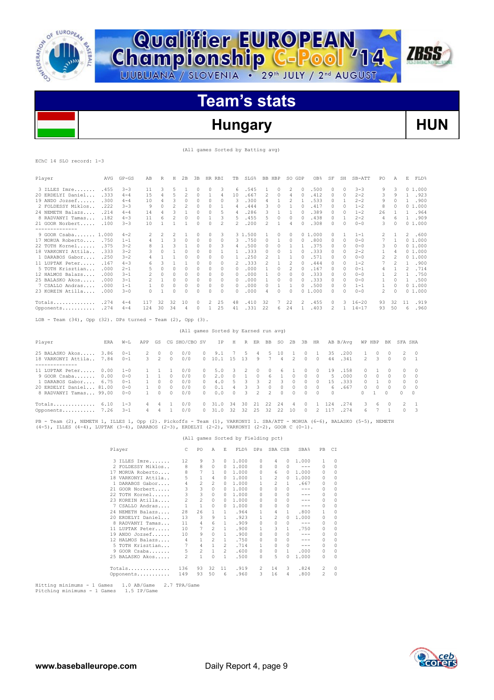

**Championship C-Pool** 14

# **Hungary HUN**

(All games Sorted by Batting avg)

**ZBSS** 

|  | EChC 14 SLO record: 1-3 |  |
|--|-------------------------|--|

| Player                              | AVG  | $GP - GS$ | AB  | R                        | Н              | 2B       | 3B | HR RBI   |                          | TB       | $SLG$ <sup>8</sup> | BB. | HBP      | SO GDP   |          | OB <sub>8</sub> | SF       | SH       | SB-ATT    | PO.            | Α            | Е           | FLD%   |
|-------------------------------------|------|-----------|-----|--------------------------|----------------|----------|----|----------|--------------------------|----------|--------------------|-----|----------|----------|----------|-----------------|----------|----------|-----------|----------------|--------------|-------------|--------|
| 3 ILLES Imre                        | .455 | $3 - 3$   | 11  | 3                        | 5              |          |    | $\Omega$ | 3                        | 6        | .545               |     | $\circ$  | 2        | $\Box$   | .500            | $\Omega$ | $\Omega$ | $3 - 3$   | 9              | 3            |             | 01.000 |
| 20 ERDELYI Daniel                   | .333 | $4 - 4$   | 1.5 | 4                        | 5              | 2        | 0  |          | 4                        | 10       | .667               | 2   | $\Omega$ | 4        |          | .412            | $\Omega$ | $\Omega$ | $2 - 2$   | 3              | 9            |             | .923   |
| 19 ANDO Jozsef                      | .300 | $4 - 4$   | 10  | 4                        | 3              | $\Omega$ | U  | $\cap$   | 0                        | २        | .300               |     |          |          |          | .533            | $\Omega$ |          | $2 - 2$   | 9              | 0            |             | .900   |
| 2 FOLDESSY Miklos                   | .222 | $3 - 3$   | 9   |                          | $\mathcal{D}$  | 2        | U  | $\Omega$ |                          | 4        | .444               | 3   | $\Omega$ |          |          | .417            | $\cap$   | $\Omega$ | $1 - 2$   | 8              |              |             | 01.000 |
| 24 NEMETH Balazs                    | .214 | $4 - 4$   | 14  | 4                        | 3              |          | O  | $\Omega$ | 5                        | 4        | .286               | 3   |          |          |          | .389            | $\Omega$ | $\Omega$ | $1 - 2$   | 26             |              |             | .964   |
| 8 RADVANYI Tamas                    | .182 | $4 - 3$   | 11  | 6                        |                | 0        | 0  |          | 3                        | 5        | .455               |     | $\Omega$ | $\Omega$ |          | .438            | $\Omega$ |          | $2 - 2$   | 4              | 6            |             | .909   |
| 21 GOOR Norbert                     | .100 | $3 - 3$   | 10  |                          |                |          | 0  | $\Omega$ | $\overline{\mathcal{L}}$ | 2        | .200               | 2   |          | 4        |          | .308            | $\Omega$ | $\Omega$ | $0 - 0$   | 3.             | $\Omega$     |             | 01.000 |
| -------------<br>9 GOOR Csaba 1.000 |      | $4 - 2$   | 2   | $\overline{\phantom{a}}$ | $\overline{2}$ |          | 0  | $\Omega$ | 3                        |          | 3 1.500            |     | 0        | 0        |          | 01.000          |          |          | $1 - 1$   | 2              |              | $2^{\circ}$ | .600   |
| 17 MORUA Roberto                    | .750 | $1 - 1$   | 4   |                          | 3              | 0        | 0  | 0        | 0                        | 3        | .750               | 0   |          | 0        | 0        | .800            | 0        | 0        | $0 - 0$   |                |              |             | 01.000 |
| 22 TOTH Kornel                      | .375 | $3 - 2$   |     |                          |                |          | 0  | $\Omega$ | 3                        | 4        | .500               | 0   | 0        |          |          | .375            |          | $\Omega$ | $0 - 0$   | 3              | 0            |             | 01.000 |
| 18 VARKONYI Attila.                 | .333 | $3 - 2$   |     | $\Omega$                 |                | $\Omega$ | U  | $\Omega$ |                          |          | .333               | U   | $\cap$   |          |          | .333            | 0        | $\Omega$ | $2 - 2$   |                | 4            |             | 01.000 |
| 1 DARABOS Gabor                     | .250 | $3 - 2$   |     |                          |                | $\Omega$ | n  | $\Omega$ | 0                        |          | .250               |     |          |          |          | .571            | 0        | $\Omega$ | $0 - 0$   | 2              |              |             | 01.000 |
| 11 LUPTAK Peter                     | .167 | $4 - 3$   | 6   | З                        |                |          |    | $\Omega$ | 0                        |          | .333               | 2   |          |          |          | .444            | $\Omega$ | $\Omega$ | $1 - 2$   |                | 2            |             | .900   |
| 5 TOTH Krisztian                    | .000 | $2 - 1$   |     | $\Omega$                 | $\Omega$       | $\Omega$ | 0  | $\Omega$ | 0                        | $\Omega$ | .000               |     | $\Omega$ |          |          | .167            | 0        | $\Omega$ | $0 - 1$   | 4              |              | 2           | .714   |
| 12 HALMOS Balazs                    | .000 | $3 - 1$   | 2   | 0                        | $\mathcal{O}$  | 0        | 0  | $\Omega$ | 0                        | $\Omega$ | .000               |     | $\Omega$ | 0        | $\Omega$ | .333            | 0        | 0        | $0 - 0$   |                | 2            |             | .750   |
| 25 BALASKO Akos                     | .000 | $3 - 1$   | 2   |                          |                | $\Omega$ | 0  | $\Omega$ | 0                        | $\Omega$ | . 000              |     | $\Omega$ | 0        |          | .333            | 0        | $\Omega$ | $0 - 0$   |                | 0            |             | .500   |
| 7 CSALLO Andras                     | .000 | $1 - 1$   |     | $\Omega$                 | $\Omega$       | 0        | 0  | 0        | 0                        | $\Omega$ | .000               | 0   |          |          |          | .500            | O.       | $\cap$   | $1 - 1$   |                | $\Omega$     |             | 01.000 |
| 23 KOREIN Atilla                    | .000 | $3 - 0$   | 0   |                          | n              | $\Omega$ |    | n        | O                        |          | .000               | 4   |          | O        | O.       | 1,000           | $\cap$   | $\cap$   | $0 - 0$   | $\mathfrak{D}$ | <sup>0</sup> |             | 01.000 |
| Totals                              | .274 | $4 - 4$   | 117 | 32                       | 32             | 10       | 0  | 2        | 25                       | 48       | .410               | 32  | 7        | 22       | 2        | .455            | $\Box$   | 3        | $16 - 20$ | 93             | 32           | 11          | .919   |
| Opponents                           | .274 | $4 - 4$   | 124 | 30                       | 34             | 4        | n. |          | 2.5                      | 41       | .331               | 22  | 6.       | 24       |          | .403            | 2        |          | $14 - 17$ | 93             | 50           | 6           | .960   |

LOB - Team (34), Opp (32). DPs turned - Team (2), Opp (3).

## (All games Sorted by Earned run avg)

| Player                                     | ERA  | $W-L$               | APP                | GS                        |                      | CG SHO/CBO SV                                                                                 |               | IP.           | H      |               | R ER          | <b>BB</b>     | SO.     | 2B             | 3B                 | HR       |          | AB B/Aνα                                   |               | WP HBP       | BK                 | SFA SHA |                            |
|--------------------------------------------|------|---------------------|--------------------|---------------------------|----------------------|-----------------------------------------------------------------------------------------------|---------------|---------------|--------|---------------|---------------|---------------|---------|----------------|--------------------|----------|----------|--------------------------------------------|---------------|--------------|--------------------|---------|----------------------------|
| 25 BALASKO Akos<br>18 VARKONYI Attila 7.84 | 3.86 | $0 - 1$<br>$() - 1$ | $\mathcal{P}$<br>3 | $\Omega$<br>$\mathcal{P}$ | $\Omega$<br>$\Omega$ | 0/0<br>0/0                                                                                    | 0             | 9.1<br>0 10.1 | 1.5    | 5.<br>13      | 4<br>9        | -5            | 10<br>4 | 2              | $\Omega$<br>$\cap$ | $\Omega$ | 35<br>44 | .200<br>.341                               | $\mathcal{P}$ | $\cap$<br>3. | $\Omega$<br>$\cap$ |         | $2 \quad 0$<br>$0 \quad 1$ |
|                                            |      |                     |                    |                           |                      |                                                                                               |               |               |        |               |               |               |         |                |                    |          |          |                                            |               |              |                    |         |                            |
| 11 LUPTAK Peter 0.00                       |      | $1 - 0$             |                    |                           |                      | 0/0                                                                                           | $\cap$        | 5.0           | -3.    | $\mathcal{D}$ | $\Box$        | $\Box$        | h.      |                | $\Box$             | $\Omega$ | 19       | .158                                       |               |              | $\Box$             |         | $\bigcirc$                 |
| 9 GOOR Csaba 0.00                          |      | $0 - 0$             |                    |                           | $\Omega$             | 0/0                                                                                           | $\mathcal{L}$ | 2.0           | $\cap$ |               | $\cap$        | 6             |         | $\Omega$       | $\Omega$           | $\Omega$ | -5       | .000.                                      | $\cap$        | $\cap$       |                    |         | $\bigcirc$                 |
| 1 DARABOS Gabor 6.75                       |      | $() - 1$            |                    | 0                         | $\Omega$             | 0/0                                                                                           | ∩.            | 4.0           | 5.     |               |               |               | 3.      | $\Omega$       | $\Omega$           | n.       | 1.5      | .333                                       |               |              | $\Box$             | 0       | $\bigcirc$                 |
| 20 ERDELYI Daniel 81.00                    |      | $0 - 0$             |                    | $\cap$                    | $\Omega$             | 0/0                                                                                           | $\cap$        | 0.1           | 4      | २             | 3             | $\cap$        | $\cap$  | $\Omega$       | $\Omega$           | $\cap$   |          | 6.667                                      | $\cap$        | $\cap$       | $\cap$             |         | $\overline{0}$             |
| 8 RADVANYI Tamas 99.00                     |      | $0 - 0$             |                    | $\cap$                    | <sup>0</sup>         | 0/0                                                                                           | 0             | 0.0           | $\cap$ | $\mathcal{R}$ | $\mathcal{P}$ | $\mathcal{P}$ | $\cap$  | $\Omega$       | $\cap$             | $\cap$   | $\cap$   |                                            | $\Omega$      |              | $\Omega$           | O.      | $\Omega$                   |
| $Totals$ $6.10$                            |      | $1 - 3$             | 4                  | 4                         |                      | 0/0                                                                                           | $\Omega$      | 31.0          | 34     | 30            | - 21          | 22            | 24      | $\overline{a}$ | $\cap$             |          | 2.4      | .274                                       | 3.            | $6^{\circ}$  | $\cap$             |         | $2 \quad 1$                |
| Opponents 7.26                             |      | $3 - 1$             | 4                  | 4                         |                      | 0/0                                                                                           | $\Omega$      | 31.0          | 32     |               | 32, 25        | 32            | 22      | 10             | $\cap$             |          | 2 117    | .274                                       | $6 -$         |              |                    |         | $0 \quad 3$                |
| וזרסו שהסוגר בין היה החרות היה מה          |      | TTTDO 1             |                    |                           |                      | $O_{\text{NMS}}$ (2) $D_{2}^{2}$ okeffe $D_{\text{NMS}}$ (1) $U_{2}^{2}$ $D_{\text{NMS}}$ (1) |               |               |        |               |               |               |         |                |                    |          |          | CD3/3000 MODIIS (C C) D3T3CVO (E E) MEMBOU |               |              |                    |         |                            |

PB - Team (2), NEMETH 1, ILLES 1, Opp (2). Pickoffs - Team (1), VARKONYI 1. SBA/ATT - MORUA (6-6), BALASKO (5-5), NEMETH (4-5), ILLES (4-4), LUPTAK (3-4), DARABOS (2-3), ERDELYI (2-2), VARKONYI (2-2), GOOR C (0-1).

## (All games Sorted by Fielding pct)

| Player               | C            | PO             | A              | E  | FLD%  | <b>DPs</b> | SBA CSB        |          | SBA%    | PB           | СI       |
|----------------------|--------------|----------------|----------------|----|-------|------------|----------------|----------|---------|--------------|----------|
| 3 ILLES Imre         | 12           | 9              | 3              | 0  | 1,000 | 0          | 4              | $\Omega$ | 1,000   | $\mathbf{1}$ | $\Omega$ |
| 2 FOLDESSY Miklos    | 8            | 8              | $\Omega$       | 0  | 1,000 | 0          | $\Omega$       | 0        | $- - -$ | $\Omega$     | $\Omega$ |
| 17 MORUA Roberto     | 8            | 7              | 1              | 0  | 1,000 | 0          | 6              | 0        | 1,000   | 0            | $\Omega$ |
| 18 VARKONYI Attila   | 5            | 1              | 4              | 0  | 1,000 |            | $\mathfrak{D}$ | 0        | 1.000   | 0            | $\Omega$ |
| 1 DARABOS Gabor      | 4            | $\mathfrak{D}$ | $\mathfrak{D}$ | 0  | 1,000 |            | 2              | 1        | .667    | 0            | $\Omega$ |
| GOOR Norbert<br>21.  | 3            | 3              | $\Omega$       | 0  | 1,000 | 0          | $\Omega$       | 0        | $- - -$ | 0            | $\Omega$ |
| 22 TOTH Kornel       | 3            | 3              | $\Omega$       | 0  | 1,000 | 0          | $\Omega$       | 0        | $- - -$ | 0            | $\Omega$ |
| 23 KOREIN Atilla     | 2            | 2              | $\Omega$       | 0  | 1,000 | 0          | $\Omega$       | 0        | $- - -$ | 0            | 0        |
| 7 CSALLO Andras      | $\mathbf{1}$ | 1              | $\Omega$       | 0  | 1,000 | 0          | $\Omega$       | 0        | $- - -$ | 0            | $\Omega$ |
| 24 NEMETH Balazs     | 28           | 26             |                |    | .964  |            | 4              | 1        | .800    | $\mathbf{1}$ | $\Omega$ |
| 20 ERDELYI Daniel    | 13           | 3              | 9              | 1  | .923  |            | 2              | 0        | 1,000   | 0            | $\Omega$ |
| RADVANYI Tamas<br>8. | 11           | 4              | 6              | 1  | .909  | 0          | 0              | 0        | $- - -$ | 0            | $\Omega$ |
| 11 LUPTAK Peter      | 10           |                | $\mathfrak{D}$ | 1. | .900  |            | 3              | 1.       | .750    | 0            | $\Omega$ |
| 19 ANDO Jozsef       | 10           | 9              | $\Omega$       | 1  | .900  | 0          | $\Omega$       | n        | $- - -$ | 0            | $\Omega$ |
| 12 HALMOS Balazs     | 4            | 1              | 2              | 1. | .750  | 0          | $\Omega$       | 0        | $- - -$ | 0            | $\Omega$ |
| 5 TOTH Krisztian     | 7            | 4              | 1              | 2  | .714  |            | $\Omega$       | 0        | $- - -$ | 0            | $\Omega$ |
| $GOOR$ $Csaba$<br>9  | 5            | 2              | 1              | 2  | .600  | 0          | 0              | 1.       | .000    | 0            | 0        |
| 25 BALASKO Akos      | 2            | $\mathbf{1}$   | $\Omega$       | 1  | .500  | 0          | 5              | 0        | 1,000   | 0            | $\Omega$ |
| Totals               | 136          | 93             | 32             | 11 | .919  | 2          | 14             | 3        | .824    | 2            | $\Omega$ |
| Opponents            | 149          | 93             | 50             | 6  | .960  | 3          | 16             | 4        | .800    | 2            | $\Omega$ |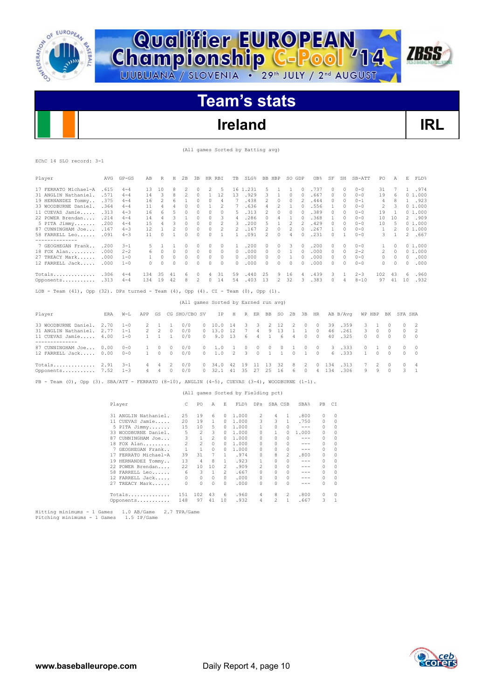

**Championship C-Pool** 14

# **Ireland IRL**

**ZBSS** 

(All games Sorted by Batting avg)

|  | EChC 14 SLO record: 3-1 |  |
|--|-------------------------|--|
|  |                         |  |

| Player                                                                                               | AVG  | $GP - GS$ | AВ             | R              | Н            | 2B            | 3B             | HR RBI       |                | TB                                   |          | SLG%    | BB HBP           |              | SO GDP         |              | OB <sub>8</sub> | SF       | SH           | SB-ATT       | PO           | Α            | E        | FLD%           |
|------------------------------------------------------------------------------------------------------|------|-----------|----------------|----------------|--------------|---------------|----------------|--------------|----------------|--------------------------------------|----------|---------|------------------|--------------|----------------|--------------|-----------------|----------|--------------|--------------|--------------|--------------|----------|----------------|
| 17 FERRATO Michael-A                                                                                 | .615 | $4 - 4$   | 13             | 10             | 8            | 2             | 0              | 2            | -5             |                                      | 16 1.231 |         | 5                | 1            | 1              | $\Omega$     | .737            | $\circ$  | 0            | $0 - 0$      | 31           | 7            |          | 1.974          |
| 31 ANGLIN Nathaniel.                                                                                 | .571 | $4 - 4$   | 14             | 3              | 8            | 2             | $\Omega$       | $\mathbf{1}$ | 12             | 13                                   | .929     |         | 3                | 1            | 0              | $\Omega$     | .667            | $\circ$  | $\Omega$     | $0 - 0$      | 19           | 6            |          | 01.000         |
| 19 HERNANDEZ Tommy                                                                                   | .375 | $4 - 4$   | 16             | 2              | 6            | $\mathbf{1}$  | 0              | $\circ$      | 4              | 7                                    |          | .438    | 2                | 0            | 0              | 2            | .444            | 0        | 0            | $0 - 1$      | 4            | 8            |          | 1 .923         |
| 33 WOODBURNE Daniel.                                                                                 | .364 | $4 - 4$   | 11             | 4              | 4            | $\circ$       | 0              | $\mathbf{1}$ | 2              | 7                                    |          | .636    | 4                | 2            | 1              | $\Omega$     | .556            | 1        | $\circ$      | $0 - 0$      | 2            | 3            |          | 01.000         |
| 11 CUEVAS Jamie                                                                                      | .313 | $4 - 3$   | 16             | 6              | 5            | 0             | $\circ$        | $\Omega$     | 0              | 5                                    | .313     |         | 2                | 0            | $\circ$        | 0            | .389            | $\circ$  | 0            | $0 - 0$      | 19           | 1            |          | 01.000         |
| 22 POWER Brendan                                                                                     | .214 | $4 - 4$   | 14             | 4              | 3            | 1             | $\circ$        | $\circ$      | 3              | 4                                    |          | .286    | 0                | 4            | 1              | 0            | .368            | 1        | 0            | $0 - 0$      | 10           | 10           |          | 2.909          |
| 5 PITA Jimmy                                                                                         | .200 | $4 - 4$   | 15             | $\overline{4}$ | 3            | $\circ$       | 0              | $\circ$      | $\overline{c}$ | 3                                    | .200     |         | 5                | $\mathbf{1}$ | 2              | 2            | .429            | $\circ$  | 0            | $0 - 0$      | 10           | 5            |          | 01.000         |
| 87 CUNNINGHAM Joe                                                                                    | .167 | $4 - 3$   | 12             | 1              | 2            | 0             | 0              | 0            | 2              | $\overline{2}$                       | .167     |         | $\overline{c}$   | 0            | 2              | $\Box$       | .267            | 1        | 0            | $0 - 0$      | $\mathbf{1}$ | 2            |          | 01.000         |
| 58 FARRELL Leo<br>--------------                                                                     | .091 | $4 - 3$   | 11             | $\Omega$       | 1            | $\Omega$      | $\Omega$       | $\Omega$     | $\mathbf{1}$   | $\mathbf{1}$                         | .091     |         | $\overline{c}$   | $\Omega$     | 4              | $\Omega$     | .231            | $\Omega$ | $\mathbf{1}$ | $0 - 0$      | 3            | $\mathbf{1}$ |          | 2.667          |
| 7 GEOGHEGAN Frank                                                                                    | .200 | $3 - 1$   | 5              | 1.             | 1            | 0             | $\mathcal{O}$  | $\Omega$     | 0              | $\mathbf{1}$                         | .200     |         | 0                | $\Omega$     | 3              | $\Box$       | .200            | $\circ$  | 0            | $0 - 0$      | 1            | $\Omega$     |          | 01.000         |
| 18 FOX Alan                                                                                          | .000 | $2 - 2$   | 6              | $\Omega$       | $\Omega$     | $\circ$       | 0              | $\Omega$     | $\Omega$       | $\Omega$                             |          | .000    | 0                | $\circ$      | 1              | $\Box$       | .000            | $\circ$  | $\circ$      | $2 - 2$      | 2            | $\Omega$     |          | 01.000         |
| 27 TREACY Mark                                                                                       | .000 | $1 - 0$   | 1              | $\Omega$       | $\Omega$     | $\circ$       | $\Omega$       | 0            | $\Omega$       | $\Omega$                             |          | .000    | 0                | $\circ$      | 1              | $\Box$       | .000            | $\circ$  | $\Omega$     | $0 - 0$      | 0            | 0            | $\Omega$ | .000           |
| 12 FARRELL Jack                                                                                      | .000 | $1 - 0$   | $\Omega$       | $\circ$        | $\circ$      | $\circ$       | 0              | 0            | $\circ$        | $\Omega$                             | .000     |         | 0                | $\circ$      | $\circ$        | $\Omega$     | .000            | $\circ$  | $\circ$      | $0 - 0$      | 0            | $\Omega$     | 0        | .000           |
| Totals                                                                                               | .306 | $4 - 4$   | 134 35         |                | 41           | 6             | 0              | 4            | 31             | 59                                   |          | .440    | 25               | 9            | 16             | 4            | .439            | 3        | 1            | $2 - 3$      | 102          | 43           | 6        | .960           |
| Opponents                                                                                            | .313 | $4 - 4$   | 134 19         |                | -42          | 8             | $\overline{2}$ | $\Omega$     | 14             | 54                                   |          | .403    | 13               | 2            | 32             | 3.           | .383            | $\Omega$ | 4            | $8 - 10$     | 97           | 41           | 10       | .932           |
| LOB - Team $(41)$ , Opp $(32)$ . DPs turned - Team $(4)$ , Opp $(4)$ . CI - Team $(0)$ , Opp $(1)$ . |      |           |                |                |              |               |                |              |                |                                      |          |         |                  |              |                |              |                 |          |              |              |              |              |          |                |
|                                                                                                      |      |           |                |                |              |               |                |              |                | (All games Sorted by Earned run avg) |          |         |                  |              |                |              |                 |          |              |              |              |              |          |                |
| Player                                                                                               | ERA  | $W-L$     | APP            | GS             |              | CG SHO/CBO SV |                |              | IP.            | Η                                    |          | R ER    | BB               | SO.          | 2B             | 3B           | HR.             |          | AB B/Avq     |              | WP HBP BK    |              | SFA SHA  |                |
| 33 WOODBURNE Daniel.                                                                                 | 2.70 | $1 - 0$   | 2              | 1              | $\mathbf{1}$ | 0/0           |                | $\Omega$     | 10.0           | 14                                   | 3        | 3       | 2                | 12           | 2              | $\Omega$     | $\Omega$        | 39       | .359         | 3            | $\mathbf{1}$ | $\Omega$     | $\Omega$ | 2              |
| 31 ANGLIN Nathaniel.                                                                                 | 2.77 | $1 - 1$   | $\overline{c}$ | $\overline{c}$ | $\Omega$     | 0/0           |                | 0            | 13.0           | 12                                   | 7        | 4       | 9                | 13           | $\mathbf{1}$   | $\mathbf{1}$ | $\Omega$        | 46       | .261         | 3            | $\circ$      | $\Omega$     | 0        | $\overline{c}$ |
| 11 CUEVAS Jamie<br>--------------                                                                    | 4.00 | $1 - 0$   | $\mathbf{1}$   | $\mathbf{1}$   | 1            | 0/0           |                | $\Omega$     | 9.0            | 13                                   | 6        | 4       | $\mathbf{1}$     | 6            | $\overline{4}$ | $\Omega$     | $\Omega$        | 40       | .325         | 0            | 0            | $\Omega$     | 0        | $\Omega$       |
| 87 CUNNINGHAM Joe                                                                                    | 0.00 | $0 - 0$   | 1              | $\Omega$       | $\Omega$     | 0/0           |                | 0            | 1.0            | 1                                    | 0        | 0       | 0                | 0            | 1              | 0            | 0               | 3        | .333         | 0            | 1            | $\Omega$     | $\Omega$ | $\Omega$       |
| 12 FARRELL Jack                                                                                      | 0.00 | $0 - 0$   | $\mathbf{1}$   | $\circ$        | $\Omega$     | 0/0           |                | $\Omega$     | 1.0            | 2                                    | 3        | $\circ$ | $\mathbf{1}$     | 1            | $\circ$        | $\mathbf{1}$ | $\Omega$        | 6        | .333         | $\mathbf{1}$ | $\Omega$     | $\Omega$     | 0        | $\circ$        |
| Totals $2.91$                                                                                        |      | $3 - 1$   | 4              | 4              | 2            | 0/0           |                | $\Omega$     | 34.0           | 42 19                                |          | 11      | 13               | 32           | 8              | 2            | $\Omega$        | 134      | .313         | 7            | 2            | $\Omega$     | 0        | 4              |
| Opponents 7.52                                                                                       |      | $1 - 3$   | 4              | 4              | 0            | 0/0           |                |              |                | $0\quad 32.1\quad 41$                | 35       | 27      | 25               | 16           | 6              | $\Omega$     | 4               | 134      | .306         | 9            | 9            | $\cap$       | 3        | $\overline{1}$ |
| PB - Team (0), Opp (3). SBA/ATT - FERRATO (8-10), ANGLIN (4-5), CUEVAS (3-4), WOODBURNE (1-1).       |      |           |                |                |              |               |                |              |                |                                      |          |         |                  |              |                |              |                 |          |              |              |              |              |          |                |
|                                                                                                      |      |           |                |                |              |               |                |              |                | (All games Sorted by Fielding pct)   |          |         |                  |              |                |              |                 |          |              |              |              |              |          |                |
|                                                                                                      |      | Player    |                |                |              | C.            | PO             | Α            | E              |                                      |          |         | FLD% DPs SBA CSB |              |                | SBA%         |                 | PB CI    |              |              |              |              |          |                |
|                                                                                                      |      |           |                |                |              |               |                |              |                |                                      |          |         |                  |              |                |              |                 |          |              |              |              |              |          |                |

|    | 31 ANGLIN Nathaniel.  | 25  | 19  | 6.       | 0              | 1,000 | 2            | 4              | -1. | .800    | $\Omega$ | $\Omega$ |  |
|----|-----------------------|-----|-----|----------|----------------|-------|--------------|----------------|-----|---------|----------|----------|--|
|    | 11 CUEVAS Jamie       | 20  | 19  |          | 0              | 1,000 | 3            | 3              | 1.  | .750    | 0        | 0        |  |
|    | 5 PITA Jimmy          | 15  | 10  | 5.       | 0              | 1,000 |              |                |     | ---     | $\Omega$ | 0        |  |
|    | 33 WOODBURNE Daniel.  | 5.  | 2   | 3        | 0              | 1,000 | $\Omega$     |                | 0   | 1,000   | 0        | 0        |  |
| 87 | CUNNINGHAM Joe        |     |     | 2        | 0              | 1,000 | $\Omega$     | 0              |     | $- - -$ | $\Omega$ | 0        |  |
|    | 18 FOX Alan           | 2   | 2   | $\Omega$ | 0              | 1,000 | $\Omega$     | 0              | 0   | ---     | $\Omega$ | 0        |  |
|    | GEOGHEGAN Frank<br>7. | 1   |     | $\cap$   | O.             | 1.000 | <sup>0</sup> | <sup>0</sup>   | 0   | ---     | $\Omega$ | $\Omega$ |  |
|    | 17 FERRATO Michael-A  | 39  | 31  | 7        |                | .974  | $\Omega$     | 8              | 2   | .800    | 0        | 0        |  |
|    | 19 HERNANDEZ Tommy    | 13  | 4   | 8        |                | .923  |              | <sup>0</sup>   |     | $- - -$ | $\Omega$ | $\Omega$ |  |
|    | 22 POWER Brendan      | 22  | 10  | 10       | $\mathfrak{D}$ | .909  | 2            | <sup>0</sup>   | 0   | ---     | $\Omega$ | $\Omega$ |  |
|    | 58 FARRELL Leo        | 6   | 3   |          | $\mathfrak{D}$ | .667  | $\cap$       | 0              | 0   | ---     | $\Omega$ | 0        |  |
|    | 12 FARRELL Jack       |     | 0   | $\Omega$ | $\Omega$       | .000  | $\cap$       | 0              | 0   | ---     | $\Omega$ | $\Omega$ |  |
|    | 27 TREACY Mark        |     | 0   | 0        | 0              | .000  |              | 0              | 0   | ---     | $\Omega$ | $\Omega$ |  |
|    | Totals                | 151 | 102 | 43       | 6              | .960  | 4            | 8              | 2   | .800    | 0        | $\Omega$ |  |
|    | Opponents             | 148 | 97  | 41       | 10             | .932  | 4            | $\mathfrak{D}$ | 1   | .667    | 3.       |          |  |
|    |                       |     |     |          |                |       |              |                |     |         |          |          |  |

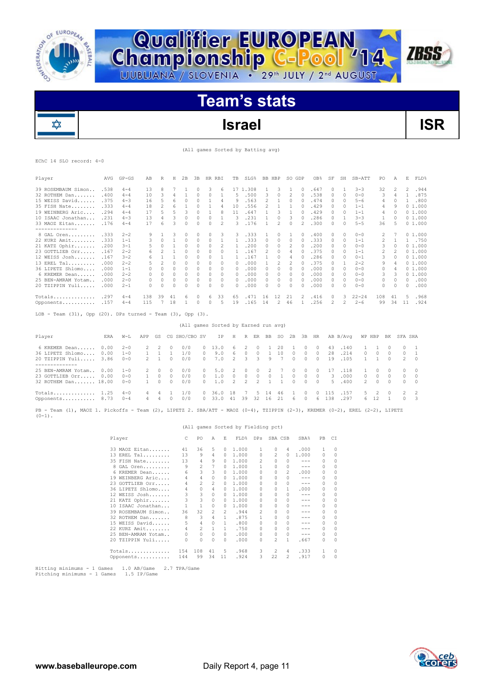

✿

# **Team's stats**

**Championship C-Pool** 14

# **Israel ISR**

(All games Sorted by Batting avg)

**ZBSS** 

## EChC 14 SLO record: 4-0

| Player                                                                                                                                   | AVG  | $GP - GS$ | AB             | R              | Н            | 2B            | ЗВ       | HR RBI                               |                          | TB             | SLG%           |                | BB HBP           |                          | SO GDP         |              | OB%           | SF       | SH           | SB-ATT       | PO             | Α            | Е              | FLD%         |
|------------------------------------------------------------------------------------------------------------------------------------------|------|-----------|----------------|----------------|--------------|---------------|----------|--------------------------------------|--------------------------|----------------|----------------|----------------|------------------|--------------------------|----------------|--------------|---------------|----------|--------------|--------------|----------------|--------------|----------------|--------------|
| 39 ROSEMBAUM Simon                                                                                                                       | .538 | $4 - 4$   | 13             | 8              | 7            | $\mathbf{1}$  | $\Omega$ | 3                                    | 6                        |                | 17 1.308       |                | $\mathbf{1}$     | 3                        | 1              | $\Omega$     | .647          | $\circ$  | 1            | $3 - 3$      | 32             | 2            | 2              | .944         |
| 32 ROTHEM Dan                                                                                                                            | .400 | $4 - 4$   | 10             | 3              | 4            | 1             | $\Omega$ | $\Omega$                             | 1                        | 5              | .500           |                | 3                | $\Omega$                 | $\overline{c}$ | $\Omega$     | .538          | 0        | $\Omega$     | $0 - 0$      | 3              | 4            | $\mathbf{1}$   | .875         |
| 15 WEISS David                                                                                                                           | .375 | $4 - 3$   | 16             | 5              |              | $\circ$       | $\circ$  | $\mathbf{1}$                         |                          | 9              |                |                | $\overline{c}$   | 1                        | $\Omega$       |              |               | $\Omega$ | $\Omega$     | $5 - 6$      |                | $\Omega$     | $\mathbf{1}$   | .800         |
|                                                                                                                                          |      |           |                |                | 6            |               |          |                                      | 4                        |                | .563           |                |                  |                          |                | 0            | .474          |          |              |              | 4              |              |                |              |
| 35 FISH Nate                                                                                                                             | .333 | $4 - 4$   | 18             | 2              | 6            | 1             | $\circ$  | $\mathbf{1}$                         | 4                        | 10             |                | .556           | 2                | 1                        | 1              | 0            | .429          | 0        | $\circ$      | $1 - 1$      | 4              | 9            |                | 01.000       |
| 19 WEINBERG Aric                                                                                                                         | .294 | $4 - 4$   | 17             | 5              | 5            | 3             | $\circ$  | 1                                    | 8                        | 11             |                | .647           | 1                | 3                        | 1              | 0            | .429          | 0        | 0            | $1 - 1$      | 4              | $\Omega$     |                | 01.000       |
| 10 ISAAC Jonathan                                                                                                                        | .231 | $4 - 3$   | 13             | 4              | 3            | 0             | $\circ$  | $\circ$                              | $\mathbf{1}$             | 3              |                | .231           | 1                | $\Omega$                 | 3              | $\Omega$     | .286          | $\circ$  | $\mathbf{1}$ | $3 - 3$      | 1              | $\Omega$     |                | 01.000       |
| 33 MAOZ Eitan<br>--------------                                                                                                          | .176 | $4 - 4$   | 17             | 6              | 3            | 0             | $\circ$  | $\circ$                              | 2                        | 3              |                | .176           | 1                | 2                        | 0              | 2            | .300          | 0        | 0            | $5 - 5$      | 36             | 5            |                | 01.000       |
| 8 GAL Oren                                                                                                                               | .333 | $2 - 2$   | 9              | 1              | 3            | $\circ$       | $\circ$  | $\circ$                              | 3                        | 3              | .333           |                | 1                | 0                        | 1              | n            | .400          | $\circ$  | 0            | $0 - 0$      | 2              | 7            |                | 01.000       |
| 22 KURZ Amit                                                                                                                             | .333 | $1 - 1$   | 3              | $\Omega$       | 1            | $\circ$       | $\Omega$ | $\Omega$                             | $\mathbf{1}$             | 1              | .333           |                | $\circ$          | $\Omega$                 | $\circ$        | $\Omega$     | .333          | 0        | $\Omega$     | $1 - 1$      | 2              | $\mathbf{1}$ | $\mathbf{1}$   | .750         |
| 21 KATZ Ophir                                                                                                                            | .200 | $3 - 1$   | 5              | $\Omega$       | $\mathbf{1}$ | 0             | 0        | $\circ$                              | $\overline{\phantom{a}}$ | 1              |                | .200           | 0                | 0                        | 2              | $\Omega$     | .200          | 0        | 0            | $0 - 0$      | 3              | $\Omega$     |                | 01.000       |
| 23 GOTTLIEB Orr                                                                                                                          | .167 | $2 - 2$   | 6              | 2              | 1            | 0             | $\circ$  | $\Omega$                             | $\Omega$                 | 1.             | .167           |                | 2                | $\Omega$                 | 4              | $\Omega$     | .375          | 0        | $\Omega$     | $1 - 1$      | $\overline{2}$ | 2            |                | 01.000       |
| 12 WEISS Josh                                                                                                                            | .167 | $3 - 2$   | 6              | 1              | 1            | 0             | 0        | 0                                    | 1                        | 1              |                | .167           | 1                | 0                        | 4              | 0            | .286          | 0        | 0            | $0 - 1$      | 3              | 0            |                | 01.000       |
| 13 EREL Tal                                                                                                                              | .000 | $2 - 2$   | 5              | $\overline{c}$ | $\Omega$     | $\circ$       | 0        | $\Omega$                             | $\Omega$                 | $\Omega$       | .000           |                | 1                | $\overline{\mathcal{L}}$ | 2              | $\Omega$     | .375          | $\Omega$ | 1            | $2 - 2$      | 9              | 4            |                | 01.000       |
| 36 LIPETZ Shlomo                                                                                                                         | .000 | $1 - 1$   | 0              | $\Omega$       | 0            | 0             | $\circ$  | $\circ$                              | 0                        | $\Omega$       | .000           |                | 0                | $\circ$                  | 0              | 0            | .000          | 0        | 0            | $0 - 0$      | $\circ$        | 4            |                | 01.000       |
| 6 KREMER Dean                                                                                                                            | .000 | $2 - 2$   | 0              | 0              | 0            | $\circ$       | 0        | $\circ$                              | $\Omega$                 | $\Omega$       | .000           |                | 0                | 0                        | 0              | 0            | .000          | 0        | 0            | $0 - 0$      | 3              | 3            |                | 01.000       |
| 25 BEN-AMRAM Yotam                                                                                                                       | .000 | $2 - 0$   | $\Omega$       | $\Omega$       | $\Omega$     | $\circ$       | $\circ$  | $\Omega$                             | $\Omega$                 | $\Omega$       |                | .000           | 0                | $\Omega$                 | $\Omega$       | $\Omega$     | .000          | 0        | $\circ$      | $0 - 0$      | $\Omega$       | $\Omega$     | $\Omega$       | .000         |
| 20 TZIPPIN Yuli                                                                                                                          | .000 | $2 - 1$   | $\circ$        | 0              | $\circ$      | $\circ$       | $\circ$  | $\circ$                              | 0                        | 0              |                | .000           | $\circ$          | $\circ$                  | 0              | $\Omega$     | .000          | $\circ$  | 0            | $0 - 0$      | $\circ$        | 0            | 0              | .000         |
| $Totals$                                                                                                                                 | .297 | $4 - 4$   | 138            | 39             | 41           | 6             | 0        | 6                                    | 33                       | 65             | .471           |                | 16               | 12                       | 21             | 2            | .416          | 0        | 3            | $22 - 24$    | 108            | 41           | 5              | .968         |
| Opponents                                                                                                                                | .157 | $4 - 4$   | 115            | 7              | 18           | 1             | $\circ$  | $\circ$                              | 5                        | 19             |                | .165           | 14               | 2                        | 46             | $\mathbf{1}$ | .256          | 2        | 2            | $2 - 6$      | 99             | 34           | 11             | .924         |
| LOB - Team $(31)$ , Opp $(20)$ . DPs turned - Team $(3)$ , Opp $(3)$ .                                                                   |      |           |                |                |              |               |          |                                      |                          |                |                |                |                  |                          |                |              |               |          |              |              |                |              |                |              |
|                                                                                                                                          |      |           |                |                |              |               |          | (All games Sorted by Earned run avg) |                          |                |                |                |                  |                          |                |              |               |          |              |              |                |              |                |              |
| Player                                                                                                                                   | ERA  | $W-L$     | APP            | GS             |              | CG SHO/CBO SV |          |                                      | ΙP                       | Η              | R              | ER             | BB               | so                       | 2B             | 3B           | <b>HR</b>     |          | AB B/Avq     | WP HBP       |                | BK           | SFA SHA        |              |
| 6 KREMER Dean                                                                                                                            | 0.00 | $2 - 0$   | 2              | 2              | $\circ$      | 0/0           |          | 0                                    | 13.0                     | 6              | 2              | 0              | $\mathbf{1}$     | 20                       | 1              | $\circ$      | $\circ$       | 43       | .140         | 1            | 1              | 0            | 0              | $\mathbf{1}$ |
| 36 LIPETZ Shlomo                                                                                                                         | 0.00 | $1 - 0$   | 1              | $\mathbf{1}$   | $\mathbf{1}$ | 1/0           |          | 0                                    | 9.0                      | 6              | $\circ$        | $\circ$        | $\mathbf{1}$     | 10                       | 0              | $\circ$      | $\circ$       | 28       | .214         | 0            | $\circ$        | 0            | 0              | $\mathbf{1}$ |
| 20 TZIPPIN Yuli                                                                                                                          | 3.86 | $0 - 0$   | $\mathfrak{D}$ | $\mathbf{1}$   | $\Omega$     | 0/0           |          | $\Omega$                             | 7.0                      | $\overline{c}$ | 3              | 3              | 9                | 7                        | $\Omega$       | $\Omega$     | $\Omega$      | 19       | .105         | $\mathbf{1}$ | $\mathbf{1}$   | $\Omega$     | $\overline{c}$ | $\Omega$     |
| --------------                                                                                                                           |      |           |                |                |              |               |          |                                      |                          |                |                |                |                  |                          |                |              |               |          |              |              |                |              |                |              |
| 25 BEN-AMRAM Yotam                                                                                                                       | 0.00 | $1 - 0$   | 2              | $\circ$        | 0            | 0/0           |          | 0                                    | 5.0                      | 2              | 0              | $\circ$        | 2                | 7                        | 0              | $\circ$      | $\circ$       | 17       | .118         | 1            | $\circ$        | $\Omega$     | 0              | $\Omega$     |
| 23 GOTTLIEB Orr                                                                                                                          | 0.00 | $0 - 0$   | 1              | $\circ$        | $\circ$      | 0/0           |          | 0                                    | 1.0                      | $\circ$        | 0              | $\circ$        | 0                | 1                        | 0              | 0            | $\circ$       | 3        | .000         | $\Omega$     | $\circ$        | 0            | 0              | $\Omega$     |
| 32 ROTHEM Dan 18.00                                                                                                                      |      | $0 - 0$   | $\mathbf{1}$   | $\circ$        | $\circ$      | 0/0           |          | 0                                    | 1.0                      | 2              | $\overline{c}$ | $\overline{2}$ | 1                | $\mathbf{1}$             | $\circ$        | $\circ$      | $\circ$       | 5        | .400         | 2            | $\circ$        | 0            | $\circ$        | 0            |
| Totals $1.25$                                                                                                                            |      | $4 - 0$   | 4              | 4              | 1            | 1/0           |          | $\Omega$                             | 36.0                     | 18             | 7              | 5              | 14               | 46                       | 1              | $\circ$      | $\mathcal{O}$ | 115      | .157         | 5            | $\overline{2}$ | 0            | 2              | 2            |
| Opponents                                                                                                                                | 8.73 | $0 - 4$   | 4              | 4              | $\circ$      | 0/0           |          | 33.0<br>$\circ$                      |                          | 41             | 39             | 32             | 16               | 21                       | 6              | $\circ$      | 6             | 138      | .297         | 6            | 12             | 1            | $\circ$        | 3            |
| PB - Team (1), MAOZ 1. Pickoffs - Team (2), LIPETZ 2. SBA/ATT - MAOZ (0-4), TZIPPIN (2-3), KREMER (0-2), EREL (2-2), LIPETZ<br>$(0-1)$ . |      |           |                |                |              |               |          |                                      |                          |                |                |                |                  |                          |                |              |               |          |              |              |                |              |                |              |
|                                                                                                                                          |      |           |                |                |              |               |          | (All games Sorted by Fielding pct)   |                          |                |                |                |                  |                          |                |              |               |          |              |              |                |              |                |              |
|                                                                                                                                          |      |           |                |                |              | С             | PO       | Α                                    | E                        |                |                |                | FLD% DPs SBA CSB |                          |                | SBA%         | PB            | СI       |              |              |                |              |                |              |
|                                                                                                                                          |      | Player    |                |                |              |               |          |                                      |                          |                |                |                |                  |                          |                |              |               |          |              |              |                |              |                |              |

| Player               | C        | PO             | A            | E.            | FLD%  | DPs.           | SBA CSB        |                | SBA%                                                                                                                      | PB           | СI       |  |
|----------------------|----------|----------------|--------------|---------------|-------|----------------|----------------|----------------|---------------------------------------------------------------------------------------------------------------------------|--------------|----------|--|
| 33 MAOZ Eitan        | 41       | 36             | 5            | 0             | 1.000 |                | $\Omega$       | 4              | .000                                                                                                                      | 1            | 0        |  |
| EREL Tal<br>13       | 13       | 9              | 4            | 0             | 1,000 | 0              | 2              | $\Omega$       | 1,000                                                                                                                     | 0            | 0        |  |
| 35 FISH Nate         | 13       | 4              | 9            | 0             | 1,000 | $\mathfrak{D}$ | $\Omega$       | 0              | ---                                                                                                                       | 0            | 0        |  |
| GAL Oren<br>8        | 9        | 2              | 7            | 0             | 1,000 |                | $\Omega$       | 0              | $- - -$                                                                                                                   | $\Omega$     | 0        |  |
| 6 KREMER Dean        | 6        | 3              | 3            | 0             | 1,000 | O.             | $\Omega$       | $\mathfrak{D}$ | .000                                                                                                                      | 0            |          |  |
| WEINBERG Aric<br>19  | 4        | 4              | O.           | 0             | 1,000 | O.             | $\Omega$       | 0              | $- - -$                                                                                                                   | 0            | 0        |  |
| GOTTLIEB Orr<br>23   | 4        | $\mathfrak{D}$ | 2            | 0             | 1,000 | O.             | $\Omega$       | $\Omega$       | $\frac{1}{2} \left( \frac{1}{2} \right) \left( \frac{1}{2} \right) \left( \frac{1}{2} \right) \left( \frac{1}{2} \right)$ | $\Omega$     | 0        |  |
| 36 LIPETZ Shlomo     | 4        | $\Omega$       | 4            | 0             | 1,000 | O              | $\Omega$       | 1.             | .000                                                                                                                      | $\Omega$     |          |  |
| 12 WEISS Josh        | 3        | 3              | 0            | 0             | 1,000 | O.             | $\Omega$       | 0              | $- - -$                                                                                                                   | 0            |          |  |
| 21 KATZ Ophir        | 3        | 3              | 0            | 0             | 1,000 | O              | $\Omega$       | 0              | ---                                                                                                                       | $\Omega$     | 0        |  |
| ISAAC Jonathan<br>10 | 1        | 1              | $\Omega$     | $\Omega$      | 1,000 | 0              | $\Omega$       | 0              | $- - -$                                                                                                                   | 0            | 0        |  |
| 39 ROSEMBAUM Simon   | 36       | 32             | 2            | $\mathcal{L}$ | .944  | $\mathfrak{D}$ | $\Omega$       | 0              | $- - -$                                                                                                                   | $\Omega$     | 0        |  |
| 32 ROTHEM Dan        | 8        | 3              | 4            | 1.            | .875  |                | $\Omega$       | 0              | $- - -$                                                                                                                   | $\Omega$     | 0        |  |
| WEISS David<br>1.5   | 5        | 4              | O.           | 1.            | .800  | O              | $\Omega$       | 0              | $- - -$                                                                                                                   | $\Omega$     | 0        |  |
| 22 KURZ Amit         | 4        | $\mathfrak{D}$ | 1            | 1.            | .750  | O.             | $\Omega$       | 0              | ---                                                                                                                       | 0            | O        |  |
| 25 BEN-AMRAM Yotam   | $\Omega$ | $\Omega$       | 0            | $\Omega$      | .000  | 0              | $\Omega$       | 0              | $- - -$                                                                                                                   | 0            | 0        |  |
| 20 TZIPPIN Yuli      | 0        | $\Omega$       | <sup>0</sup> | $\cap$        | .000  | O.             | $\mathfrak{D}$ | 1              | .667                                                                                                                      | 0            | $\Omega$ |  |
| Totals               | 154      | 108            | 41           | .5            | .968  | 3              | 2              | 4              | .333                                                                                                                      | $\mathbf{1}$ | 0        |  |
| Opponents            | 144      | 99             | 34           | 11            | .924  | 3              | 22             | $\mathfrak{D}$ | .917                                                                                                                      | 0            | 0        |  |

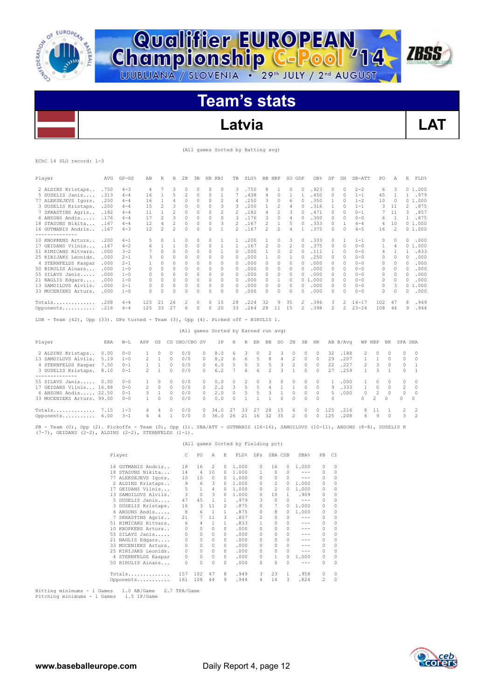



**Championship C-Pool** '14

# **Latvia LAT**

**ZBSS** 

## (All games Sorted by Batting avg)

EChC 14 SLO record: 1-3

| Player               | <b>AVG</b> | $GP - GS$ | AB  | R                        | Η                        | 2B           | 3B | <b>HR</b> | RBI          | TВ             | SLG%  | BB.            | HBP                      | SO GDP   |          | OB <sub>8</sub> | SF       | SH       | SB-ATT    | PO  | Α              | E              | FLD%   |
|----------------------|------------|-----------|-----|--------------------------|--------------------------|--------------|----|-----------|--------------|----------------|-------|----------------|--------------------------|----------|----------|-----------------|----------|----------|-----------|-----|----------------|----------------|--------|
| 2 ALDINS Kristaps    | .750       | $4 - 3$   |     |                          | 3                        |              | 0  | 0         | 0            | 3              | .750  | 8              |                          | 0        | $\Omega$ | .923            | $\Omega$ | $\Omega$ | $2 - 2$   | 6   | З              | $\Omega$       | 1.000  |
| 5 DUSELIS Janis      | .313       | $4 - 4$   | 16  |                          | 5                        | 2            | 0  | 0         |              |                | .438  | 4              | 0                        |          |          | .450            | $\Omega$ | $\Omega$ | $1 - 1$   | 45  |                |                | .979   |
| 77 ALEKSEJEVS Igors. | .250       | $4 - 4$   | 16  |                          | 4                        |              |    | 0         | 2            | 4              | .250  | 3              | n                        | 6        |          | .350            |          | n        | $1 - 2$   | 10  | 0              | 0              | 1,000  |
| 3 DUSELIS Kristaps.  | .200       | $4 - 4$   | 1.5 | $\mathfrak{D}$           |                          | <sup>0</sup> |    | n         |              | २              | .200  |                | 2                        | 4        |          | .316            |          | $\cap$   | $1 - 1$   | 3   | 11             | $\mathfrak{D}$ | .875   |
| 7 SKRASTINS Agris    | .182       | $4 - 4$   | 11  |                          | 2                        | <sup>0</sup> | U  | 0         | 2            |                | .182  | 4              | 2                        |          |          | .471            | O.       | $\cap$   | $0 - 1$   |     | 11             |                | .857   |
| 6 ANSONS Andis       | .176       | $4 - 4$   | 17  | $\overline{\phantom{a}}$ | 3                        | <sup>0</sup> | U  | 0         | <sup>0</sup> | २              | .176  | 3              | n                        | 4        |          | .300            | O.       | $\Omega$ | $0 - 0$   | 6   |                |                | .875   |
| 18 STASUNS Nikita    | .167       | $4 - 4$   | 12  | 4                        | $\overline{\mathcal{L}}$ | $\Omega$     | U  | $\Omega$  | 3            |                | .167  | $\mathfrak{D}$ |                          | 5        |          | .333            | $\Omega$ |          | $4 - 4$   | 4   | 10             |                | 01.000 |
| 16 GUTMANIS Andris   | .167       | $4 - 3$   | 12  | $\overline{c}$           | $\overline{\mathcal{L}}$ | $\Omega$     | U  | $\Omega$  |              | $\mathfrak{D}$ | .167  | $\mathfrak{D}$ | $\overline{\mathcal{L}}$ | 4        |          | .375            | n        | $\Omega$ | $4 - 5$   | 16  | $\overline{c}$ |                | 01.000 |
| -----------          |            |           |     |                          |                          |              |    |           |              |                |       |                |                          |          |          |                 |          |          |           |     |                |                |        |
| 10 KNOPKENS Arturs   | .200       | $4 - 1$   | 5.  | $\Omega$                 |                          |              |    |           |              |                | .200  |                |                          | २        | O.       | .333            | $\Omega$ |          | $1 - 1$   | 0   | n              | n              | .000   |
| 17 GEIDANS Vilnis    | .167       | $4 - 2$   | 6   |                          |                          |              |    | 0         |              |                | . 167 | 2              | 0                        |          |          | .375            | 0        | $\Omega$ | $0 - 0$   |     | 4              | 0              | .000   |
| 51 RIMICANS Ritvars. | .000       | $3 - 2$   |     |                          |                          |              |    |           |              | <sup>0</sup>   | .000  |                | 0                        |          |          | .111            |          | $\Omega$ | $0 - 0$   | 4   |                |                | .833   |
| 25 KIRLJAKS Leonids. | .000       | $2 - 1$   | 3   | <sup>0</sup>             |                          |              |    | n         |              |                | . 000 |                | n                        |          |          | .250            | $\cap$   | $\Omega$ | $0 - 0$   | 0   | O              | $\Omega$       | .000   |
| 4 STERNFELDS Kaspar  | .000       | $2 - 1$   |     | O                        | 0                        | $\Omega$     | U  | 0         | $\Omega$     | 0              | .000  | 0.             | 0                        | $\Omega$ |          | .000            | $\Omega$ | $\Omega$ | $0 - 0$   | 0   | $\Omega$       | $\Omega$       | .000   |
| 50 BIRULIS Ainars    | .000       | $1 - 0$   | 0   | $\Omega$                 | 0                        |              |    | 0         | $\Omega$     | 0              | . 000 | U              | 0                        | $\Omega$ |          | .000            | O.       | $\Omega$ | $0 - 0$   | 0   | $\Omega$       | $\Omega$       | .000   |
| 55 SILAVS Janis      | .000       | $1 - 0$   | 0   | $\Omega$                 | 0                        |              | U  | 0         | 0            | 0              | .000  | Ω              | n                        | 0        |          | .000            | $\Omega$ | $\Omega$ | $0 - 0$   | 0   | 0              | 0              | .000   |
| 21 NAGLIS Edgars     | .000       | $1 - 0$   |     | $\Omega$                 | $\Omega$                 |              |    | 0         | $\Omega$     | 0              | .000  |                |                          | O        |          | 01.000          | 0        | $\Omega$ | $0 - 0$   | 0   | $\Omega$       | $\Omega$       | .000   |
| 13 SAMOILOVS Alvils. | . 000      | $2 - 1$   | 0   | $\Omega$                 | $\Omega$                 |              | 0  | 0         | $\Omega$     | $\Omega$       | .000  | 0              | 0                        | $\Omega$ |          | .000            | $\Omega$ | $\Omega$ | $0 - 0$   | 0   | 3              | 0              | 1,000  |
| 33 MUCENIEKS Arturs. | .000       | $1 - 0$   | 0   | $\Omega$                 | 0                        | $\Omega$     | U  | 0         | $\Omega$     | $\Omega$       | .000  | 0              | 0                        | $\Omega$ |          | .000            | $\Omega$ | $\Omega$ | $0 - 0$   | 0   | $\Omega$       | n              | .000   |
| Totals               | .208       | $4 - 4$   | 125 | 21                       | 26                       | 2            | 0  | 0         | 15           | 28             | . 224 | 32             | 9                        | 35       |          | .396            | З        |          | $14 - 17$ | 102 | 47             | 8              | .949   |
| Opponents            | .216       | $4 - 4$   | 125 | 33                       | 27                       | 6            | U  | n         | 20           | 33             | .264  | 28             |                          | 1.5      |          | .398            |          |          | $23 - 24$ | 108 | 44             | 9              | .944   |

LOB - Team (42), Opp (33). DPs turned - Team (3), Opp (4). Picked off - BIRULIS 1.

## (All games Sorted by Earned run avg) Player ERA W-L APP GS CG SHO/CBO SV IP H R ER BB SO 2B 3B HR AB B/Avg WP HBP BK SFA SHA 2 ALDINS Kristaps.. 0.00 0-0 1 0 0 0/0 0 8.0 6 3 0 2 3 0 0 32 .188 2 0 0 0<br>13 SAMOILOVS Alvils. 5.19 1-0 2 1 0 0/0 0 8.2 6 6 5 5 3 2 0 0 29 .207 3 DUSELIS Kristaps. 8.10 0-1 2 1 0 0/0 0 6.2 7 6 6 2 3 1 0 0 27 .259 1 3 1 0 1 --------------<br>55 SILAVS Janis..... 0.00 0-0 1 0 0 0/0 0 0.0 0 2 0 3 0 0 0 0 1 .000 1 0 0 0 0<br>17 GEIDANS Vilnis... 16.88 0-0 2 0 0 0/0 0 2.2 3 5 5 4 1 1 0 0 9 .333 1 0 0 2 0 6 ANSONS Andis..... 22.50 0-1 3 1 0 0/0 0 2.0 0 5 5 3 1 0 0 0 5 .000 0 2 0 0 0 33 MUCENIEKS Arturs. 99.00 0-0 1 0 0 0/0 0 0.0 0 1 1 1 0 0 0 0 0 0 2 0 0 0

PB - Team (0), Opp (2). Pickoffs - Team (0), Opp (1). SBA/ATT - GUTMANIS (16-16), SAMOILOVS (10-11), ANSONS (8-8), DUSELIS K (7-7), GEIDANS (2-2), ALDINS (2-2), STERNFELDS (1-1).

Totals.............. 7.15 1-3 4 4 0 0/0 0 34.0 27 33 27 28 15 6 0 0 125 .216 8 11 1 2 2 Opponents........... 4.00 3-1 4 4 1 0/0 0 36.0 26 21 16 32 35 2 0 0 125 .208 6 9 0 3 2

(All games Sorted by Fielding pct)

| Player               | C.       | PO           | Α              | E            | FLD%  | DPs            | SBA CSB        |              | SBA%                                                                                                                                                                                                                                                                                                                                                                                         | PB       | CI       |
|----------------------|----------|--------------|----------------|--------------|-------|----------------|----------------|--------------|----------------------------------------------------------------------------------------------------------------------------------------------------------------------------------------------------------------------------------------------------------------------------------------------------------------------------------------------------------------------------------------------|----------|----------|
| 16 GUTMANIS Andris   | 18       | 16           | 2              | 0            | 1,000 | $\Omega$       | 16             | 0            | 1,000                                                                                                                                                                                                                                                                                                                                                                                        | 0        | $\Omega$ |
| 18 STASUNS Nikita    | 14       | 4            | 10             | $\Omega$     | 1.000 | 1              | $\Omega$       | 0            | ---                                                                                                                                                                                                                                                                                                                                                                                          | 0        | 0        |
| 77 ALEKSEJEVS Igors. | 10       | 10           | $^{\circ}$     | 0            | 1,000 | $\Omega$       | <sup>0</sup>   | O.           | ---                                                                                                                                                                                                                                                                                                                                                                                          | $\Omega$ | $\circ$  |
| 2 ALDINS Kristaps    | 9        | 6            | 3              | 0            | 1.000 | $\Omega$       | $\mathfrak{D}$ | 0            | 1,000                                                                                                                                                                                                                                                                                                                                                                                        | 0        | $\Omega$ |
| 17 GEIDANS Vilnis    | 5        | $\mathbf{1}$ | $\overline{4}$ | 0            | 1,000 | $\Omega$       | $\mathfrak{D}$ | U            | 1,000                                                                                                                                                                                                                                                                                                                                                                                        | 0        | $\Omega$ |
| 13 SAMOILOVS Alvils. | 3        | $\Omega$     | 3              | $\cap$       | 1,000 | $\Omega$       | 10             | 1            | .909                                                                                                                                                                                                                                                                                                                                                                                         | 0        | 0        |
| 5 DUSELIS Janis      | 47       | 4.5          | $\mathbf{1}$   | 1.           | .979  | 3              | $\Omega$       | O.           | $\frac{1}{2} \frac{1}{2} \frac{1}{2} \frac{1}{2} \frac{1}{2} \frac{1}{2} \frac{1}{2} \frac{1}{2} \frac{1}{2} \frac{1}{2} \frac{1}{2} \frac{1}{2} \frac{1}{2} \frac{1}{2} \frac{1}{2} \frac{1}{2} \frac{1}{2} \frac{1}{2} \frac{1}{2} \frac{1}{2} \frac{1}{2} \frac{1}{2} \frac{1}{2} \frac{1}{2} \frac{1}{2} \frac{1}{2} \frac{1}{2} \frac{1}{2} \frac{1}{2} \frac{1}{2} \frac{1}{2} \frac{$ | $\Omega$ | $\Omega$ |
| 3 DUSELIS Kristaps.  | 16       | 3            | 11             | 2            | .875  | $\Omega$       | 7              | O.           | 1,000                                                                                                                                                                                                                                                                                                                                                                                        | 0        | $\Omega$ |
| 6 ANSONS Andis       | 8        | 6            | $\overline{1}$ | 1            | .875  | $\Omega$       | 8              | O.           | 1,000                                                                                                                                                                                                                                                                                                                                                                                        | 0        | $\circ$  |
| 7 SKRASTINS Agris    | 21       | 7            | 11             | 3            | .857  | $\mathfrak{D}$ | $\Omega$       | 0            | ---                                                                                                                                                                                                                                                                                                                                                                                          | 0        | $\Omega$ |
| 51 RIMICANS Ritvars. | 6        | 4            | $\mathbf{1}$   | $\mathbf{1}$ | .833  | 1              | $\Omega$       | 0            | $- - -$                                                                                                                                                                                                                                                                                                                                                                                      | $\Omega$ | $\circ$  |
| 10 KNOPKENS Arturs   | 0        | $\Omega$     | $\Omega$       | 0            | .000  | $\cap$         |                |              | $- - -$                                                                                                                                                                                                                                                                                                                                                                                      | 0        | $\Omega$ |
| 55 SILAVS Janis      | $\Omega$ | $\Omega$     | 0              | 0            | .000  | $\Omega$       |                | 0            | $- - -$                                                                                                                                                                                                                                                                                                                                                                                      | $\Omega$ | $\circ$  |
| 21 NAGLIS Edgars     | 0        | 0            | $\Omega$       | $\Omega$     | .000  | $\Omega$       | $\Omega$       | <sup>0</sup> | ---                                                                                                                                                                                                                                                                                                                                                                                          | 0        | $\circ$  |
| 33 MUCENIEKS Arturs. | $\Omega$ | $\Omega$     | $\Omega$       | 0            | .000  | $\Omega$       | $\Omega$       | 0            | $- - -$                                                                                                                                                                                                                                                                                                                                                                                      | 0        | $\Omega$ |
| 25 KIRIJAKS Leonids. | $\Omega$ | $\Omega$     | $\Omega$       | 0            | .000  | $\Omega$       |                |              | $- - -$                                                                                                                                                                                                                                                                                                                                                                                      | $\Omega$ | $\Omega$ |
| 4 STERNFELDS Kaspar  | $\Omega$ | $\Omega$     | 0              | 0            | .000  | $\Omega$       |                | O.           | 1,000                                                                                                                                                                                                                                                                                                                                                                                        | 0        | $\circ$  |
| 50 BIRULIS Ainars    |          | 0            | n              | n            | .000  | <sup>0</sup>   | O              | U            | ---                                                                                                                                                                                                                                                                                                                                                                                          | 0        | $\Omega$ |
| Totals               | 157      | 102          | 47             | 8            | .949  | 3              | 23             | 1            | .958                                                                                                                                                                                                                                                                                                                                                                                         | 0        | 0        |
| Opponents            | 161      | 108          | 44             | 9            | .944  | 4              | 14             | 3            | .824                                                                                                                                                                                                                                                                                                                                                                                         | 2        | 0        |

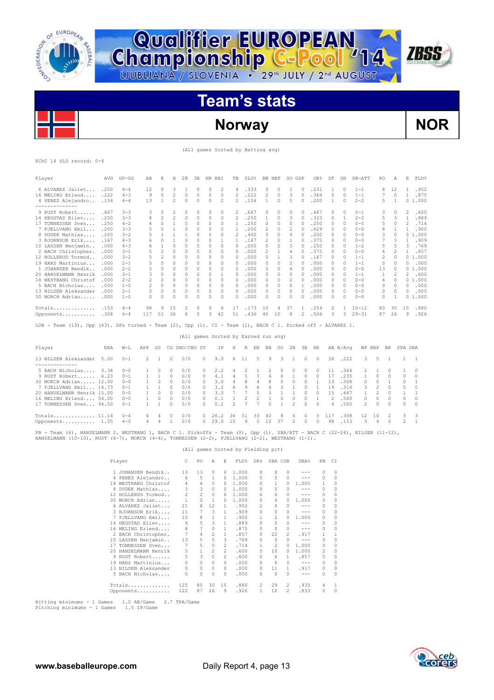

**Qualifier EUROPEAN<br>Championship C-Pool '14** 

# **Norway NOR**

**ZBSS** 

(All games Sorted by Batting avg)

|  | EChC 14 SLO record: 0-4 |  |
|--|-------------------------|--|
|  |                         |  |

| Player                                                                                                         | AVG  | $GP - GS$ | AB             | R                        | Н                        | 2B           | 3B       | HR RBI                               |                | TB             | SLG%                     |                | BB HBP         |                          | SO GDP                   |              | OB%          | SF       | SH       | SB-ATT       | PO             | A              | Ε              | FLD%         |
|----------------------------------------------------------------------------------------------------------------|------|-----------|----------------|--------------------------|--------------------------|--------------|----------|--------------------------------------|----------------|----------------|--------------------------|----------------|----------------|--------------------------|--------------------------|--------------|--------------|----------|----------|--------------|----------------|----------------|----------------|--------------|
| 6 ALVAREZ Jaliet                                                                                               | .250 | $4 - 4$   | 12             | $\Omega$                 | 3                        | 1            | $\Omega$ | $\Omega$                             | $\overline{c}$ | 4              | .333                     |                | $\Omega$       | $\Omega$                 | 1                        | $\Omega$     | .231         | 1        | $\Omega$ | $1 - 1$      | 8              | 12             | 1.             | .952         |
| 16 MELING Erlend                                                                                               | .222 | $4 - 3$   | $\circ$        | $\Omega$                 | $\overline{\mathcal{L}}$ | $\Omega$     | $\Omega$ | $\Omega$                             | $\Omega$       | $\mathfrak{D}$ | .222                     |                | $\overline{c}$ | $\Omega$                 | 3                        | $\Omega$     | .364         | $\Omega$ | $\Omega$ | $1 - 1$      | 7              | $\Omega$       | 1              | .875         |
| 4 PEREZ Alejandro                                                                                              | .154 | $4 - 4$   | 13             | $\mathbf{1}$             | 2                        | $\Omega$     | $\Omega$ | $\Omega$                             | $\mathfrak{D}$ | $\mathfrak{D}$ | .154                     |                | 1              | $\Omega$                 | 5                        | $\Omega$     | .200         | 1        | $\Omega$ | $2 - 2$      | 5              | $\mathbf{1}$   |                | 01.000       |
|                                                                                                                |      |           |                |                          |                          |              |          |                                      |                |                |                          |                |                |                          |                          |              |              |          |          |              |                |                |                |              |
| 9 RUST Robert                                                                                                  | .667 | $3 - 3$   | 3              | $\Omega$                 | 2                        | $\Omega$     | $\Omega$ | $\Omega$                             | $\Omega$       | 2              | .667                     |                | $\Omega$       | $\Omega$                 | $\Omega$                 | $\Omega$     | .667         | 0        | 0        | $0 - 1$      | 3              | $\Omega$       | 2              | .600         |
| 14 HEGSTAD Eilev                                                                                               | .250 | $3 - 3$   | R              | $\overline{\phantom{a}}$ | 2                        | $\Omega$     | $\Omega$ | $\Omega$                             | $\Omega$       | $\overline{c}$ | .250                     |                |                | $\Omega$                 | 3                        | $\Omega$     | .333         | 0        | 1        | $2 - 2$      | 5              | 3              | $\mathbf{1}$   | .889         |
| 17 TONNESSEN Sven                                                                                              | .250 | $4 - 2$   | 4              | $\Omega$                 | 1                        | $\Omega$     | $\Omega$ | $\Omega$                             | $\Omega$       | $\mathbf{1}$   | .250                     |                | $\Omega$       | $\Omega$                 | $\Omega$                 | $\cap$       | .250         | 0        | $\Omega$ | $0 - 0$      | 5              | $\Omega$       | 2              | .714         |
| 7 FJELLVANG Emil                                                                                               | .200 | $3 - 3$   | 5              | $\Omega$                 | 1                        | $\Omega$     | $\Omega$ | $\Omega$                             | $\Omega$       | $\mathbf{1}$   | .200                     |                | $\overline{c}$ | $\Omega$                 | $\mathfrak{D}$           | $\Omega$     | .429         | 0        | $\Omega$ | $0 - 0$      | 8              | 1              | 1              | .900         |
| 8 DUDEK Mathias                                                                                                | .200 | $3 - 2$   | 5              | 1                        | 1                        | $\mathbf{1}$ | $\cap$   | $\Omega$                             | $\cap$         | 2              | .400                     |                | $\Omega$       | $\cap$                   | 4                        | $\Omega$     | .200         | 0        | $\Omega$ | $0 - 0$      | 3              | $\cap$         |                | 01.000       |
| 3 BJORNSON Erik                                                                                                | .167 | $4 - 3$   | $\epsilon$     | $\Omega$                 | 1                        | $\Omega$     | $\Omega$ | $\Omega$                             | $\mathbf{1}$   | $\mathbf{1}$   | .167                     |                | 2              | $\circ$                  | 1                        | $\bigcap$    | .375         | 0        | 0        | $0 - 0$      | 7              | 3              | 1              | .909         |
| 10 LASSEN Beniamin                                                                                             | .000 | $4 - 3$   | 6              | 1                        | $\Omega$                 | $\Omega$     | $\Omega$ | $\Omega$                             | $\cap$         | $\cap$         | .000                     |                | $\Omega$       | $\overline{\mathcal{L}}$ | 3                        | $\cap$       | .250         | $\Omega$ | $\Omega$ | $1 - 2$      | 5              | 5              | 3              | .769         |
| 2 BACH Christopher.                                                                                            | .000 | $3 - 1$   |                | 2                        | n                        | $\Omega$     | $\cap$   | $\Omega$                             | $\Omega$       | <sup>0</sup>   | .000                     |                | 2              | $\mathbf{1}$             | 4                        | $\cap$       | .375         | 0        | $\Omega$ | $0 - 0$      | 4              | $\mathfrak{D}$ | 1              | .857         |
| 12 HOLLERUD Tormod                                                                                             | .000 | $3 - 2$   | $\overline{5}$ | $\mathfrak{D}$           | 0                        | $\Omega$     | $\Omega$ | $\Omega$                             | $\Omega$       | $\Omega$       | .000                     |                | $\Omega$       | $\mathbf{1}$             | 3                        | $\bigcap$    | .167         | 0        | $\Omega$ | $1 - 1$      | $\mathfrak{D}$ | $\Omega$       |                | 0, 1, 000    |
| 19 HARS Martinius                                                                                              | .000 | $2 - 1$   | 5              | <sup>0</sup>             | $\Omega$                 | $\Omega$     | $\Omega$ | $\Omega$                             | $\Omega$       | $\cap$         | .000                     |                | $\Omega$       | $\cap$                   | $\mathfrak{D}$           | $\cap$       | .000         | 0        | $\Omega$ | $1 - 1$      | $\Omega$       | $\cap$         | $\mathcal{O}$  | .000         |
| 1 JOHANSEN Bendik                                                                                              | .000 | $2 - 2$   | 5              | $\Omega$                 | $\Omega$                 | $\Omega$     | $\cap$   | $\Omega$                             | $\Omega$       | $\Omega$       | .000                     |                | $\Omega$       | $\Omega$                 | 4                        | $\cap$       | .000         | $\Omega$ | $\Omega$ | $0 - 0$      | 13             | $\cap$         |                | 01.000       |
| 20 HANSELMANN Henrik                                                                                           | .000 | $3 - 1$   | 3              | $\Omega$                 | 0                        | $\Omega$     | $\Omega$ | $\Omega$                             | 1              | $\Omega$       | .000                     |                | $\Omega$       | $\Omega$                 | $\Omega$                 | $\Omega$     | .000         | 0        | $\Omega$ | $1 - 1$      | $\mathbf{1}$   | $\mathfrak{D}$ | $\mathfrak{D}$ | .600         |
| 18 WESTRANG Christof                                                                                           | .000 | $2 - 2$   | 2              | $\Omega$                 | 0                        | $\Omega$     | $\Omega$ | $\Omega$                             | $\Omega$       | $\Omega$       | .000                     |                | $\Omega$       | $\Omega$                 | $\overline{c}$           | $\Omega$     | .000         | 0        | $\Omega$ | $0 - 0$      | 4              | $\Omega$       |                | 01.000       |
| 5 BACH Nicholas                                                                                                | .000 | $1 - 0$   |                | $\Omega$                 | $\Omega$                 | $\Omega$     | $\Omega$ | $\Omega$                             | $\Omega$       | $\Omega$       | .000                     |                | $\Omega$       | $\Omega$                 | $\Omega$                 | $\mathbf{1}$ | .000         | $\Omega$ | $\Omega$ | $0 - 0$      | $\Omega$       | $\Omega$       | $\cap$         | .000         |
| 13 NILSEN Aleksander                                                                                           | .000 | $2 - 1$   | 0              | $\Omega$                 | 0                        | $\Omega$     | $\Omega$ | $\Omega$                             | $\Omega$       | $\Omega$       | .000                     |                | $\Omega$       | $\Omega$                 | $\Omega$                 | $\Omega$     | .000         | 0        | 0        | $0 - 0$      | $\Omega$       | $\Omega$       | $\mathcal{O}$  | .000         |
| 30 MORCH Adrian                                                                                                | .000 | $1 - 0$   | $\cap$         | $\cap$                   | $\cap$                   | $\Omega$     | $\Omega$ | $\Omega$                             | $\cap$         | $\cap$         | .000                     |                | $\Omega$       | $\Omega$                 | $\Omega$                 | $\cap$       | .000         | $\cap$   | $\Omega$ | $0 - 0$      | $\Omega$       | $\mathbf{1}$   |                | 01.000       |
| Totals                                                                                                         | .153 | $4 - 4$   | 98             | 9                        | 15                       | 2            | $\Omega$ | $\Omega$                             | 6              | 17             | .173                     |                | 10             | 4                        | 37                       | 1            | .254         | 2        | 1        | $10 - 12$    | 80             | 30             | 15             | .880         |
| Opponents .308                                                                                                 |      | $4 - 4$   | 117            | 51                       | 36                       | 6            | $\Omega$ | 3                                    | 42             | 51             | .436                     |                | 40             | 10                       | 8                        | 2            | .506         | 3        | 3        | $29 - 31$    | 87             | 26             | 9              | .926         |
| Team (19), Opp (43). DPs turned - Team (2), Opp (1). CI - Team (1), BACH C 1. Picked off - ALVAREZ 1.<br>LOB - |      |           |                |                          |                          |              |          |                                      |                |                |                          |                |                |                          |                          |              |              |          |          |              |                |                |                |              |
|                                                                                                                |      |           |                |                          |                          |              |          | (All games Sorted by Earned run avg) |                |                |                          |                |                |                          |                          |              |              |          |          |              |                |                |                |              |
| Player                                                                                                         | ERA  | $W-T$ .   | APP            | GS                       | CG SHO/CBO SV            |              |          |                                      | ΙP             | Н              |                          |                | R ER BB        | SO.                      | 2B                       | 3B           | HR           |          | AB B/Ava | WP HBP       |                | BK             | SFA SHA        |              |
| 13 NILSEN Aleksander                                                                                           | 5.00 | $0 - 1$   | $\mathfrak{D}$ | 1                        | $\Omega$                 | 0/0          |          | $\Omega$                             | 9.0            | 8              | 11                       | 5              | 9              | 3                        | $\mathbf{1}$             | $\Omega$     | $\Box$       | 36       | .222     | 3            | 5              | -1             | 1              | $\mathbf{1}$ |
| --------------                                                                                                 |      |           |                |                          |                          |              |          |                                      |                |                |                          |                |                |                          |                          |              |              |          |          |              |                |                |                |              |
| 5 BACH Nicholas                                                                                                | 3.38 | $0 - 0$   | 1              | 0                        | $\Omega$                 | 0/0          |          | 0                                    | 2.2            | 4              | $\overline{c}$           | 1              | 2              | $\Omega$                 | 0                        | $\Omega$     | $\Omega$     | 11       | .364     | 2            | $\mathbf{1}$   | 0              | 1              | $\Omega$     |
| 9 RUST Robert                                                                                                  | 6.23 | $0 - 1$   | $\mathbf{1}$   | 1                        | $\Omega$                 | 0/0          |          | $\Omega$                             | 4.1            | 4              | 5                        | 3              | 6              | $\Omega$                 | $\mathbf{1}$             | $\Omega$     | $\cap$       | 17       | .235     | $\mathbf{1}$ | $\Omega$       | $\cap$         | $\Omega$       | $\cap$       |
| 30 MORCH Adrian 12.00                                                                                          |      | $0 - 0$   | $\mathbf{1}$   | 0                        | $\Omega$                 | 0/0          |          | $\Omega$                             | 3.0            | 4              | 8                        | 4              | 8              | $\circ$                  | 0                        | $\circ$      | 1            | 13       | .308     | 0            | $\circ$        | 1              | $\circ$        | $\mathbf{1}$ |
| 7 FJELLVANG Emil 14.73                                                                                         |      | $0 - 1$   | 1              | 1                        | $\Omega$                 | 0/0          |          | 0                                    | 3.2            | 6              | 9                        | 6              | 6              | 3                        | 1                        | $\Omega$     | 1            | 19       | .316     | 3            | 2              | $\Omega$       | $\Omega$       | $\Omega$     |
| 20 HANSELMANN Henrik 15.00                                                                                     |      | $0 - 0$   | $\mathbf{1}$   | $\Omega$                 | $\Omega$                 | 0/0          |          | 0                                    | 3.0            | 7              | 7                        | 5              | 3              | $\mathbf{1}$             | 1                        | $\Omega$     | $\Omega$     | 1.5      | .467     | $\mathbf{1}$ | $\overline{c}$ | $\Omega$       | $\mathbf{1}$   | 1            |
| 16 MELING Erlend 54.00                                                                                         |      | $0 - 0$   | $\mathbf{1}$   | $\Omega$                 | $\Omega$                 | 0/0          |          | 0                                    | 0.1            | 1              | $\overline{\mathcal{L}}$ | $\overline{2}$ | $\mathbf{1}$   | $\Omega$                 | 0                        | $\Omega$     | $\mathbf{1}$ | 2        | .500     | 0            | $\Omega$       | 0              | $\circ$        | $\cap$       |
| 17 TONNESSEN Sven 94.50                                                                                        |      | $0 - 1$   | 1.             | 1                        | $\Omega$                 | 0/0          |          | 0                                    | 0.2            | $\mathcal{D}$  | 7                        | $\overline{7}$ | 5              | $\mathbf{1}$             | $\overline{c}$           | $\Omega$     | $\Omega$     | 4        | .500     | 2            | $\Omega$       | 0              | $\Omega$       | $\Omega$     |
| Totals 11.14                                                                                                   |      | $() - 4$  | 4              | 4                        | $\Omega$                 | 0/0          |          | 0                                    | 26.2           | 36             | 51                       | 33             | 40             | 8                        | 6                        | $\circ$      | 3            | 117      | .308     | 12           | 10             | 2              | 3              | 3            |
| Opponents 1.55                                                                                                 |      | $4 - 0$   | 4              | 4                        | $\mathbf{1}$             | 0/0          |          | $\Omega$                             | 29.0           | 1.5            | 9                        | 5              | 10             | 37                       | $\overline{\phantom{a}}$ | $\Omega$     | $\Omega$     | 98       | .153     | 3            | $\Delta$       | 0              | $\mathfrak{D}$ | $\mathbf{1}$ |

PB - Team (4), HANSELMANN 2, WESTRANG 1, BACH C 1. Pickoffs - Team (0), Opp (1). SBA/ATT - BACH C (22-24), NILSEN (11-12),<br>HANSELMANN (10-10), RUST (6-7), MORCH (4-4), TONNESSEN (2-2), FJELLVANG (2-2), WESTRANG (1-1).

## (All games Sorted by Fielding pct)

| Player                  | C.       | PO             | $\overline{A}$ | E.             | FLD%  | DPs          |                | SBA CSB       | SBA%    | PB       | C.T          |
|-------------------------|----------|----------------|----------------|----------------|-------|--------------|----------------|---------------|---------|----------|--------------|
| 1 JOHANSEN Bendik       | 13       | 13             | $\Omega$       | 0              | 1.000 | $\Omega$     | $\Omega$       | $\Omega$      | $- - -$ | $\Omega$ | 0            |
| 4 PEREZ Alejandro       | 6        | 5              | 1              | 0              | 1,000 | $\Omega$     | 0              | 0             | $- - -$ | $\Omega$ | 0            |
| 18 WESTRANG Christof    | 4        | 4              | $\circ$        | 0              | 1.000 | $\Omega$     | 1.             | 0             | 1.000   | 1.       | 0            |
| DUDEK Mathias<br>8      | 3        | 3              | $\circ$        | 0              | 1,000 | <sup>0</sup> | $\Omega$       | 0             | $- - -$ | $\Omega$ | $\circ$      |
| 12 HOLLERUD Tormod      | 2        | $\overline{c}$ | $\Omega$       | $\Omega$       | 1,000 | $\Omega$     | $\Omega$       | $\Omega$      | $- - -$ | 0        | $\circ$      |
| 30 MORCH Adrian         | 1        | $\Omega$       | $\mathbf{1}$   | $\Omega$       | 1,000 | <sup>0</sup> | 4              | O.            | 1,000   | 0        | $\circ$      |
| 6 ALVAREZ Jaliet        | 21       | 8              | 12             | 1              | .952  | 2            | $\Omega$       | 0             | $- - -$ | $\Omega$ | $\circ$      |
| 3 BJORNSON Erik         | 11       | 7              | 3              | 1              | .909  | $\Omega$     | 0              | 0             | $- - -$ | $\Omega$ | 0            |
| FJELLVANG Emil<br>7     | 10       | 8              | $\mathbf{1}$   | $\mathbf{1}$   | .900  | 1            | 2              | $\mathcal{O}$ | 1,000   | 0        | 0            |
| 14 HEGSTAD Eilev        | 9        | 5              | 3              | $\mathbf{1}$   | .889  | $\Omega$     | $\Omega$       | 0             | $- - -$ | 0        | 0            |
| 16 MELING Erlend        | 8        | 7              | $\Omega$       | $\mathbf{1}$   | .875  | $\Omega$     | $\Omega$       | 0             | $- - -$ | $\Omega$ | $\Omega$     |
| 2 BACH Christopher.     | 7        | 4              | 2              | $\mathbf{1}$   | .857  | $\Omega$     | 22             | $\mathcal{L}$ | .917    | 1.       | $\mathbf{1}$ |
| 10 LASSEN Benjamin      | 13       | 5              | 5              | 3              | .769  | $\Omega$     | $\Omega$       |               | $-- -$  | $\Omega$ | $\Omega$     |
| TONNESSEN Sven<br>17    | 7        | 5              | $\circ$        | $\mathfrak{D}$ | .714  | 1            | $\mathfrak{D}$ | 0             | 1.000   | 0        | $\circ$      |
| HANSELMANN Henrik<br>20 | 5        | 1              | 2              | $\mathcal{L}$  | .600  | $\Omega$     | 10             | 0             | 1,000   | 2        | $\Omega$     |
| 9 RUST Robert           | 5        | 3              | $\Omega$       | 2              | .600  | $\Omega$     | 6              | 1.            | .857    | $\Omega$ | $\circ$      |
| HARS Martinius<br>19    | 0        | 0              | $\Omega$       | $\Omega$       | .000  | $\Omega$     | $\Omega$       | 0             | $- - -$ | $\Omega$ | 0            |
| 13 NTLSEN Aleksander    | $\Omega$ | 0              | $\Omega$       | $\Omega$       | .000  | $\Omega$     | 11             | 1             | .917    | $\Omega$ | $\Omega$     |
| 5 BACH Nicholas         | 0        | 0              | 0              | $\Omega$       | .000  | $\Omega$     | $\Omega$       | 0             | $- - -$ | 0        | 0            |
| Totals                  | 125      | 80             | 30             | 1.5            | .880  | 2            | 29             | 2             | .935    | 4        | 1            |
| Opponents               | 122      | 87             | 26             | 9              | .926  | 1            | 10             | $\mathcal{L}$ | .833    | 0        | $\Omega$     |
|                         |          |                |                |                |       |              |                |               |         |          |              |

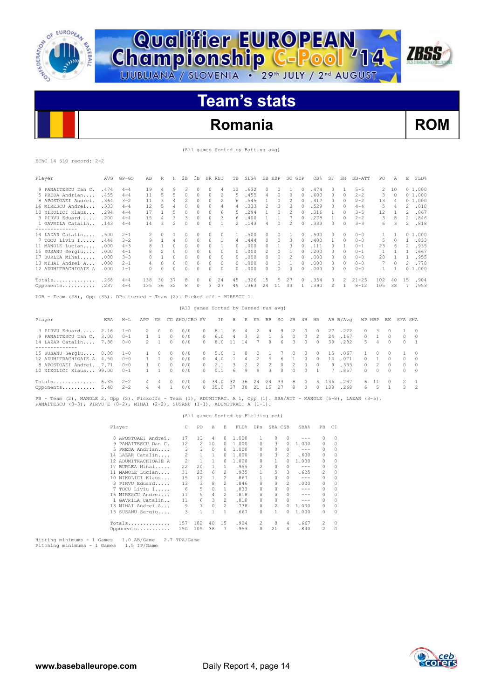

**Championship C-Pool** 14

# **Romania ROM**

**ZBSS** 

(All games Sorted by Batting avg)

|  | EChC 14 SLO record: 2-2 |  |
|--|-------------------------|--|

| Player                                                                                                                                                                                                  | AVG         | $GP - GS$ | AВ             | R              | Н              | 2B            | 3B            | HR RBI   |                | TB                                   | SLG%     |                | BB HBP         |              | SO GDP         |           | OB <sub>8</sub> | SF            | SH           | SB-ATT    | PO             | Α            | Ε              | FLD%           |
|---------------------------------------------------------------------------------------------------------------------------------------------------------------------------------------------------------|-------------|-----------|----------------|----------------|----------------|---------------|---------------|----------|----------------|--------------------------------------|----------|----------------|----------------|--------------|----------------|-----------|-----------------|---------------|--------------|-----------|----------------|--------------|----------------|----------------|
| 9 PANAITESCU Dan C.                                                                                                                                                                                     | .474        | $4 - 4$   | 19             | $\overline{4}$ | 9              | 3             | $\mathcal{O}$ | $\Omega$ | 4              | 12                                   | .632     |                | 0              | $\Omega$     | $\mathbf{1}$   | $\Box$    | .474            | $\Omega$      | $\mathbf{1}$ | $5 - 5$   | 2              | 10           |                | 01.000         |
| 5 PREDA Andrian                                                                                                                                                                                         | .455        | $4 - 4$   | 11             | 5              | 5              | $\Omega$      | $\Omega$      | $\Omega$ | $\mathfrak{D}$ | 5                                    | .455     |                | 4              | $\Omega$     | $\Omega$       | $\Omega$  | .600            | $\Omega$      | $\Omega$     | $2 - 2$   | 3              | $\Omega$     |                | 01.000         |
| 8 APOSTOAEI Andrei.                                                                                                                                                                                     | .364        | $3 - 2$   | 11             | 3              | 4              | 2             | 0             | $\Omega$ | 2              | 6                                    | .545     |                | 1              | $\circ$      | 2              | 0         | .417            | $\mathcal{O}$ | 0            | $2 - 2$   | 13             | 4            |                | 01.000         |
| 16 MIRESCU Andrei                                                                                                                                                                                       | .333        | $4 - 4$   | 12             | 5              | 4              | $\Omega$      | $\Omega$      | $\Omega$ | 4              | 4                                    | .333     |                | $\overline{c}$ | 3            | $\overline{c}$ | $\Omega$  | .529            | $\Omega$      | $\Omega$     | $4 - 4$   | 5              | 4            | $\mathfrak{D}$ | .818           |
| 10 NIKOLICI Klaus                                                                                                                                                                                       | .294        | $4 - 4$   | 17             | $\mathbf{1}$   | 5              | $\circ$       | $\Omega$      | $\Omega$ | 6              | 5                                    | .294     |                | 1              | $\Omega$     | 2              | $\Box$    | .316            | 1             | $\bigcap$    | $3 - 5$   | 12             | $\mathbf{1}$ | 2              | .867           |
| 3 PIRVU Eduard                                                                                                                                                                                          | .200        | $4 - 4$   | 1.5            | 4              | 3              | 3             | O             | $\Omega$ | 3              | 6                                    | .400     |                | 1              | $\mathbf{1}$ | 7              | $\Omega$  | .278            | 1             | $\Omega$     | $2 - 2$   | 3              | 8            | $\mathfrak{D}$ | .846           |
| 1 GAVRILA Catalin                                                                                                                                                                                       | .143        | $4 - 4$   | 14             | 3              | $\mathfrak{D}$ | $\Omega$      | $\Omega$      | $\Omega$ | $\mathbf{1}$   | $\mathfrak{D}$                       | .143     |                | 4              | $\Omega$     | $\mathfrak{D}$ | $\Omega$  | .333            | $\Omega$      | $\Omega$     | $3 - 3$   | 6              | 3            | $\mathfrak{D}$ | .818           |
| --------------<br>14 LAZAR Catalin                                                                                                                                                                      | .500        | $2 - 1$   | $\mathfrak{D}$ | $\Omega$       | $\mathbf{1}$   | $\Omega$      | 0             | $\Omega$ | $\Omega$       | $\mathbf{1}$                         | .500     |                | 0              | $\Omega$     | $\mathbf{1}$   | $\bigcap$ | .500            | $\Omega$      | $\Omega$     | $0 - 0$   | 1.             | $\mathbf{1}$ |                | 0, 1, 000      |
| 7 TOCU Liviu I                                                                                                                                                                                          | .444        | $3 - 2$   | 9              | $\mathbf{1}$   | $\overline{4}$ | $\circ$       | $\Omega$      | 0        | 1              | 4                                    | .444     |                | 0              | 0            | 3              | $\bigcap$ | .400            | 1             | $\Omega$     | $0 - 0$   | 5              | $\Omega$     | $\mathbf{1}$   | .833           |
| 11 MANOLE Lucian                                                                                                                                                                                        | .000        | $4 - 3$   | 8              | $\mathbf{1}$   | 0              | 0             | 0             | $\Omega$ | 1              | $\Omega$                             | .000     |                | 0              | $\mathbf{1}$ | 3              | $\bigcap$ | .111            | $\Omega$      | -1           | $0 - 1$   | 23             | 6            | $\overline{c}$ | .935           |
| 15 SUSANU Sergiu                                                                                                                                                                                        | .000        | $4 - 1$   | 8              | $\mathfrak{D}$ | $\Omega$       | $\Omega$      | $\Omega$      | $\Omega$ | $\Omega$       | $\Omega$                             | .000     |                | $\mathfrak{D}$ | $\Omega$     | $\mathbf{1}$   | $\Omega$  | .200            | $\Omega$      | $\Omega$     | $0 - 1$   | $\mathbf{1}$   | $\mathbf{1}$ | $\mathbf{1}$   | .667           |
| 17 BURLEA Mihai                                                                                                                                                                                         | .000        | $3 - 3$   | 8              | 1              | $\Omega$       | $\circ$       | $\Omega$      | $\Omega$ | $\Omega$       | $\Omega$                             | .000     |                | 0              | $\Omega$     | 2              | $\bigcap$ | .000            | $\mathcal{O}$ | $\Omega$     | $0 - 0$   | 20             | $\mathbf{1}$ | 1              | .955           |
| 13 MIHAI Andrei A                                                                                                                                                                                       | .000        | $2 - 1$   | 4              | $\Omega$       | $\Omega$       | $\Omega$      | $\Omega$      | $\Omega$ | $\Omega$       | $\Omega$                             | .000     |                | $\Omega$       | $\Omega$     | 1              | $\cap$    | .000            | $\Omega$      | $\Omega$     | $0 - 0$   | 7              | $\Omega$     | $\mathfrak{D}$ | .778           |
| 12 ADUMITRACHIOAIE A                                                                                                                                                                                    | .000        | $1 - 1$   | 0              | $\Omega$       | $\Box$         | $\Omega$      | $\Omega$      | $\Omega$ | $\Omega$       | $\Omega$                             | .000     |                | $\Omega$       | $\Omega$     | $\Omega$       | $\bigcap$ | .000            | $\mathcal{O}$ | $\Omega$     | $0 - 0$   | 1              | $\mathbf{1}$ |                | 01.000         |
| Totals                                                                                                                                                                                                  | .268        | $4 - 4$   | 138            | 30             | 37             | 8             | 0             | $\circ$  | 24             | 45                                   | .326     |                | 15             | 5            | 27             | $\circ$   | .354            | 3             | 2            | $21 - 25$ | 102            | 40           | 15             | .904           |
| Opponents .237                                                                                                                                                                                          |             | $4 - 4$   | 135            | 36             | 32             | 8             | 0             | 3        | 27             | 49                                   | .363     |                | 24 11          |              | 33             | 1         | .390            | 2             | $\mathbf{1}$ | $8 - 12$  | 105            | 38           |                | 7.953          |
| LOB - Team (28), Opp (35). DPs turned - Team (2). Picked off - MIRESCU 1.                                                                                                                               |             |           |                |                |                |               |               |          |                |                                      |          |                |                |              |                |           |                 |               |              |           |                |              |                |                |
|                                                                                                                                                                                                         |             |           |                |                |                |               |               |          |                | (All games Sorted by Earned run avg) |          |                |                |              |                |           |                 |               |              |           |                |              |                |                |
| Player                                                                                                                                                                                                  | <b>F.RA</b> | $W-T.$    | APP            | GS.            |                | CG SHO/CBO SV |               |          | TP             | H                                    | R        | ER             | <b>BB</b>      | SO.          | 2B             | 3B        | HR              |               | AB B/Avq     | WP HBP    |                | BK           | SFA SHA        |                |
| 3 PIRVU Eduard                                                                                                                                                                                          | 2.16        | $1 - 0$   | $\mathfrak{D}$ | $\Omega$       | $\Omega$       | 0/0           |               | 0        | 8.1            | 6                                    | 4        | 2              | 4              | 9            | $\mathfrak{D}$ | $\Omega$  | $\Omega$        | 27            | .222         | $\Omega$  | 3              | $\Omega$     | 1              | $\Omega$       |
| 9 PANAITESCU Dan C.                                                                                                                                                                                     | 3.00        | $0 - 1$   | $\mathbf{1}$   | 1              | $\Omega$       | 0/0           |               | $\Omega$ | 6.0            | 4                                    | 3        | $\overline{c}$ | $\mathbf{1}$   | 5            | $\Omega$       | 0         | $\overline{c}$  | 24            | .167         | 0         |                | $\Omega$     | 0              | $\Omega$       |
| 14 LAZAR Catalin<br>--------------                                                                                                                                                                      | 7.88        | $0 - 0$   | $\mathcal{L}$  | 1              | $\Omega$       | 0/0           |               | $\Omega$ | 8.0            | 11                                   | 14       | 7              | 8              | 6            | 3              | $\Omega$  | $\Omega$        | 39            | .282         | 5         | $\overline{4}$ | $\Omega$     | $\Omega$       | $\overline{1}$ |
| 15 SUSANU Sergiu                                                                                                                                                                                        | 0.00        | $1 - 0$   | $\mathbf{1}$   | $\Omega$       | $\cap$         | 0/0           |               | 0        | 5.0            | $\overline{1}$                       | $\Omega$ | $\Omega$       | $\overline{1}$ | 7            | 0              | $\Omega$  | $\Omega$        | 1.5           | .067         | 1         | $\Omega$       | $\cap$       | 1              | $\Omega$       |
| 12 ADUMITRACHIOAIE A                                                                                                                                                                                    | 4.50        | $0 - 0$   | $\mathbf{1}$   | 1              | $\Omega$       | 0/0           |               | $\Omega$ | 4.0            | 1                                    | 4        | $\overline{c}$ | 5              | 6            | $\mathbf{1}$   | $\Omega$  | $\Omega$        | 14            | .071         | $\Omega$  | 1              | 0            | $\Omega$       | $\mathcal{O}$  |
| 8 APOSTOAEI Andrei.                                                                                                                                                                                     | 7.71        | $0 - 0$   |                | $\circ$        | $\Omega$       | 0/0           |               | 0        | 2.1            | 3                                    | 2        | 2              | 2              | 0            | $\overline{2}$ | $\Omega$  | $\Omega$        | 9             | .333         | $\Omega$  | 2              | $\Omega$     | 0              | $\Omega$       |
| 10 NIKOLICI Klaus 99.00                                                                                                                                                                                 |             | $0 - 1$   | $\mathbf{1}$   | 1              | $\Omega$       | 0/0           |               | $\cap$   | 0.1            | 6                                    | 9        | 9              | 3              | $\Omega$     | 0              | $\Omega$  | 1               | 7             | .857         | $\Omega$  | $\Omega$       | $\Omega$     | $\Omega$       | $\Omega$       |
| $Totals$ $6.35$                                                                                                                                                                                         |             | $2 - 2$   | 4              | 4              | $\Omega$       | 0/0           |               | $\Omega$ | 34.0           | 32                                   | 36       | 24             | 24             | 33           | 8              | $\Omega$  | 3               | 135           | .237         | 6         | 11             | 0            | 2              | 1              |
| Opponents 5.40                                                                                                                                                                                          |             | $2 - 2$   | 4              | 4              | 1              | 0/0           |               | $\Omega$ | 35.0           | 37                                   | 30       | 21             | 15             | 27           | 8              | $\Omega$  | $\Omega$        | 138           | .268         | 6         | 5              | $\mathbf{1}$ | 3              | 2              |
| PB - Team (2), MANOLE 2, Opp (2). Pickoffs - Team (1), ADUMITRAC. A 1, Opp (1). SBA/ATT - MANOLE (5-8), LAZAR (3-5),<br>PANAITESCU (3-3), PIRVU E (0-2), MIHAI (2-2), SUSANU (1-1), ADUMITRAC. A (1-1). |             |           |                |                |                |               |               |          |                |                                      |          |                |                |              |                |           |                 |               |              |           |                |              |                |                |

## (All games Sorted by Fielding pct)

| Player |                      | C.  | PO. | A        | F. | FLD%  | DPs          | SBA CSB  |          | SBA%    | PB. | CI       |
|--------|----------------------|-----|-----|----------|----|-------|--------------|----------|----------|---------|-----|----------|
|        | 8 APOSTOAEI Andrei.  | 17  | 13  | 4        | 0  | 1,000 | 1.           | $\Omega$ | $\Omega$ |         | 0   |          |
|        | 9 PANAITESCU Dan C.  | 12  | 2   | 10       | 0  | 1,000 | $\Omega$     | 3        | $\Omega$ | 1,000   | 0   | $\Omega$ |
|        | 5 PREDA Andrian      | 3   | 3   | 0        | 0  | 1,000 | $\Omega$     | 0        | 0        | $- - -$ | 0   | $\Omega$ |
|        | 14 LAZAR Catalin     | 2   |     |          | 0  | 1,000 | $\Omega$     | 3        | 2        | .600    | 0   | 0        |
|        | 12 ADUMITRACHIOAIE A | 2   | 1   |          | 0  | 1,000 | $\cap$       | 1        | 0        | 1,000   | 0   |          |
|        | 17 BURLEA Mihai      | 22  | 20  |          | 1. | .955  | 2            | 0        | 0        | $- - -$ | 0   | 0        |
|        | 11 MANOLE Lucian     | 31  | 23  | 6        | 2  | .935  | 1.           | 5        | 3        | .625    | 2   | $\Omega$ |
|        | 10 NIKOLICI Klaus    | 15  | 12  |          | 2  | .867  | 1.           | 0        | 0        | $- - -$ | 0   | 0        |
|        | 3 PIRVU Eduard       | 13  | 3   | 8        | 2  | .846  | $\Omega$     | 0        | 2        | .000    | 0   | 0        |
|        | 7 TOCU Liviu I       | 6   | 5   | $\Omega$ | 1. | .833  | $\Omega$     | $\Omega$ | 0        | $-- -$  | 0   | 0        |
|        | 16 MIRESCU Andrei    | 11  | 5   | 4        | 2  | .818  | 0            | 0        | 0        | $- - -$ | 0   | $\Omega$ |
|        | 1 GAVRILA Catalin    | 11  | 6   | 3        | 2  | .818  | $\Omega$     | $\Omega$ | 0        | $- - -$ | 0   | 0        |
|        | 13 MIHAI Andrei A    | 9   | 7   | $\Omega$ | 2  | .778  | $\Omega$     | 2        | 0        | 1,000   | 0   | $\Omega$ |
|        | 15 SUSANU Sergiu     | 3   | 1   |          | 1  | .667  | <sup>0</sup> | 1        | 0        | 1,000   | 0   | $\Omega$ |
|        | Totals               | 157 | 102 | 40       | 15 | .904  | 2            | 8        | 4        | .667    | 2   | 0        |
|        | Opponents            | 150 | 105 | 38       | 7  | .953  | $\Omega$     | 21       | 4        | .840    | 2   | $\Omega$ |

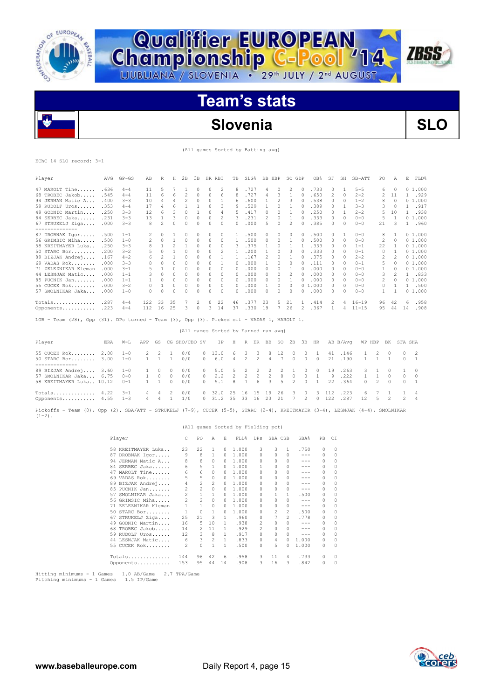

**Championship C-Pool** 14

# **Slovenia SLO**

**ZBSS** 

(All games Sorted by Batting avg)

### EChC 14 SLO record: 3-1

| Player               | AVG   | $GP - GS$ | AB  | R                        | Н                        | 2B             | 3B       |          | HR RBI         | TB           | SLG%  | BB. | HBP      | SO GDP   |          | OB <sub>8</sub>        | SF | SH       | SB-ATT    | PO       | Α            | E        | FLD%   |
|----------------------|-------|-----------|-----|--------------------------|--------------------------|----------------|----------|----------|----------------|--------------|-------|-----|----------|----------|----------|------------------------|----|----------|-----------|----------|--------------|----------|--------|
| 47 MAROLT Tine       | . 636 | $4 - 4$   | 11  | 5                        |                          |                | 0        | $\Omega$ | 2              | 8            | .727  | 4   | 0        | 2        |          | .733                   | 0  |          | $5 - 5$   | 6        | $\Omega$     |          | 01.000 |
| 68 TROBEC Jakob      | .545  | $4 - 4$   | 11  | 6                        | 6                        | 2              | $\Omega$ | 0        | 6              | 8            | .727  | 4   | 3        |          | $\Omega$ | .650                   | 2  | 0        | $2 - 2$   | 2        | 11           |          | .929   |
| 94 JERMAN Matic A    | .400  | $3 - 3$   | 10  | 4                        | 4                        | $\mathfrak{D}$ | 0        | $\Omega$ |                | 6            | . 600 |     | 2        | 3        |          | .538                   | 0  | $\Omega$ | $1 - 2$   | 8        | $\Omega$     | $\Omega$ | 1,000  |
| $59$ RUDOLF Uros     | .353  | $4 - 4$   | 17  | 4                        | Б                        |                |          | 0        | 3              | 9            | .529  |     | n        |          |          | .389                   | 0  |          | $3 - 3$   | 3        | 8            |          | .917   |
| 49 GODNIC Martin     | .250  | $3 - 3$   | 12  | 6                        |                          | $\Omega$       |          | $\Omega$ | 4              | 5.           | .417  |     | n        |          |          | .250                   | 0  |          | $2 - 2$   | 5        | 10           |          | .938   |
| 84 SERBEC Jaka       | .231  | $3 - 3$   | 13  |                          |                          | $\Omega$       | 0        | $\Omega$ | $\mathfrak{D}$ | 3            | .231  | 2   | $\Omega$ |          |          | .333                   | 0  | $\Omega$ | $0 - 0$   | 5        | $\mathbf{1}$ |          | 01.000 |
| 67 STRUKELJ Ziga     | .000  | $3 - 3$   | 8   | $\overline{\phantom{a}}$ | 0                        | $\Omega$       | 0        | $\Omega$ | $\Omega$       | $\cap$       | .000  | 5.  | $\Omega$ | 2        |          | .385                   | 0  | $\Omega$ | $0 - 0$   | 21       |              |          | .960   |
| ---------------      |       |           |     |                          |                          |                |          |          |                |              |       |     |          |          |          |                        |    |          |           |          |              |          |        |
| 87 DROBNAK Igor      | .500  | $1 - 1$   | 2   | $\Omega$                 |                          | $\Omega$       | 0        | $\Omega$ | 0              |              | .500  | 0   | 0        | 0        |          | .500                   | 0  |          | $0 - 0$   | 8        |              |          | 01.000 |
| 56 GRIMSIC Miha      | .500  | $1 - 0$   | 2   | 0                        |                          | 0              | 0        | 0        | $\Omega$       |              | .500  | 0   | 0        |          |          | .500                   | 0  | 0        | $0 - 0$   | 2        | $\Omega$     |          | 01.000 |
| 58 KREITMAYER Luka   | .250  | $3 - 3$   |     |                          | $\overline{\mathcal{L}}$ |                | 0        | $\Omega$ | $\Omega$       | 3            | .375  |     | $\Omega$ |          |          | .333                   |    | $\Omega$ | $1 - 1$   | 22       |              |          | 01.000 |
| $50$ STARC Bor       | .200  | $3 - 2$   |     | 0                        |                          | $\Omega$       | 0        | $\Omega$ | 2              |              | .200  |     | 0        |          |          | .333                   | 0  | $\Omega$ | $0 - 1$   | 0        |              |          | 01.000 |
| 89 BIZJAK Andrej     | .167  | $4 - 2$   | 6   |                          |                          | $\Omega$       | 0        | $\Omega$ |                |              | .167  | 2   | $\Omega$ |          |          | .375                   | 0  | $\Omega$ | $2 - 2$   | 2        |              |          | 01.000 |
| 69 VADAS Rok         | .000  | $3 - 3$   |     | 0                        |                          | 0              | 0        | $\Omega$ |                | 0            | .000  |     | n        | 0        |          | .111                   | 0  | 0        | $0 - 1$   | 5        | $\Omega$     |          | 01.000 |
| 71 ZELEZNIKAR Kleman | .000  | $3 - 1$   |     |                          |                          | $\Omega$       |          | $\Omega$ | $\Omega$       | 0            | .000  |     |          |          |          | .000                   | 0  | $\Omega$ | $0 - 0$   |          | $\Omega$     |          | 01.000 |
| 44 LESNJAK Matic     | .000  | $1 - 1$   |     | 0                        | 0                        | 0              | 0        | $\Omega$ | 0              | 0            | .000  | 0   | 0        |          |          | .000                   | 0  | $\Omega$ | $0 - 0$   | 3        |              |          | .833   |
| 85 PUCNIK Jan        | .000  | $1 - 1$   |     | 0                        | 0                        | $\Omega$       | 0        | $\Omega$ | $\Omega$       | 0            | .000  | 0   | $\Omega$ |          |          | .000                   | 0  | $\Omega$ | $0 - 0$   | 2        | $\Omega$     |          | 01.000 |
| $55$ CUCEK Rok       | .000  | $3 - 2$   | 0   |                          | $\Omega$                 | $\Omega$       | 0        | $\Omega$ | $\Omega$       | $\Omega$     | .000  |     | $\Omega$ | $\Omega$ |          | .000<br>0 <sub>1</sub> | 0  | $\Omega$ | $0 - 0$   | $\Omega$ |              |          | .500   |
| 57 SMOLNIKAR Jaka    | .000  | $1 - 0$   | 0   | 0                        | <sup>0</sup>             | $\Omega$       |          | n        | $\Omega$       | <sup>0</sup> | .000  | O.  | n        | 0        |          | .000                   | 0  | $\Omega$ | $0 - 0$   | 1.       |              |          | 01.000 |
| Totals               | .287  | $4 - 4$   | 122 | 33                       | 35                       |                | 2        | $\Omega$ | 22             | 46           | .377  | 23  | 5        | 21       |          | .414                   | 2  | 4        | $16 - 19$ | 96       | 42           | 6        | .958   |
| Opponents            | .223  | $4 - 4$   | 112 | 16                       | 25                       | 3              | 0        | 3        | 14             | 37           | .330  | 19  |          | 26       |          | .367                   |    |          | $11 - 15$ | 95       | 44           | 14       | .908   |

LOB - Team (28), Opp (31). DPs turned - Team (3), Opp (3). Picked off - VADAS 1, MAROLT 1.

| Player                                                                                                      |  |                     |  | ERA W-L APP GS CG SHO/CBO SV IP H R ER BB SO 2B 3B HR AB B/Avq WP HBP BK SFA SHA |                                                                              |  |  |  |  |                                                                                               |                      |                     |           |                           |
|-------------------------------------------------------------------------------------------------------------|--|---------------------|--|----------------------------------------------------------------------------------|------------------------------------------------------------------------------|--|--|--|--|-----------------------------------------------------------------------------------------------|----------------------|---------------------|-----------|---------------------------|
| 55 CUCEK Rok 2.08 1-0 2 2 1 0/0<br>50 STARC Bor 3.00 1-0                                                    |  | $1 \quad 1 \quad 1$ |  | 0/0                                                                              |                                                                              |  |  |  |  | 0 13.0 6 3 3 8 12 0 0 1 41 .146 1 2 0 0 2<br>0 6.0 4 2 2 4 7 0 0 0 21 190 1 1 1 0 1           |                      |                     |           |                           |
| 89 BIZJAK Andrej 3.60 1-0 1 0 0 0/0<br>57 SMOLNIKAR Jaka 6.75 0-0<br>58 KREITMAYER Luka 10.12  0-1  1  1  0 |  | 1 0 0               |  | 0/0<br>0/0                                                                       |                                                                              |  |  |  |  | 0 5.0 5 2 2 2 2 1 0 0 19 .263<br>0 2.2 2 2 2 2 0 0 0 1 9 .222<br>0 5.1 8 7 6 3 5 2 0 1 22 364 | 1 1 0                | $0 \quad 2 \quad 0$ | 3 1 0 1 0 | $0\quad 0$<br>$0 \quad 1$ |
| Totals $4.22$ 3-1<br>Opponents $4.55$ 1-3                                                                   |  |                     |  | 4 4 2 0/0<br>4 4 1 1/0                                                           | 0 32.0 25 16 15 19 26 3 0 3 112 .223<br>0 31.2 35 33 16 23 21 7 2 0 122 .287 |  |  |  |  |                                                                                               | $12 \quad 5 \quad 2$ |                     | 6 7 1 1 4 | 2 4                       |
|                                                                                                             |  |                     |  |                                                                                  |                                                                              |  |  |  |  |                                                                                               |                      |                     |           |                           |

(All games Sorted by Earned run avg)

Pickoffs - Team (0), Opp (2). SBA/ATT - STRUKELJ (7-9), CUCEK (5-5), STARC (2-4), KREITMAYER (3-4), LESNJAK (4-4), SMOLNIKAR  $(1-2)$ .

|                         |                |                |               |              | (All games Sorted by Fielding pct) |                |                |              |                  |          |          |
|-------------------------|----------------|----------------|---------------|--------------|------------------------------------|----------------|----------------|--------------|------------------|----------|----------|
| Player                  | C.             | P0             | A             | E.           | FLD <sup>§</sup>                   | DPs            | SBA CSB        |              | SBA <sup>*</sup> | PB.      | C.T      |
| 58 KREITMAYER Luka      | 23             | 22             | 1             | $\Omega$     | 1,000                              | 3              | 3              | 1.           | .750             | $\Omega$ | $\Omega$ |
| DROBNAK Igor<br>87      | 9              | 8              | 1             | 0            | 1,000                              | $\Omega$       | $\Omega$       | O.           | $- - -$          | $\Omega$ | $\Omega$ |
| 94 JERMAN Matic A       | 8              | 8              | $\Omega$      | $\Omega$     | 1,000                              | $\Omega$       | $\cap$         | 0            | ---              | $\Omega$ | $\Omega$ |
| 84 SERBEC Jaka          | 6              | 5              | $\mathbf{1}$  | $\Omega$     | 1,000                              | 1.             | $\cap$         | 0            | ---              | $\Omega$ | $\Omega$ |
| MAROLT Tine<br>47       | 6              | 6              | $\mathcal{O}$ | 0            | 1,000                              | <sup>0</sup>   | <sup>0</sup>   | 0            | ---              | 0        | $\Omega$ |
| 69 VADAS Rok            | 5              | 5              | $\Omega$      | $\Omega$     | 1,000                              | <sup>0</sup>   | <sup>0</sup>   | 0            | ---              | n        | $\Omega$ |
| 89 BIZJAK Andrej        | 4              | $\overline{c}$ | 2             | $\Omega$     | 1,000                              | <sup>0</sup>   | $\cap$         | <sup>0</sup> | ---              | $\Omega$ | $\Omega$ |
| 85 PUCNIK Jan           | 2              | 2              | $\Omega$      | $\Omega$     | 1,000                              | <sup>0</sup>   | $\Omega$       | 0            | ---              | $\cap$   | $\Omega$ |
| SMOLNIKAR Jaka<br>57    | $\overline{2}$ | $\mathbf{1}$   | 1             | $\Omega$     | 1,000                              | $\Omega$       |                | 1            | .500             | 0        | 0        |
| 56 GRIMSIC Miha         | $2^{1}$        | 2              | $\Omega$      | $\Omega$     | 1,000                              | <sup>0</sup>   | <sup>0</sup>   | O.           | $- - -$          | $\Omega$ | $\Omega$ |
| ZELEZNIKAR Kleman<br>71 | 1              | 1              | $\Omega$      | $\Omega$     | 1.000                              | <sup>0</sup>   | $\Omega$       | 0            | $- - -$          | $\Omega$ | $\Omega$ |
| $50$ STARC Bor          | 1              | $\Omega$       | 1             | $\Omega$     | 1.000                              | <sup>0</sup>   | $\mathfrak{D}$ | 2            | .500             | 0        | $\Omega$ |
| 67 STRUKELJ Ziga        | 25             | 21             | 3             | 1.           | .960                               | <sup>0</sup>   |                | 2            | .778             | 0        | $\Omega$ |
| 49 GODNIC Martin        | 16             | 5              | 10            | 1.           | .938                               | 2              | $\cap$         | O.           | $- - -$          | 0        | $\Omega$ |
| 68 TROBEC Jakob         | 14             | 2              | 11            | $\mathbf{1}$ | .929                               | $\mathfrak{D}$ | <sup>0</sup>   | 0            | ---              | $\Omega$ | $\Omega$ |
| 59 RUDOLF Uros          | 12             | 3              | 8             | $\mathbf{1}$ | .917                               | <sup>0</sup>   | $\Omega$       | 0            | $- - -$          | $\Omega$ | $\Omega$ |
| 44 LESNJAK Matic        | 6              | 3              | 2             | $\mathbf{1}$ | .833                               | $\Omega$       | 4              | 0            | 1.000            | 0        | $\Omega$ |
| 55 CUCEK Rok            | $\mathfrak{D}$ | 0              | 1             | 1            | .500                               | <sup>0</sup>   | 5              | 0            | 1.000            | 0        | $\Omega$ |
| $Totals$                | 144            | 96             | 42            | 6            | .958                               | 3              | 11             | 4            | .733             | 0        | 0        |
| Opponents               | 153            | 95             | 44            | 14           | .908                               | 3              | 16             | 3            | .842             | $\Omega$ | 0        |

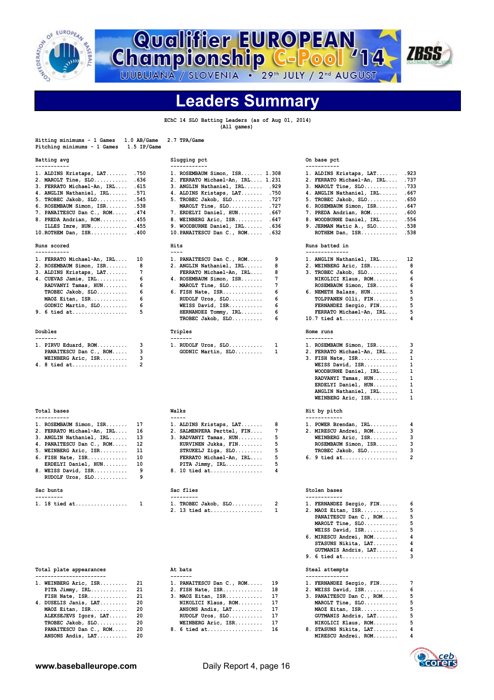

**Championship C-Pool '14** 



**Leaders Summary**

 **EChC 14 SLO Batting Leaders (as of Aug 01, 2014) (All games)**

| Hitting minimums - 1 Games<br>Pitching minimums - 1 Games | 1.0 AB/Game<br>1.5 IP/Game | 2.7 TPA/Game                                            |                                                           |
|-----------------------------------------------------------|----------------------------|---------------------------------------------------------|-----------------------------------------------------------|
| Batting avg<br>-----------                                |                            | Slugging pct<br>----                                    | On base pct<br>--------                                   |
| 1. ALDINS Kristaps, LAT                                   | .750                       | 1. ROSEMBAUM Simon, ISR 1.308                           | .923<br>1. ALDINS Kristaps, LAT                           |
| $2.$ MAROLT Tine, $SLO$                                   | .636                       | 2. FERRATO Michael-An, IRL 1.231                        | .737<br>2. FERRATO Michael-An, IRL                        |
| 3. FERRATO Michael-An, IRL                                | .615                       | 3. ANGLIN Nathaniel, IRL .929                           | . 733<br>$3.$ MAROLT Tine, $SLO$                          |
| 4. ANGLIN Nathaniel, IRL                                  | .571                       | 4. ALDINS Kristaps, LAT<br>.750                         | .667<br>4. ANGLIN Nathaniel, IRL                          |
| $5.$ TROBEC Jakob, SLO                                    | .545                       | $5.$ TROBEC Jakob, $SLO$<br>.727                        | .650<br>5. TROBEC Jakob, SLO<br>.647                      |
| 6. ROSEMBAUM Simon, ISR                                   | .538<br>.474               | MAROLT Tine, SLO<br>.727<br>.667                        | 6. ROSEMBAUM Simon, ISR<br>.600                           |
| 7. PANAITESCU Dan C., ROM<br>8. PREDA Andrian, ROM        | .455                       | 7. ERDELYI Daniel, HUN<br>8. WEINBERG Aric, ISR<br>.647 | 7. PREDA Andrian, ROM<br>8. WOODBURNE Daniel, IRL<br>.556 |
| ILLES Imre, HUN                                           | .455                       | 9. WOODBURNE Daniel, IRL<br>.636                        | .538<br>9. JERMAN Matic A., SLO                           |
| 10.ROTHEM Dan, ISR                                        | .400                       | 10. PANAITESCU Dan C., ROM<br>.632                      | .538<br>$ROTHEM$ Dan, $ISR$                               |
| Runs scored<br>-----------                                |                            | Hits<br>$--- -$                                         | Runs batted in<br>--------------                          |
| 1. FERRATO Michael-An, IRL                                | 10                         | 1. PANAITESCU Dan C., ROM<br>9                          | 12<br>1. ANGLIN Nathaniel, IRL                            |
| 2. ROSEMBAUM Simon, ISR                                   | 8                          | 8<br>2. ANGLIN Nathaniel, IRL                           | 8<br>2. WEINBERG Aric, ISR                                |
| 3. ALDINS Kristaps, LAT                                   | 7                          | 8<br>FERRATO Michael-An, IRL                            | 6<br>3. TROBEC Jakob, SLO                                 |
| 4. CUEVAS Jamie, IRL                                      | 6                          | 7<br>4. ROSEMBAUM Simon, ISR                            | 6<br>NIKOLICI Klaus, ROM                                  |
| RADVANYI Tamas, HUN                                       | 6                          | 7<br>$MAROLT$ Tine, $SLO$                               | 6<br>ROSEMBAUM Simon, ISR                                 |
| TROBEC Jakob, SLO                                         | 6                          | 6<br>$6.$ FISH Nate, ISR                                | 5<br>6. NEMETH Balazs, HUN                                |
| MAOZ Eitan, ISR                                           | 6                          | 6<br>RUDOLF Uros, SLO                                   | 5<br>TOLPPANEN Olli, FIN                                  |
| GODNIC Martin, SLO                                        | 6                          | 6<br>WEISS David, ISR                                   | 5<br>FERNANDEZ Sergio, FIN                                |
| 9. 6 tied at                                              | 5                          | 6<br>HERNANDEZ Tommy, IRL                               | 5<br>FERRATO Michael-An, IRL                              |
|                                                           |                            | 6<br>$TROBEC Jakob, SLO \ldots$                         | 4<br>10.7 tied at                                         |
| Doubles                                                   |                            | Triples                                                 | Home runs                                                 |
| -------                                                   |                            | -------                                                 | ---------                                                 |
| 1. PIRVU Eduard, ROM                                      | з                          | 1<br>$1.$ RUDOLF Uros, SLO                              | з<br>1. ROSEMBAUM Simon, ISR                              |
| PANAITESCU Dan C., ROM                                    | 3                          | GODNIC Martin, SLO<br>1                                 | 2<br>2. FERRATO Michael-An, IRL                           |
| WEINBERG Aric, ISR                                        | 3                          |                                                         | 1<br>3. FISH Nate, ISR                                    |
| 4. 8 tied at                                              | 2                          |                                                         | 1<br>WEISS David, ISR                                     |
|                                                           |                            |                                                         | 1<br>WOODBURNE Daniel, IRL                                |
|                                                           |                            |                                                         | 1<br>RADVANYI Tamas, HUN                                  |
|                                                           |                            |                                                         | 1<br>ERDELYI Daniel, HUN                                  |
|                                                           |                            |                                                         | 1<br>ANGLIN Nathaniel, IRL                                |
|                                                           |                            |                                                         | 1<br>WEINBERG Aric, ISR                                   |
| Total bases<br>-----------                                |                            | Walks<br>-----                                          | Hit by pitch<br>------------                              |
| 1. ROSEMBAUM Simon, ISR                                   | 17                         | 8<br>1. ALDINS Kristaps, LAT                            | 4<br>1. POWER Brendan, IRL                                |
| 2. FERRATO Michael-An, IRL                                | 16                         | 7<br>2. SALMENPERA Perttel, FIN                         | з<br>2. MIRESCU Andrei, ROM                               |
| 3. ANGLIN Nathaniel, IRL                                  | 13                         | 5<br>3. RADVANYI Tamas, HUN                             | 3<br>WEINBERG Aric, ISR                                   |
| 4. PANAITESCU Dan C., ROM                                 | 12                         | 5<br>KURVINEN Jukka, FIN                                | 3<br>ROSEMBAUM Simon, ISR                                 |
| 5. WEINBERG Aric, ISR                                     | 11                         | 5<br>STRUKELJ Ziga, SLO                                 | 3<br>$TROBEC Jakob, SLO. \ldots \ldots$                   |
| $6.$ FISH Nate, ISR                                       | 10                         | 5<br>FERRATO Michael-An, IRL                            | 2<br>6. 9 tied at                                         |
| ERDELYI Daniel, HUN                                       | 10                         | 5<br>PITA Jimmy, IRL                                    |                                                           |
| 8. WEISS David, ISR                                       | 9                          | 4<br>8. 10 tied at                                      |                                                           |
| $RUDOLF$ $Uros$ , $SLO$                                   | 9                          |                                                         |                                                           |
| Sac bunts                                                 |                            | Sac flies                                               | Stolen bases                                              |
| ----------                                                |                            | ---------                                               | ------------                                              |
| 1. 18 tied at                                             | 1                          | 1. TROBEC Jakob, SLO<br>2                               | 1. FERNANDEZ Sergio, FIN<br>6                             |
|                                                           |                            | 1                                                       | 5<br>2. MAOZ Eitan, ISR                                   |
|                                                           |                            |                                                         | 5<br>PANAITESCU Dan C., ROM                               |
|                                                           |                            |                                                         | 5<br>MAROLT Tine, SLO                                     |
|                                                           |                            |                                                         | 5<br>WEISS David, ISR                                     |
|                                                           |                            |                                                         | 4<br>6. MIRESCU Andrei, ROM                               |
|                                                           |                            |                                                         | 4<br>STASUNS Nikita, LAT                                  |
|                                                           |                            |                                                         | 4<br>GUTMANIS Andris, LAT                                 |
|                                                           |                            |                                                         | 3<br>9. 6 tied at                                         |
| Total plate appearances<br>-----------------------        |                            | At bats<br>-------                                      | Steal attempts                                            |
| 1. WEINBERG Aric, ISR                                     | 21                         | 19<br>1. PANAITESCU Dan C., ROM                         | ------------<br>7<br>1. FERNANDEZ Sergio, FIN             |
| PITA Jimmy, IRL                                           | 21                         | 2. FISH Nate, ISR<br>18                                 | 6<br>2. WEISS David, ISR                                  |
|                                                           | 21                         | 3. MAOZ Eitan, ISR<br>17                                | 5<br>3. PANAITESCU Dan C., ROM                            |
| FISH Nate, ISR                                            | 20                         | 17                                                      | 5                                                         |
| 4. DUSELIS Janis, LAT                                     |                            | NIKOLICI Klaus, ROM                                     | MAROLT Tine, SLO<br>5                                     |
| MAOZ Eitan, ISR                                           | 20                         | ANSONS Andis, LAT<br>17                                 | MAOZ Eitan, ISR                                           |
| ALEKSEJEVS Igors, LAT                                     | 20                         | RUDOLF Uros, SLO<br>17                                  | 5<br>GUTMANIS Andris, LAT                                 |
| TROBEC Jakob, SLO                                         | 20                         | 17<br>WEINBERG Aric, ISR                                | 5<br>NIKOLICI Klaus, ROM                                  |
| PANAITESCU Dan C., ROM<br>ANSONS Andis, LAT               | 20<br>20                   | 8. 6 tied at<br>16                                      | 4<br>8. STASUNS Nikita, LAT<br>4<br>MIRESCU Andrei, ROM   |
|                                                           |                            |                                                         |                                                           |

## **1. 1. ALDING Kristaps, LAT........ .923**

| 2. FERRATO Michael-An, IRL    | . 737             |
|-------------------------------|-------------------|
| $3.$ MAROLT Tine, $SLO$       | .733              |
| 4. ANGLIN Nathaniel, IRL .667 |                   |
| $5.$ TROBEC Jakob, $SLO$      | .650              |
| 6. ROSEMBAUM Simon, ISR       | .647              |
| 7. PREDA Andrian, ROM         | .600              |
| 8. WOODBURNE Daniel, IRL      | .556              |
| 9. JERMAN Matic A., SLO . 538 |                   |
| ROTHEM Dan, $ISR$ .538        |                   |
| Runs batted in                |                   |
| --------------                | $12 \overline{ }$ |
| 1. ANGLIN Nathaniel, IRL      | - 8               |
| 2. WEINBERG Aric, ISR         |                   |
| $3.$ TROBEC Jakob, $SLO$      | - 6               |
| NIKOLICI Klaus, ROM           | - 6               |
| ROSEMBAUM Simon, ISR 6        |                   |
| 6. NEMETH Balazs, HUN         | - 5               |
| TOLPPANEN Olli, FIN           | 5                 |
| FERNANDEZ Sergio, FIN         | 5                 |
| FERRATO Michael-An, IRL       | 5                 |
| 10.7 tied at                  | 4                 |
| Home runs<br>.                |                   |
| 1. ROSEMBAUM Simon, ISR       | 3                 |
| 2. FERRATO Michael-An, IRL    | $\overline{2}$    |
| 3. FISH Nate, ISR 1           |                   |
| WEISS David, ISR              | $\mathbf{1}$      |
| WOODBURNE Daniel, IRL         | $\mathbf{1}$      |
| RADVANYI Tamas, HUN           | $\mathbf{1}$      |
| ERDELYI Daniel, HUN           | $\mathbf{1}$      |
|                               |                   |

| 1. POWER Brendan, IRL  |   |
|------------------------|---|
| 2. MIRESCU Andrei, ROM | ٩ |
| WEINBERG Aric, ISR     | ٩ |
| ROSEMBAUM Simon, ISR   | ર |
| TROBEC Jakob, SLO      | ર |
| 6. 9 tied at           | 2 |
|                        |   |

| 1. 18 tied at       1    |     | 1. TROBEC Jakob, SLO         | 1. FERNANDEZ Sergio, FIN  | - 6 |
|--------------------------|-----|------------------------------|---------------------------|-----|
|                          |     | 2. 13 tied at                | 2. MAOZ Eitan, ISR        | -5  |
|                          |     |                              | PANAITESCU Dan C., ROM    | - 5 |
|                          |     |                              | MAROLT Tine, SLO          | - 5 |
|                          |     |                              | WEISS David, ISR          | - 5 |
|                          |     |                              | 6. MIRESCU Andrei, ROM    | 4   |
|                          |     |                              | STASUNS Nikita, LAT       | 4   |
|                          |     |                              | GUTMANIS Andris, LAT      | -4  |
|                          |     |                              | 9. 6 tied at 3            |     |
| Total plate appearances  |     | At bats                      | Steal attempts            |     |
|                          |     |                              |                           |     |
| 1. WEINBERG Aric, ISR 21 |     | 1. PANAITESCU Dan C., ROM 19 | 1. FERNANDEZ Sergio, FIN  | -7  |
| PITA Jimmy, IRL          | -21 | 2. FISH Nate, ISR 18         | 2. WEISS David, ISR       | -6  |
| FISH Nate, ISR           | 21  | 3. MAOZ Eitan, ISR 17        | 3. PANAITESCU Dan C., ROM | - 5 |
| 4. DUSELIS Janis, LAT    | 20  | NIKOLICI Klaus, ROM          | MAROLT Tine, SLO          |     |

| PITA Jimmy, $IRL$ 21      | 2. FISH Nate, ISR 18   | 2. WEISS David, ISR 6       |  |
|---------------------------|------------------------|-----------------------------|--|
| FISH Nate, ISR 21         | 3. MAOZ Eitan, ISR 17  | 3. PANAITESCU Dan C., ROM 5 |  |
| 4. DUSELIS Janis, LAT 20  | NIKOLICI Klaus, ROM 17 | MAROLT Tine, SLO 5          |  |
| MAOZ Eitan, ISR 20        | ANSONS Andis, LAT 17   | $MAOZ$ Eitan, ISR 5         |  |
| ALEKSEJEVS Igors, LAT 20  | RUDOLF Uros, $SLO$ 17  | GUTMANIS Andris, LAT 5      |  |
| $TROBEC Jakob, SLO$ 20    | WEINBERG Aric, ISR 17  | NIKOLICI Klaus, ROM 5       |  |
| PANAITESCU Dan C., ROM 20 | 8. 6 tied at 16        | 8. STASUNS Nikita, LAT 4    |  |
| ANSONS Andis, LAT 20      |                        | MIRESCU Andrei, ROM 4       |  |
|                           |                        |                             |  |

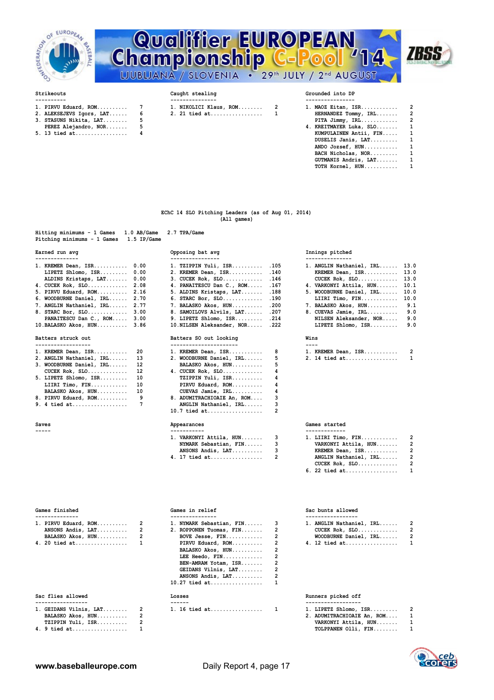

# **Strikeouts** Championship C-Pool **Qualifier EUROPEAN<br>Championship C-Pool '14** LJUBLJANA / SLOVENIA . 29th JULY / 2nd AUGUST



- 
- 
- 
- **3. STASUNS Nikita, LAT........ 5 PITA Jimmy, IRL............ 2 PEREZ Alejandro, NOR........ 5**<br>13 tied at.................. 4
- **5. 13 tied at.................**

- 1. PIRVU Eduard, ROM........... 7 1. NIKOLICI Klaus, ROM......... 2<br>2. ALEKSEJEVS Igors, LAT...... 6 2. 21 tied at................... 1 **2. 21 tied at..................**
- 

| 1. PIRVU Eduard, ROM       7 | 1. NIKOLICI Klaus, ROM 2                                 | 1. MAOZ Eitan, ISR 2      |  |
|------------------------------|----------------------------------------------------------|---------------------------|--|
|                              | 2. ALEKSEJEVS Igors, LAT 6       2. 21 tied at         1 | HERNANDEZ Tommy, IRL 2    |  |
| 3. STASUNS Nikita, LAT 5     |                                                          | PITA Jimmy, $IRL$ 2       |  |
| PEREZ Alejandro, NOR 5       |                                                          | 4. KREITMAYER Luka, SLO 1 |  |
| 5. 13 tied at 4              |                                                          | KUMPULAINEN Antii, FIN 1  |  |
|                              |                                                          | DUSELIS Janis, LAT 1      |  |
|                              |                                                          | ANDO Jozsef, HUN 1        |  |
|                              |                                                          | BACH Nicholas, NOR 1      |  |
|                              |                                                          | GUTMANIS Andris, LAT 1    |  |
|                              |                                                          | TOTH Kornel, HUN 1        |  |

### **EChC 14 SLO Pitching Leaders (as of Aug 01, 2014) (All games)**

| Hitting minimums - 1 Games 1.0 AB/Game 2.7 TPA/Game<br>Pitching minimums - 1 Games 1.5 IP/Game |                  |                 |
|------------------------------------------------------------------------------------------------|------------------|-----------------|
| Earned run avo                                                                                 | Opposing bat avg | Innings pitched |

| --------------                |                                  |   |                                  |
|-------------------------------|----------------------------------|---|----------------------------------|
| 1. KREMER Dean, ISR 0.00      | 1. TZIPPIN Yuli, ISR .105        |   | 1. ANGLIN Nathaniel, IRL 13.0    |
| LIPETZ Shlomo, $ISR$ $0.00$   | 2. KREMER Dean, ISR .140         |   | KREMER Dean, ISR 13.0            |
| ALDINS Kristaps, LAT 0.00     | $3.$ CUCEK Rok, SLO $146$        |   | CUCEK Rok, $SLO$ 13.0            |
| 4. CUCEK Rok, SLO 2.08        | 4. PANAITESCU Dan C., ROM .167   |   | 4. VARKONYI Attila, HUN 10.1     |
| 5. PIRVU Eduard, ROM 2.16     | 5. ALDINS Kristaps, LAT .188     |   | 5. WOODBURNE Daniel, IRL<br>10.0 |
| 6. WOODBURNE Daniel, IRL 2.70 | 6. STARC Bor, SLO .190           |   | LIIRI Timo, FIN 10.0             |
| 7. ANGLIN Nathaniel, IRL 2.77 | 7. BALASKO Akos, HUN .200        |   | 7. BALASKO Akos, HUN 9.1         |
| 8. STARC Bor, SLO 3.00        | 8. SAMOILOVS Alvils, LAT .207    |   | 8. CUEVAS Jamie, IRL 9.0         |
| PANAITESCU Dan C., ROM 3.00   | 9. LIPETZ Shlomo, ISR $.214$     |   | NILSEN Aleksander, NOR 9.0       |
| $10.BALASKO Akos, HUN$ 3.86   | 10. NILSEN Aleksander, NOR . 222 |   | LIPETZ Shlomo, ISR 9.0           |
| Batters struck out            | Batters SO out looking           |   | Wins                             |
| ------------------            | ----------------------           |   | $---$                            |
| 1. KREMER Dean, ISR 20        | 1. KREMER Dean, ISR 8            |   | 1. KREMER Dean, ISR 2            |
| 2. ANGLIN Nathaniel, IRL 13   | 2. WOODBURNE Daniel, IRL         | 5 | 2. 14 tied at 1                  |
|                               |                                  |   |                                  |

| 3. WOODBURNE Daniel, IRL 12 | BALASKO Akos, HUN 5        |   |
|-----------------------------|----------------------------|---|
| CUCEK Rok, $SLO$ 12         | 4. CUCEK Rok, SLO $4$      |   |
| $5.$ LIPETZ Shlomo, ISR 10  | TZIPPIN Yuli, ISR 4        |   |
| LIIRI Timo, FIN $10$        | PIRVU Eduard, ROM 4        |   |
| BALASKO Akos, HUN 10        | CUEVAS Jamie, IRL          | 4 |
| 8. PIRVU Eduard, ROM        | 8. ADUMITRACHIOAIE An, ROM |   |
|                             |                            |   |

| Saves       | Appearances               | Games started            |
|-------------|---------------------------|--------------------------|
| $- - - - -$ |                           |                          |
|             | 1. VARKONYI Attila, HUN 3 | 1. LIIRI Timo            |
|             | NYMARK Sebastian, FIN     | VARKONYI A               |
|             | ANSONS Andis, LAT         | <b>KREMER Dea:</b>       |
|             |                           | ANGLIN Natl<br>CUCEK Rok |

| Batters struck out       |    | Batters SO out looking     |    |
|--------------------------|----|----------------------------|----|
| .                        |    | ----------------           |    |
| 1. KREMER Dean, ISR      | 20 | 1. KREMER Dean, ISR        | 8  |
| 2. ANGLIN Nathaniel, IRL | 13 | 2. WOODBURNE Daniel, IRL   | 5. |
| 3. WOODBURNE Daniel, IRL | 12 | BALASKO Akos, HUN          | 5  |
| $CUCEK Rok, SLO$         | 12 | 4. CUCEK Rok, SLO          | 4  |
| 5. LIPETZ Shlomo, ISR    | 10 | TZIPPIN Yuli, ISR          | 4  |
| LIIRI Timo, FIN          | 10 | PIRVU Eduard, ROM          | 4  |
| BALASKO Akos, HUN        | 10 | CUEVAS Jamie, IRL          | 4  |
| 8. PIRVU Eduard, ROM     | 9  | 8. ADUMITRACHIOAIE An, ROM | 3  |
| 9. 4 tied at             | 7  | ANGLIN Nathaniel, IRL      | 3  |
|                          |    | $10.7$ tied at             | 2  |
|                          |    |                            |    |

| 1. VARKONYI Attila, HUN 3 | 1. LIIRI Timo, FIN $2$                                |   |
|---------------------------|-------------------------------------------------------|---|
| NYMARK Sebastian, FIN 3   | VARKONYI Attila, HUN 2                                |   |
| $ANSONS Andis, LAT.$ 3    | KREMER Dean, ISR 2                                    |   |
|                           | ANGLIN Nathaniel, IRL 2                               |   |
|                           | $ATI$ $TIT$ $TIT$ $R$ $R$ $R$ $R$ $R$ $R$ $R$ $R$ $R$ | ົ |

**1. KREMER Dean, ISR........... 20 1. KREMER Dean, ISR........... 8 1. KREMER Dean, ISR........... 2 2. 14 tied at.................**<br>5

| 1. VARKONYI Attila, HUN 3 | 1. LIIRI Timo, FIN 2    |  |  |  |
|---------------------------|-------------------------|--|--|--|
| NYMARK Sebastian, FIN 3   | VARKONYI Attila, HUN 2  |  |  |  |
| ANSONS Andis, LAT, , , 3  | KREMER Dean, ISR 2      |  |  |  |
|                           | ANGLIN Nathaniel, IRL 2 |  |  |  |
|                           | CUCEK Rok, $SLO$ 2      |  |  |  |
|                           | 6. 22 tied at 1         |  |  |  |
|                           |                         |  |  |  |

|  | 1. PIRVU Eduard, ROM 2 |  | 1. NYMARK Sebastian, FIN 3 |  | 1. ANGLIN Nathaniel, IRL |  |
|--|------------------------|--|----------------------------|--|--------------------------|--|
|  | ANSONS Andis, $LAT$ 2  |  | 2. ROPPONEN Tuomas, FIN 2  |  |                          |  |
|  | BALASKO Akos, HUN 2    |  | BOVE Jesse, FIN            |  | WOODBURNE Daniel, IRL    |  |
|  | $1.20 + i$ ed at       |  | MOG breubs INIGTO          |  | $12 + i$ $-1$            |  |

## Sac flies allowed

| 1. GEIDANS Vilnis, LAT | 2 |
|------------------------|---|
| BALASKO Akos, HUN      | 2 |
| TZIPPIN Yuli, ISR      | 2 |
| 4. 9 tied at           | 1 |

| 1. PIRVU Eduard, ROM  2<br>ANSONS Andis, $LAT$ 2<br>BALASKO Akos, HUN<br>4. 20 tied at | $\overline{2}$ | 1. NYMARK Sebastian, FIN 3<br>2. ROPPONEN Tuomas, FIN 2<br>BOVE Jesse, $FIN$ 2<br>PIRVU Eduard, ROM 2<br>BALASKO Akos, HUN<br>LEE Heedo, $FIN$<br>BEN-AMRAM Yotam, ISR<br>GEIDANS Vilnis, LAT<br>ANSONS Andis, LAT<br>$10.27$ tied at | 1. ANGLIN Nathaniel, IRL<br>$CUCEK Rok, SLO$<br>WOODBURNE Daniel, IRL<br>4. 12 tied at |
|----------------------------------------------------------------------------------------|----------------|---------------------------------------------------------------------------------------------------------------------------------------------------------------------------------------------------------------------------------------|----------------------------------------------------------------------------------------|
| Sac flies allowed                                                                      |                | Losses                                                                                                                                                                                                                                | Runners picked off                                                                     |
| $1.$ GEIDANS Vilnis, LAT 2                                                             |                | 1. 16 tied at 1                                                                                                                                                                                                                       | $1.$ LIPETZ Shlomo, $ISR$                                                              |

## **Games finished Games in relief Sac bunts allowed**

| 1. ANGLIN Nathaniel, IRL | $\mathcal{P}$ |
|--------------------------|---------------|
| $CUCEK Rok, SLO.$        | $\mathcal{P}$ |
| WOODBURNE Daniel, IRL    | $\mathcal{P}$ |
| 4. 12 tied at            | 1.            |

## Runners picked off

|                        | ------        |                         |  |
|------------------------|---------------|-------------------------|--|
| 1. GEIDANS Vilnis, LAT | 1. 16 tied at | $LIPETZ Shlomo, ISR.$   |  |
| BALASKO Akos, HUN      |               | ADUMITRACHIOAIE An, ROM |  |

 **TARKONYI Attila, HUN....... 1 4. 9 tied at.................. 1 TOLPPANEN Olli, FIN........ 1**

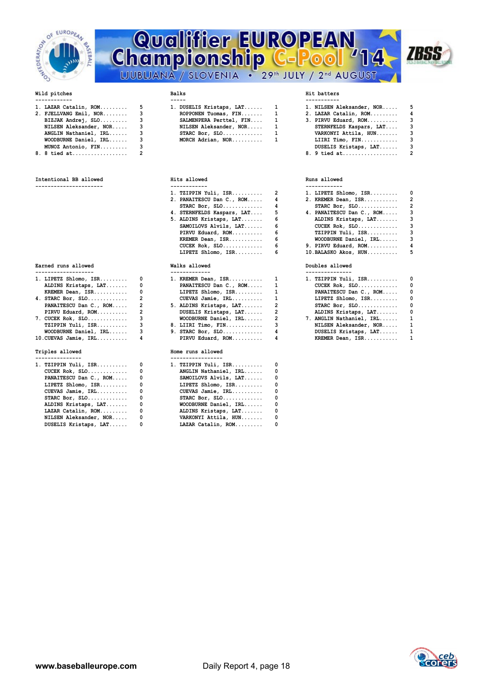

# **Championship C-POOL Qualifier EUROPEAN**<br>Championship C-Pool '14 714



| 1. LAZAR Catalin, ROM    | 5 | 1. DUSELIS Kristaps, LAT 1 | 1. NILSEN A     |
|--------------------------|---|----------------------------|-----------------|
| 2. FJELLVANG Emil, NOR 3 |   | ROPPONEN Tuomas, FIN 1     | 2. LAZAR Ca     |
| BIZJAK Andrej, SLO       |   | SALMENPERA Perttel, FIN 1  | 3. PIRVU Ed     |
| NILSEN Aleksander, NOR 3 |   | NILSEN Aleksander, NOR 1   | <b>STERNFEL</b> |
| ANGLIN Nathaniel, IRL    |   | STARC Bor, $SLO$ 1         | VARKONYI        |
| WOODBURNE Daniel, IRL    | 3 | MORCH Adrian, NOR 1        | LIIRI Ti        |
| MUNOZ Antonio, FIN       |   |                            | <b>DUSELIS</b>  |
|                          |   |                            | .               |

**8. 8 tied at.................. 2 8. 9 tied at.................. 2**

| Intentional BB allowed | Hits allowed | Runs allowed |
|------------------------|--------------|--------------|
|                        |              |              |

**Earned runs allowed Walks allowed Walks allowed Doubles allowed** 

| $1.$ LIPETZ Shlomo, ISR $0$ | 1. KREMER Dean, ISR 1                   | 1. TZIPPIN Yuli, ISR     | $\overline{\phantom{0}}$ |
|-----------------------------|-----------------------------------------|--------------------------|--------------------------|
| ALDINS Kristaps, LAT 0      | PANAITESCU Dan C., ROM 1                | $CUCEK$ $Rok$ , $SLO$    | $\overline{\phantom{0}}$ |
| KREMER Dean, $ISR$ 0        | LIPETZ Shlomo, $ISR, \ldots, \ldots, 1$ | PANAITESCU Dan C., ROM   | $\overline{\phantom{0}}$ |
|                             | $CUEVAS$ Jamie, $IRL$ 1                 | LIPETZ Shlomo, ISR       | - 0                      |
| PANAITESCU Dan C., ROM 2    | 5. ALDINS Kristaps, LAT 2               | STARC Bor, $SLO$         | $\overline{\phantom{0}}$ |
| PIRVU Eduard, ROM 2         | DUSELIS Kristaps, LAT 2                 | ALDINS Kristaps, LAT     | - 0                      |
| $7.$ CUCEK Rok, SLO 3       | $WOODBURNE Daniel, IRL, \ldots$ , 2     | 7. ANGLIN Nathaniel, IRL | - 1                      |
| TZIPPIN Yuli, ISR 3         | 8. LIIRI Timo, FIN  3                   | NILSEN Aleksander, NOR   | $\overline{\phantom{0}}$ |
| WOODBURNE Daniel, IRL 3     | 9. STARC Bor, SLO $4$                   | DUSELIS Kristaps, LAT    | $\overline{\phantom{0}}$ |
| $10.CUEVAS$ Jamie, $IRL$ 4  | PIRVU Eduard, ROM 4                     | KREMER Dean, ISR 1       |                          |
| Triples allowed             | Home runs allowed                       |                          |                          |
| ---------------             | -----------------                       |                          |                          |
| $1. TZIPPIN Yuli, ISR.$ $0$ | 1. TZIPPIN Yuli, ISR $0$                |                          |                          |

| 1. 141551N 1411, 18R V                  |     | 1. 141551N 1411, 13R  V |  |
|-----------------------------------------|-----|-------------------------|--|
| $CUCEK Rok, SLO \ldots \ldots \ldots 0$ |     | ANGLIN Nathaniel, IRL 0 |  |
| PANAITESCU Dan C., ROM 0                |     | SAMOILOVS Alvils, LAT 0 |  |
| LIPETZ Shlomo, $ISR$ 0                  |     | LIPETZ Shlomo, ISR 0    |  |
| $CUEVAS$ Jamie, $IRL$                   | - 0 | CUEVAS Jamie, IRL 0     |  |
| STARC Bor, $SLO$ 0                      |     | STARC Bor, $SLO$ 0      |  |
| ALDINS Kristaps, LAT                    |     | WOODBURNE Daniel, IRL 0 |  |
| LAZAR Catalin, ROM 0                    |     | ALDINS Kristaps, LAT 0  |  |
| NILSEN Aleksander, NOR 0                |     | VARKONYI Attila, HUN 0  |  |
| DUSELIS Kristaps, LAT                   | 0   | LAZAR Catalin, ROM 0    |  |
|                                         |     |                         |  |

| DUSELIS Kristaps, LAT   |
|-------------------------|
| ROPPONEN Tuomas, FIN    |
| SALMENPERA Perttel, FIN |
| NILSEN Aleksander, NOR  |
| $STARC$ Bor, $SLO$      |
| MORCH Adrian, NOR       |
|                         |

## **---------------------- ------------ ------------ 1. TZIPPIN Yuli, ISR.........** 2. PANAITESCU Dan C., ROM..... 4<br>STARC Bor, SLO............. 4 **5. ALDINS Kristaps, LAT........ 6**<br>SAMOILOVS Alvils, LAT...... 6  **SAMOILOVS Alvils, LAT...... 6 CUCEK Rok, SLO............. 3** PIRVU Eduard, ROM............ 6<br>KREMER Dean, ISR............ 6  **LIPETZ Shlomo, ISR......... 6 10.BALASKO Akos, HUN.......... 5**

| 1. KREMER Dean, ISR                                                                                                                                                                                                            |
|--------------------------------------------------------------------------------------------------------------------------------------------------------------------------------------------------------------------------------|
| PANAITESCU Dan C., ROM                                                                                                                                                                                                         |
| LIPETZ Shlomo, ISR                                                                                                                                                                                                             |
| CUEVAS Jamie, IRL                                                                                                                                                                                                              |
| 5. ALDINS Kristaps, LAT                                                                                                                                                                                                        |
| DUSELIS Kristaps, LAT                                                                                                                                                                                                          |
| WOODBURNE Daniel, IRL                                                                                                                                                                                                          |
| 8. LIIRI Timo, FIN                                                                                                                                                                                                             |
| $9.$ STARC Bor, SLO                                                                                                                                                                                                            |
| PIRVU Eduard, ROM                                                                                                                                                                                                              |
|                                                                                                                                                                                                                                |
| Home runs allowed                                                                                                                                                                                                              |
|                                                                                                                                                                                                                                |
| and the contract of the contract of the contract of the contract of the contract of the contract of the contract of the contract of the contract of the contract of the contract of the contract of the contract of the contra |

| 1. TZIPPIN Yuli, ISR         0          |                          | 1. TZIPPIN Yuli, ISR $0$ |  |
|-----------------------------------------|--------------------------|--------------------------|--|
| $CUCEK Rok, SLO \ldots \ldots \ldots 0$ |                          | ANGLIN Nathaniel, IRL 0  |  |
| PANAITESCU Dan C., ROM 0                |                          | SAMOILOVS Alvils, LAT 0  |  |
| LIPETZ Shlomo, $ISR$ 0                  |                          | LIPETZ Shlomo, ISR 0     |  |
| CUEVAS Jamie, IRL 0                     |                          | CUEVAS Jamie, IRL 0      |  |
| STARC Bor, $SLO$ 0                      |                          | STARC Bor, $SLO$ 0       |  |
| ALDINS Kristaps, LAT                    | $\overline{\phantom{0}}$ | WOODBURNE Daniel, IRL 0  |  |
| LAZAR Catalin, ROM                      | $\overline{\phantom{0}}$ | ALDINS Kristaps, LAT 0   |  |
| NILSEN Aleksander, NOR 0                |                          | VARKONYI Attila, HUN     |  |
| DUSELIS Kristaps, LAT                   | 0                        | LAZAR Catalin, ROM 0     |  |

| 1. LAZAR Catalin, ROM       5 | 1. DUSELIS Kristaps, LAT 1 |  | 1. NILSEN Aleksander, NOR 5 |  |
|-------------------------------|----------------------------|--|-----------------------------|--|
| 2. FJELLVANG Emil, NOR 3      | ROPPONEN Tuomas, FIN       |  | 2. LAZAR Catalin, ROM 4     |  |
| BIZJAK Andrej, SLO 3          | SALMENPERA Perttel, FIN    |  | 3. PIRVU Eduard, ROM 3      |  |
| NILSEN Aleksander, NOR 3      | NILSEN Aleksander, NOR 1   |  | STERNFELDS Kaspars, LAT 3   |  |
| ANGLIN Nathaniel, IRL 3       | STARC Bor, $SLO$ 1         |  | VARKONYI Attila, HUN 3      |  |
| WOODBURNE Daniel, IRL 3       | MORCH Adrian, NOR 1        |  | LIIRI Timo, $FIN$ 3         |  |
| MUNOZ Antonio, FIN 3          |                            |  | DUSELIS Kristaps, LAT 3     |  |
|                               |                            |  |                             |  |

| $1.$ TZIPPIN Yuli, ISR $2$       | $1.$ LIPETZ Shlomo, ISR $0$            |   |
|----------------------------------|----------------------------------------|---|
| 2. PANAITESCU Dan C., ROM 4      | 2. KREMER Dean, ISR 2                  |   |
| STARC Bor, $SLO$ 4               |                                        |   |
| 4. STERNFELDS Kaspars, LAT 5     | 4. PANAITESCU Dan C., ROM 3            |   |
| 5. ALDINS Kristaps, LAT 6        | ALDINS Kristaps, LAT 3                 |   |
| $SAMOILOVS$ $Alvils$ , $LAT$ $6$ | CUCEK Rok, $SLO$ 3                     |   |
| PIRVU Eduard, ROM 6              | TZIPPIN Yuli, ISR 3                    |   |
| KREMER Dean, ISR 6               | WOODBURNE Daniel, IRL 3                |   |
| $CUCEK Rok, SLO \ldots \ldots 6$ | 9. PIRVU Eduard, $ROM$ 4               |   |
| LIPETZ Shlomo, ISR               | $10.BALASKO Akos, HUN, \ldots, \ldots$ | 5 |

| 1. TZIPPIN Yuli, ISR     | O            |
|--------------------------|--------------|
| $CUCEK Rok, SLO$         | 0            |
| PANAITESCU Dan C., ROM   | 0            |
| LIPETZ Shlomo, ISR       | 0            |
| STARC Bor, $SLO$         | 0            |
| ALDINS Kristaps, LAT     | 0            |
| 7. ANGLIN Nathaniel, IRL | $\mathbf{1}$ |
| NILSEN Aleksander, NOR   | 1            |
| DUSELIS Kristaps, LAT    | 1            |
| KREMER Dean, ISR         | 1            |

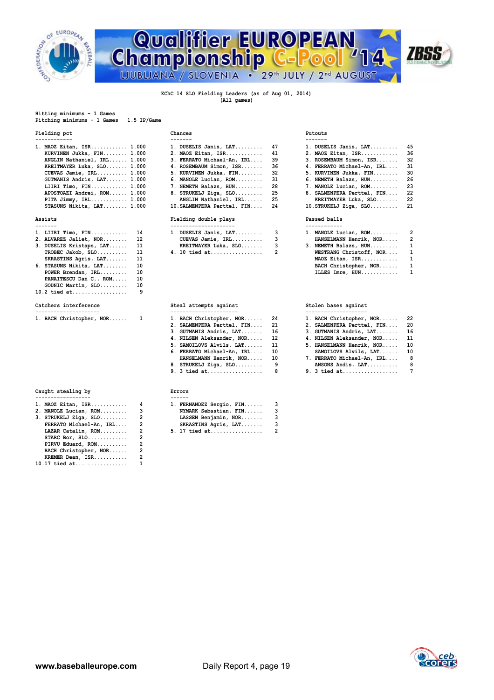

# **Championship C-P Qualifier EUROPEAN<br>Championship C-Pool '14 ZBSS**

 **(All games)**

### **Hitting minimums - 1 Games Pitching minimums - 1 Games 1.5 IP/Game**

## **Fielding pct Chances Putouts**

| ------------                                                                                                                                                                                                                                                                                                                     |                               |        |                               |        |
|----------------------------------------------------------------------------------------------------------------------------------------------------------------------------------------------------------------------------------------------------------------------------------------------------------------------------------|-------------------------------|--------|-------------------------------|--------|
| 1. MAOZ Eitan, ISR 1.000                                                                                                                                                                                                                                                                                                         | 1. DUSELIS Janis, LAT $47$    |        | 1. DUSELIS Janis, LAT 45      |        |
| KURVINEN Jukka, FIN 1.000                                                                                                                                                                                                                                                                                                        | 2. MAOZ Eitan, ISR 41         |        | 2. MAOZ Eitan, ISR 36         |        |
| ANGLIN Nathaniel, IRL 1.000                                                                                                                                                                                                                                                                                                      | 3. FERRATO Michael-An, IRL 39 |        | 3. ROSEMBAUM Simon, ISR 32    |        |
| KREITMAYER Luka, SLO 1.000                                                                                                                                                                                                                                                                                                       | 4. ROSEMBAUM Simon, ISR 36    |        | 4. FERRATO Michael-An, IRL 31 |        |
| $CUEVAS$ Jamie, $IRL$ 1.000                                                                                                                                                                                                                                                                                                      | 5. KURVINEN Jukka, FIN 32     |        | 5. KURVINEN Jukka, FIN 30     |        |
| GUTMANIS Andris, LAT 1.000                                                                                                                                                                                                                                                                                                       | 6. MANOLE Lucian, ROM 31      |        | 6. NEMETH Balazs, HUN 26      |        |
| LIIRI Timo, FIN 1.000                                                                                                                                                                                                                                                                                                            | 7. NEMETH Balazs, HUN 28      |        | 7. MANOLE Lucian, ROM         | - 23   |
| APOSTOAEI Andrei, ROM 1.000                                                                                                                                                                                                                                                                                                      | 8. STRUKELJ Ziga, SLO $25$    |        | 8. SALMENPERA Perttel, FIN 22 |        |
| PITA Jimmy, $IRL$ 1.000                                                                                                                                                                                                                                                                                                          | ANGLIN Nathaniel, IRL 25      |        | KREITMAYER Luka, SLO 22       |        |
| $\alpha$ and $\alpha$ and $\alpha$ and $\alpha$ and $\alpha$ and $\alpha$ and $\alpha$ and $\alpha$ and $\alpha$ and $\alpha$ and $\alpha$ and $\alpha$ and $\alpha$ and $\alpha$ and $\alpha$ and $\alpha$ and $\alpha$ and $\alpha$ and $\alpha$ and $\alpha$ and $\alpha$ and $\alpha$ and $\alpha$ and $\alpha$ and $\alpha$ |                               | $\sim$ |                               | $\sim$ |

| 1. LIIRI Timo, FIN $14$<br>2. ALVAREZ Jaliet, NOR 12<br>3. DUSELIS Kristaps, LAT 11<br>TROBEC Jakob, SLO 11 |  | 1. DUSELIS Janis, $LAT$ 3<br>$CUEVAS$ Jamie, $IRL$ 3<br>KREITMAYER Luka, SLO 3 |  | 1. MANOLE Lucian, ROM 2<br>HANSELMANN Henrik, NOR 2<br>3. NEMETH Balazs, HUN 1<br>WESTRANG Christoff, NOR 1 |  |
|-------------------------------------------------------------------------------------------------------------|--|--------------------------------------------------------------------------------|--|-------------------------------------------------------------------------------------------------------------|--|
| SKRASTINS Agris, LAT 11<br>6. STASUNS Nikita, $LAT$ 10<br>POWER Brendan, IRL 10                             |  |                                                                                |  | MAOZ Eitan, ISR 1<br>BACH Christopher, NOR 1<br>ILLES Imre, HUN 1                                           |  |
| PANAITESCU Dan C., ROM 10<br>GODNIC Martin, SLO 10                                                          |  |                                                                                |  |                                                                                                             |  |

## Catchers interference

| Caught stealing by | Errors |
|--------------------|--------|
| ------------       |        |

| 1. MAOZ Eitan, ISR      | 4              |
|-------------------------|----------------|
| 2. MANOLE Lucian, ROM   | 3              |
| 3. STRUKELJ Ziga, SLO   | $\overline{2}$ |
| FERRATO Michael-An, IRL | $\overline{2}$ |
| LAZAR Catalin, ROM      | $\overline{2}$ |
| STARC Bor, SLO          | $\overline{2}$ |
| PIRVU Eduard, ROM       | $\overline{2}$ |
| BACH Christopher, NOR   | 2              |
| KREMER Dean, ISR        | 2              |
| $10.17$ tied at         | 1              |

| MAOZ Eitan, ISR 1.000       | 1. DUSELIS Janis, LAT       | 47 |
|-----------------------------|-----------------------------|----|
| KURVINEN Jukka, FIN 1.000   | 2. MAOZ Eitan, ISR          | 41 |
| ANGLIN Nathaniel, IRL 1.000 | 3. FERRATO Michael-An, IRL  | 39 |
| KREITMAYER Luka, SLO 1.000  | 4. ROSEMBAUM Simon, ISR     | 36 |
| $CUEVAS$ Jamie, $IRL$ 1.000 | 5. KURVINEN Jukka, FIN      | 32 |
| GUTMANIS Andris, LAT 1.000  | 6. MANOLE Lucian, ROM       | 31 |
| LIIRI Timo, FIN 1.000       | 7. NEMETH Balazs, HUN       | 28 |
| APOSTOAEI Andrei, ROM 1.000 | 8. STRUKELJ Ziga, SLO       | 25 |
| PITA Jimmy, IRL 1.000       | ANGLIN Nathaniel, IRL       | 25 |
| STASUNS Nikita, LAT 1.000   | 10. SALMENPERA Perttel, FIN | 24 |

## Assists Fielding double plays Passets<br> **Passed balls**<br> **Passed balls**

| 1. LIIRI Timo, FIN  14      | 1. DUSELIS Janis, LAT 3 |  | 1. MANOLE Lucian, ROM   |  |  |
|-----------------------------|-------------------------|--|-------------------------|--|--|
| 2. ALVAREZ Jaliet, NOR 12   | $CUEVAS$ Jamie, $IRL$ 3 |  | HANSELMANN Henrik, NOR  |  |  |
| 3. DUSELIS Kristaps, LAT 11 | KREITMAYER Luka, SLO    |  | 3. NEMETH Balazs, HUN   |  |  |
| $TROBEC Jakob, SLO$ 11      |                         |  | WESTRANG Christoff, NOR |  |  |

## Steal attempts against **Category Stolen bases** against

| 1. BACH Christopher, NOR | 1. BACH Christopher, NOR 24   | 1. BACH Christopher, |
|--------------------------|-------------------------------|----------------------|
|                          | 2. SALMENPERA Perttel, FIN 21 | 2. SALMENPERA Pertte |
|                          | 3. GUTMANIS Andris, LAT 16    | 3. GUTMANIS Andris,  |
|                          | 4. NILSEN Aleksander, NOR 12  | 4. NILSEN Aleksander |
|                          | 5. SAMOILOVS Alvils, LAT 11   | 5. HANSELMANN Henrik |
|                          | 6. FERRATO Michael-An, IRL 10 | SAMOILOVS Alvils,    |
|                          | HANSELMANN Henrik, NOR 10     | 7. FERRATO Michael-A |
|                          | 8. STRUKELJ Ziga, SLO         | ANSONS Andis, LAT    |
|                          | 9. 3 tied at                  | 9. 3 tied at         |

| $1.$ MAOZ Eitan, ISR    | 1. FERNANDEZ Sergio, FIN |  |
|-------------------------|--------------------------|--|
| 2. MANOLE Lucian, ROM   | NYMARK Sebastian, FIN    |  |
| 3. STRUKELJ Ziga, SLO   | LASSEN Benjamin, NOR     |  |
| FERRATO Michael-An, IRL | SKRASTINS Agris, LAT     |  |
| LAZAR Catalin, ROM      | 5. 17 tied at            |  |
|                         |                          |  |

|                       | 1. DUSELIS Janis, LAT                                                                                                                                                                                                                                                                                                        | -45  |
|-----------------------|------------------------------------------------------------------------------------------------------------------------------------------------------------------------------------------------------------------------------------------------------------------------------------------------------------------------------|------|
|                       | 2. MAOZ Eitan, ISR                                                                                                                                                                                                                                                                                                           | 36   |
|                       | 3. ROSEMBAUM Simon, ISR                                                                                                                                                                                                                                                                                                      | - 32 |
|                       | 4. FERRATO Michael-An, IRL                                                                                                                                                                                                                                                                                                   | 31   |
|                       | 5. KURVINEN Jukka, FIN                                                                                                                                                                                                                                                                                                       | 30   |
|                       | 6. NEMETH Balazs, HUN                                                                                                                                                                                                                                                                                                        | -26  |
|                       | 7. MANOLE Lucian, ROM                                                                                                                                                                                                                                                                                                        | -23  |
|                       | 8. SALMENPERA Perttel, FIN                                                                                                                                                                                                                                                                                                   | -22  |
|                       | KREITMAYER Luka, SLO 22                                                                                                                                                                                                                                                                                                      |      |
|                       | $10.$ STRUKELJ Ziga, SLO 21                                                                                                                                                                                                                                                                                                  |      |
| Fielding double plays | Passed balls                                                                                                                                                                                                                                                                                                                 |      |
| --------------------- | ------------                                                                                                                                                                                                                                                                                                                 |      |
|                       | 1. MANOLE Lucian, ROM 2                                                                                                                                                                                                                                                                                                      |      |
|                       | 1. DUSELIS Janis, LAT 47<br>2. MAOZ Eitan, ISR 41<br>3. FERRATO Michael-An, IRL 39<br>4. ROSEMBAUM Simon, ISR 36<br>5. KURVINEN Jukka, FIN 32<br>6. MANOLE Lucian, ROM 31<br>7. NEMETH Balazs, HUN 28<br>8. STRUKELJ Ziga, SLO $25$<br>ANGLIN Nathaniel, IRL 25<br>10. SALMENPERA Perttel, FIN 24<br>1. DUSELIS Janis, LAT 3 |      |

| 1. MANOLE Lucian, ROM   |   |
|-------------------------|---|
| HANSELMANN Henrik, NOR  | 2 |
| 3. NEMETH Balazs, HUN   | 1 |
| WESTRANG Christoff, NOR | 1 |
| MAOZ Eitan, ISR         | 1 |
| BACH Christopher, NOR   | 1 |
| ILLES Imre, HUN         | 1 |

| 1. BACH Christopher, NOR 1 |  | 1. BACH Christopher, NOR 24   |  | 1. BACH Christopher, NOR 22   |  |
|----------------------------|--|-------------------------------|--|-------------------------------|--|
|                            |  | 2. SALMENPERA Perttel, FIN 21 |  | 2. SALMENPERA Perttel, FIN 20 |  |
|                            |  | 3. GUTMANIS Andris, LAT 16    |  | 3. GUTMANIS Andris, LAT 16    |  |
|                            |  | 4. NILSEN Aleksander, NOR 12  |  | 4. NILSEN Aleksander, NOR 11  |  |
|                            |  | 5. SAMOILOVS Alvils, LAT 11   |  | 5. HANSELMANN Henrik, NOR 10  |  |
|                            |  | 6. FERRATO Michael-An, IRL 10 |  | SAMOILOVS Alvils, LAT 10      |  |
|                            |  | HANSELMANN Henrik, NOR 10     |  | 7. FERRATO Michael-An, IRL 8  |  |
|                            |  | 8. STRUKELJ Ziga, SLO 9       |  | ANSONS Andis, LAT 8           |  |
|                            |  | 9. 3 tied at 8                |  |                               |  |

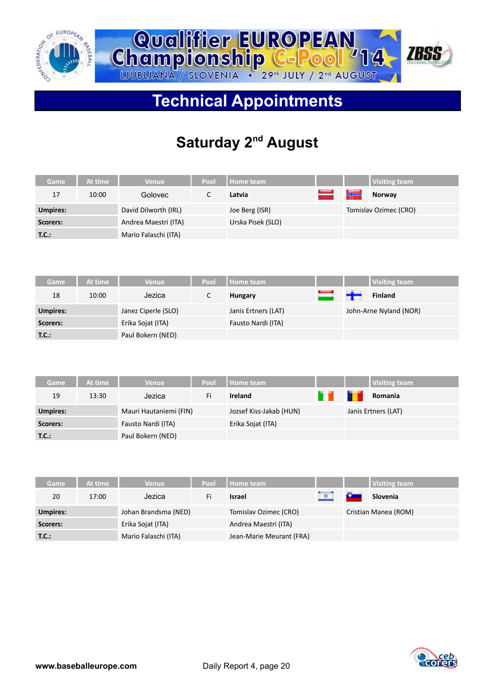



# **Technical Appointments**

# **Saturday 2nd August**

| Game     | At time | Venue :              | Pool | Home team         |    |    | Visiting team         |
|----------|---------|----------------------|------|-------------------|----|----|-----------------------|
| 17       | 10:00   | Golovec              |      | Latvia            | سى | ١ź | Norway                |
| Umpires: |         | David Dilworth (IRL) |      | Joe Berg (ISR)    |    |    | Tomislav Ozimec (CRO) |
| Scorers: |         | Andrea Maestri (ITA) |      | Urska Pisek (SLO) |    |    |                       |
| T.C.:    |         | Mario Falaschi (ITA) |      |                   |    |    |                       |

| Game            | At time | Venue               | Pool | <b>Home team</b>    |      | <b>Visiting team</b>   |
|-----------------|---------|---------------------|------|---------------------|------|------------------------|
| 18              | 10:00   | Jezica              |      | Hungary             | سلام | <b>Finland</b>         |
| <b>Umpires:</b> |         | Janez Ciperle (SLO) |      | Janis Ertners (LAT) |      | John-Arne Nyland (NOR) |
| Scorers:        |         | Erika Sojat (ITA)   |      | Fausto Nardi (ITA)  |      |                        |
| T.C.:           |         | Paul Bokern (NED)   |      |                     |      |                        |

| Game            | At time | <b>Venue</b>           | Pool | Home team               |   | <b>Visiting team</b> |
|-----------------|---------|------------------------|------|-------------------------|---|----------------------|
| 19              | 13:30   | Jezica                 | Fi   | <b>Ireland</b>          | т | Romania              |
| <b>Umpires:</b> |         | Mauri Hautaniemi (FIN) |      | Jozsef Kiss-Jakab (HUN) |   | Janis Ertners (LAT)  |
| Scorers:        |         | Fausto Nardi (ITA)     |      | Erika Sojat (ITA)       |   |                      |
| T.C.:           |         | Paul Bokern (NED)      |      |                         |   |                      |

| Game            | At time | <b>Venue</b>         | Pool | Home team                |         |            | <b>Visiting team</b> |
|-----------------|---------|----------------------|------|--------------------------|---------|------------|----------------------|
| 20              | 17:00   | Jezica               | Fi   | Israel                   | $\circ$ | <b>Car</b> | Slovenia             |
| <b>Umpires:</b> |         | Johan Brandsma (NED) |      | Tomislav Ozimec (CRO)    |         |            | Cristian Manea (ROM) |
| Scorers:        |         | Erika Sojat (ITA)    |      | Andrea Maestri (ITA)     |         |            |                      |
| T.C.:           |         | Mario Falaschi (ITA) |      | Jean-Marie Meurant (FRA) |         |            |                      |